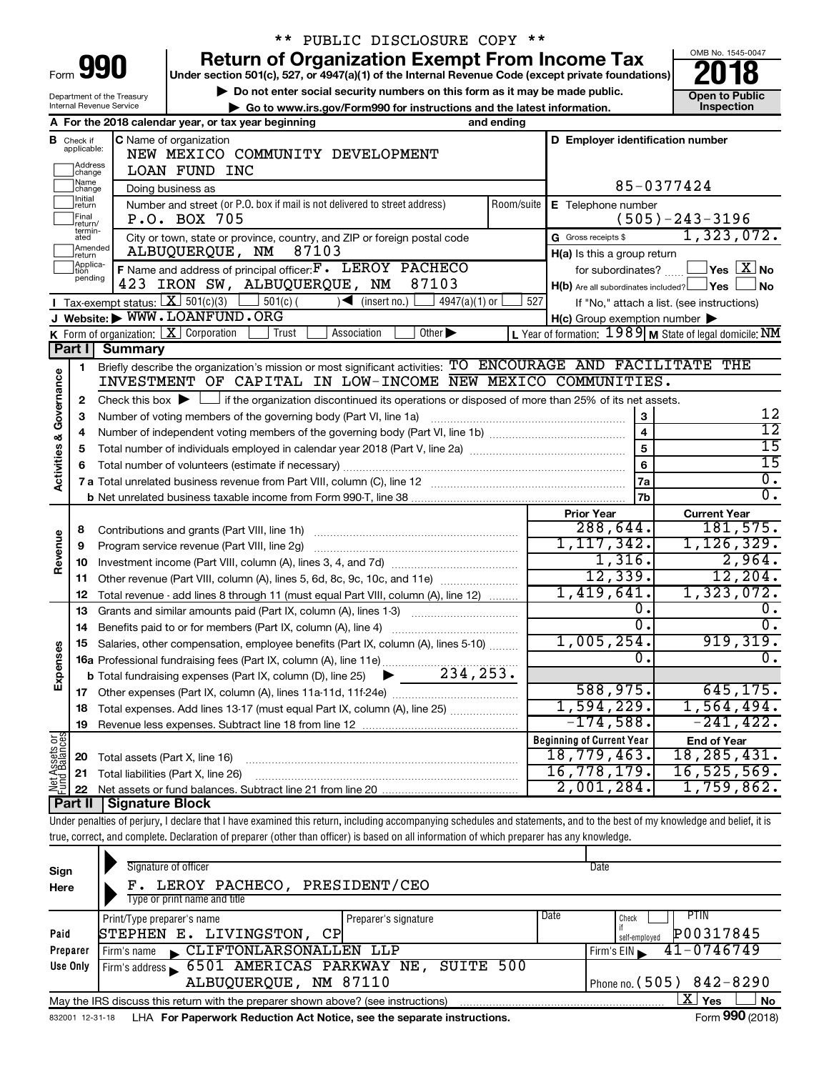| ɔrm |  |
|-----|--|

Department of the Treasury Internal Revenue Service

# \*\* PUBLIC DISCLOSURE COPY \*\*

**990** Return of Organization Exempt From Income Tax **Punce 1845-004 Puncer section 501(c), 527, or 4947(a)(1)** of the Internal Revenue Code (except private foundations) **2018** 

▶ Do not enter social security numbers on this form as it may be made public. <br>**● Go to www.irs.gov/Form990 for instructions and the latest information.** Inspection ▶ Go to www.irs.gov/Form990 for instructions and the latest information.



|                                    |                                      | A For the 2018 calendar year, or tax year beginning<br>and ending                                                                                      |     |                                                     |                                                         |
|------------------------------------|--------------------------------------|--------------------------------------------------------------------------------------------------------------------------------------------------------|-----|-----------------------------------------------------|---------------------------------------------------------|
| В                                  | Check if<br>applicable:              | <b>C</b> Name of organization<br>NEW MEXICO COMMUNITY DEVELOPMENT                                                                                      |     | D Employer identification number                    |                                                         |
|                                    | Address<br>]change                   | <b>LOAN FUND INC</b>                                                                                                                                   |     |                                                     |                                                         |
|                                    | Name<br> change<br>Initial           | Doing business as                                                                                                                                      |     |                                                     | 85-0377424                                              |
|                                    | return                               | Number and street (or P.O. box if mail is not delivered to street address)                                                                             |     | Room/suite   E Telephone number                     |                                                         |
|                                    | Final<br> return/<br>termin-<br>ated | P.O. BOX 705                                                                                                                                           |     |                                                     | $(505)-243-3196$                                        |
|                                    | Amended                              | City or town, state or province, country, and ZIP or foreign postal code<br>87103<br>ALBUQUERQUE, NM                                                   |     | G Gross receipts \$                                 | 1,323,072.                                              |
|                                    | return<br>Applica-                   | F Name and address of principal officer: F. LEROY PACHECO                                                                                              |     | H(a) Is this a group return<br>for subordinates?    | $\Box$ Yes $\Box X$ No                                  |
|                                    | pending                              | 87103<br>423 IRON SW, ALBUQUERQUE, NM                                                                                                                  |     | $H(b)$ Are all subordinates included? $\Box$ Yes    | No                                                      |
|                                    |                                      | <b>I</b> Tax-exempt status: $X \ 501(c)(3)$ $1 \ 501(c)$<br>$\blacktriangleleft$<br>(inset no.)<br>$4947(a)(1)$ or                                     | 527 |                                                     | If "No," attach a list. (see instructions)              |
|                                    |                                      | J Website: WWW.LOANFUND.ORG                                                                                                                            |     | $H(c)$ Group exemption number $\blacktriangleright$ |                                                         |
|                                    |                                      | <b>K</b> Form of organization: $\boxed{\mathbf{X}}$ Corporation<br>Other $\blacktriangleright$<br>Trust<br>Association                                 |     |                                                     | L Year of formation: 1989 M State of legal domicile: NM |
|                                    | Part I                               | Summary                                                                                                                                                |     |                                                     |                                                         |
|                                    | 1                                    | Briefly describe the organization's mission or most significant activities: TO ENCOURAGE AND FACILITATE THE                                            |     |                                                     |                                                         |
| <b>Activities &amp; Governance</b> |                                      | INVESTMENT OF CAPITAL IN LOW-INCOME NEW MEXICO COMMUNITIES.                                                                                            |     |                                                     |                                                         |
|                                    | 2                                    | Check this box $\blacktriangleright \Box$ if the organization discontinued its operations or disposed of more than 25% of its net assets.              |     |                                                     |                                                         |
|                                    | 3                                    | Number of voting members of the governing body (Part VI, line 1a)                                                                                      |     | 3                                                   | 12                                                      |
|                                    | 4                                    |                                                                                                                                                        |     | $\overline{\mathbf{4}}$                             | $\overline{12}$                                         |
|                                    | 5                                    |                                                                                                                                                        |     | $\overline{5}$                                      | $\overline{15}$                                         |
|                                    | 6                                    |                                                                                                                                                        |     | 6                                                   | $\overline{15}$                                         |
|                                    |                                      |                                                                                                                                                        |     | 7a                                                  | $\overline{0}$ .<br>$\overline{0}$ .                    |
|                                    |                                      |                                                                                                                                                        |     | 7b                                                  |                                                         |
|                                    |                                      |                                                                                                                                                        |     | <b>Prior Year</b><br>288,644.                       | <b>Current Year</b><br>181,575.                         |
|                                    | 8                                    | Contributions and grants (Part VIII, line 1h)                                                                                                          |     | 1, 117, 342.                                        | 1, 126, 329.                                            |
| Revenue                            | 9                                    |                                                                                                                                                        |     | 1,316.                                              | 2,964.                                                  |
|                                    | 10                                   |                                                                                                                                                        |     | 12,339.                                             | 12, 204.                                                |
|                                    | 11                                   | Other revenue (Part VIII, column (A), lines 5, 6d, 8c, 9c, 10c, and 11e)                                                                               |     | 1,419,641.                                          | 1,323,072.                                              |
|                                    | 12<br>13                             | Total revenue - add lines 8 through 11 (must equal Part VIII, column (A), line 12)<br>Grants and similar amounts paid (Part IX, column (A), lines 1-3) |     | 0.                                                  | ο.                                                      |
|                                    | 14                                   | Benefits paid to or for members (Part IX, column (A), line 4)                                                                                          |     | σ.                                                  | 0.                                                      |
|                                    | 15                                   | Salaries, other compensation, employee benefits (Part IX, column (A), lines 5-10)                                                                      |     | 1,005,254.                                          | 919,319.                                                |
| Expenses                           |                                      | 16a Professional fundraising fees (Part IX, column (A), line 11e)                                                                                      |     | Ω.                                                  | Ο.                                                      |
|                                    |                                      | 234,253.<br><b>b</b> Total fundraising expenses (Part IX, column (D), line 25)<br>▶                                                                    |     |                                                     |                                                         |
|                                    | 17                                   |                                                                                                                                                        |     | 588,975.                                            | 645, 175.                                               |
|                                    | 18                                   | Total expenses. Add lines 13-17 (must equal Part IX, column (A), line 25)                                                                              |     | 1,594,229.                                          | 1,564,494.                                              |
|                                    | 19                                   |                                                                                                                                                        |     | $-174,588.$                                         | $-241, 422.$                                            |
|                                    |                                      |                                                                                                                                                        |     | <b>Beginning of Current Year</b>                    | <b>End of Year</b>                                      |
| Net Assets or<br>Fund Balances     | 20                                   | Total assets (Part X, line 16)                                                                                                                         |     | 18,779,463.                                         | 18, 285, 431.                                           |
|                                    | 21                                   | Total liabilities (Part X, line 26)                                                                                                                    |     | 16,778,179.                                         | 16, 525, 569.                                           |
|                                    | 22                                   |                                                                                                                                                        |     | 2,001,284.                                          | 1,759,862.                                              |
|                                    | Part II                              | <b>Signature Block</b>                                                                                                                                 |     |                                                     |                                                         |

Under penalties of perjury, I declare that I have examined this return, including accompanying schedules and statements, and to the best of my knowledge and belief, it is true, correct, and complete. Declaration of preparer (other than officer) is based on all information of which preparer has any knowledge.

| Sign<br>Here    | Signature of officer<br>PRESIDENT/CEO<br>LEROY PACHECO,<br>Type or print name and title | Date                       |
|-----------------|-----------------------------------------------------------------------------------------|----------------------------|
|                 | Print/Type preparer's name<br>Preparer's signature                                      | Date<br>PTIN<br>Check      |
| Paid            | STEPHEN E. LIVINGSTON,<br>CP                                                            | P00317845<br>self-emploved |
| Preparer        | CLIFTONLARSONALLEN LLP<br>Firm's name<br>$\mathbf{K}$                                   | 41-0746749<br>Firm's EIN   |
| Use Only        | Firm's address 6501 AMERICAS PARKWAY NE,<br>SUITE 500                                   |                            |
|                 | ALBUQUERQUE, NM 87110                                                                   | Phone no. $(505)$ 842-8290 |
|                 | May the IRS discuss this return with the preparer shown above? (see instructions)       | x<br><b>No</b><br>Yes      |
| 832001 12-31-18 | LHA For Paperwork Reduction Act Notice, see the separate instructions.                  | Form 990 (2018)            |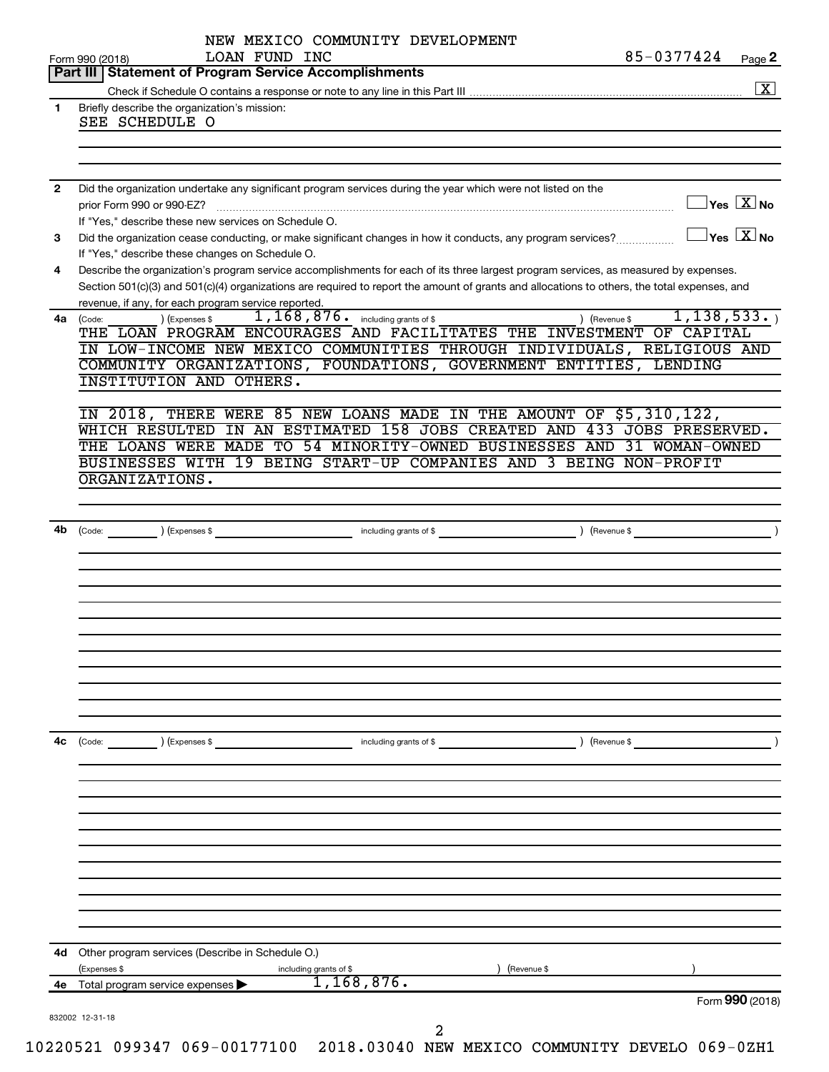|    | LOAN FUND INC<br>Form 990 (2018)                                                                                                                                | 85-0377424                    | Page 2                                           |
|----|-----------------------------------------------------------------------------------------------------------------------------------------------------------------|-------------------------------|--------------------------------------------------|
|    | <b>Part III   Statement of Program Service Accomplishments</b>                                                                                                  |                               |                                                  |
|    |                                                                                                                                                                 |                               | $\boxed{\textbf{X}}$                             |
| 1  | Briefly describe the organization's mission:<br>SEE SCHEDULE O                                                                                                  |                               |                                                  |
|    |                                                                                                                                                                 |                               |                                                  |
|    |                                                                                                                                                                 |                               |                                                  |
| 2  | Did the organization undertake any significant program services during the year which were not listed on the                                                    |                               |                                                  |
|    | prior Form 990 or 990-EZ?                                                                                                                                       |                               | $\overline{\ }$ Yes $\overline{\rm X}$ No        |
|    | If "Yes," describe these new services on Schedule O.                                                                                                            |                               | $\overline{\ }$ Yes $\overline{\phantom{a}X}$ No |
| 3  | Did the organization cease conducting, or make significant changes in how it conducts, any program services?<br>If "Yes," describe these changes on Schedule O. |                               |                                                  |
| 4  | Describe the organization's program service accomplishments for each of its three largest program services, as measured by expenses.                            |                               |                                                  |
|    | Section 501(c)(3) and 501(c)(4) organizations are required to report the amount of grants and allocations to others, the total expenses, and                    |                               |                                                  |
|    | revenue, if any, for each program service reported.                                                                                                             |                               |                                                  |
| 4a | 1, 168, 876. including grants of \$<br>) (Expenses \$<br>(Code:<br>THE LOAN PROGRAM ENCOURAGES AND FACILITATES THE INVESTMENT OF CAPITAL                        | 1, 138, 533.<br>) (Revenue \$ |                                                  |
|    | IN LOW-INCOME NEW MEXICO COMMUNITIES THROUGH INDIVIDUALS, RELIGIOUS AND                                                                                         |                               |                                                  |
|    | COMMUNITY ORGANIZATIONS, FOUNDATIONS, GOVERNMENT ENTITIES, LENDING                                                                                              |                               |                                                  |
|    | INSTITUTION AND OTHERS.                                                                                                                                         |                               |                                                  |
|    | IN 2018, THERE WERE 85 NEW LOANS MADE IN THE AMOUNT OF \$5,310,122,                                                                                             |                               |                                                  |
|    | WHICH RESULTED<br>IN AN ESTIMATED 158 JOBS CREATED AND 433 JOBS PRESERVED.                                                                                      |                               |                                                  |
|    | THE LOANS WERE MADE TO 54 MINORITY-OWNED BUSINESSES AND 31 WOMAN-OWNED                                                                                          |                               |                                                  |
|    | BUSINESSES WITH 19 BEING START-UP COMPANIES AND 3 BEING NON-PROFIT                                                                                              |                               |                                                  |
|    | ORGANIZATIONS.                                                                                                                                                  |                               |                                                  |
|    |                                                                                                                                                                 |                               |                                                  |
|    |                                                                                                                                                                 |                               | $\overline{\phantom{a}}$                         |
| 4b | Development of \$<br>(Code: ) (Expenses \$                                                                                                                      |                               |                                                  |
|    |                                                                                                                                                                 |                               |                                                  |
|    |                                                                                                                                                                 |                               |                                                  |
|    |                                                                                                                                                                 |                               |                                                  |
|    |                                                                                                                                                                 |                               |                                                  |
|    |                                                                                                                                                                 |                               |                                                  |
|    |                                                                                                                                                                 |                               |                                                  |
|    |                                                                                                                                                                 |                               |                                                  |
|    |                                                                                                                                                                 |                               |                                                  |
|    |                                                                                                                                                                 |                               |                                                  |
| 4c | (Code:<br>) (Expenses \$<br>including grants of \$                                                                                                              | ) (Revenue \$                 |                                                  |
|    |                                                                                                                                                                 |                               |                                                  |
|    |                                                                                                                                                                 |                               |                                                  |
|    |                                                                                                                                                                 |                               |                                                  |
|    |                                                                                                                                                                 |                               |                                                  |
|    |                                                                                                                                                                 |                               |                                                  |
|    |                                                                                                                                                                 |                               |                                                  |
|    |                                                                                                                                                                 |                               |                                                  |
|    |                                                                                                                                                                 |                               |                                                  |
|    |                                                                                                                                                                 |                               |                                                  |
|    |                                                                                                                                                                 |                               |                                                  |
|    |                                                                                                                                                                 |                               |                                                  |
|    | 4d Other program services (Describe in Schedule O.)<br>Revenue \$<br>(Expenses \$<br>including grants of \$                                                     |                               |                                                  |
|    | 1,168,876.<br>4e Total program service expenses >                                                                                                               | Form 990 (2018)               |                                                  |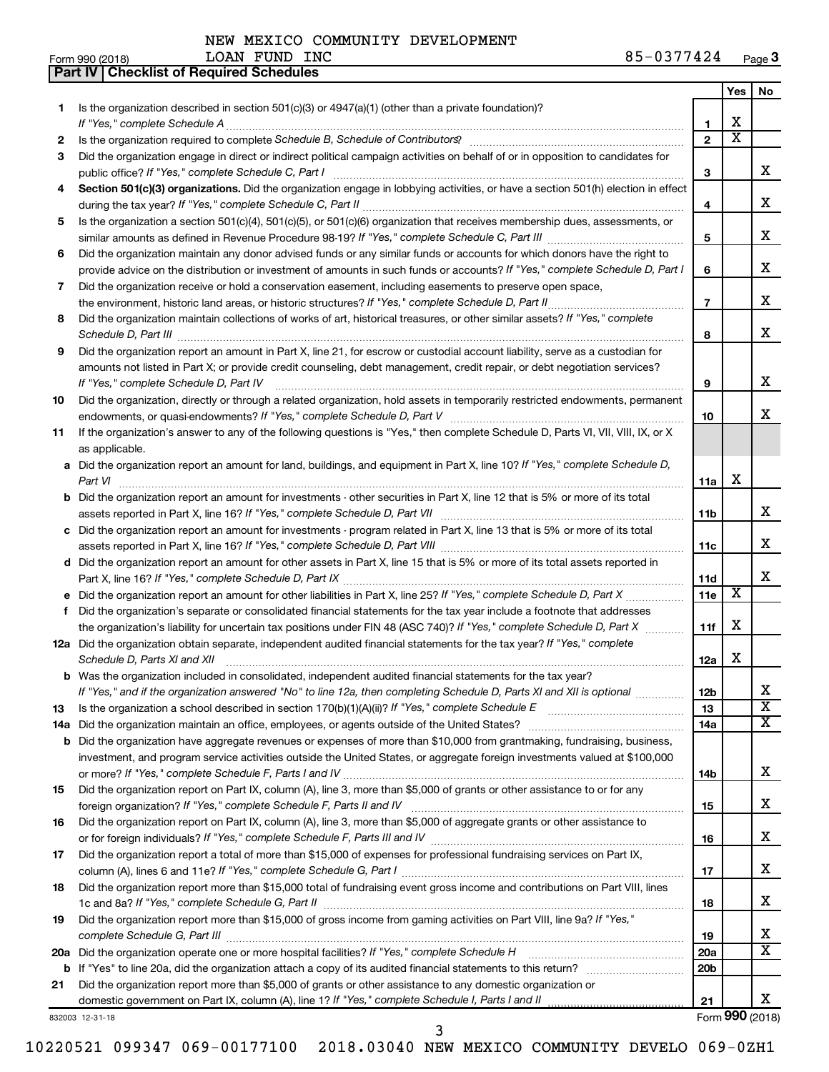**Part IV Checklist of Required Schedules**

LOAN FUND INC

|     |                                                                                                                                      |                 | Yes                     | No                    |
|-----|--------------------------------------------------------------------------------------------------------------------------------------|-----------------|-------------------------|-----------------------|
| 1   | Is the organization described in section $501(c)(3)$ or $4947(a)(1)$ (other than a private foundation)?                              |                 |                         |                       |
|     | If "Yes," complete Schedule A                                                                                                        | 1               | х                       |                       |
| 2   |                                                                                                                                      | $\overline{2}$  | $\overline{\textbf{X}}$ |                       |
| З   | Did the organization engage in direct or indirect political campaign activities on behalf of or in opposition to candidates for      |                 |                         |                       |
|     | public office? If "Yes," complete Schedule C, Part I                                                                                 | 3               |                         | x                     |
| 4   | Section 501(c)(3) organizations. Did the organization engage in lobbying activities, or have a section 501(h) election in effect     |                 |                         |                       |
|     |                                                                                                                                      | 4               |                         | х                     |
| 5   | Is the organization a section 501(c)(4), 501(c)(5), or 501(c)(6) organization that receives membership dues, assessments, or         |                 |                         |                       |
|     |                                                                                                                                      | 5               |                         | x                     |
| 6   | Did the organization maintain any donor advised funds or any similar funds or accounts for which donors have the right to            |                 |                         |                       |
|     | provide advice on the distribution or investment of amounts in such funds or accounts? If "Yes," complete Schedule D, Part I         | 6               |                         | x                     |
| 7   | Did the organization receive or hold a conservation easement, including easements to preserve open space,                            |                 |                         |                       |
|     | the environment, historic land areas, or historic structures? If "Yes," complete Schedule D, Part II                                 | $\overline{7}$  |                         | x                     |
| 8   | Did the organization maintain collections of works of art, historical treasures, or other similar assets? If "Yes," complete         |                 |                         |                       |
|     | Schedule D, Part III <b>www.community.community.community.community.community.community.com</b>                                      | 8               |                         | x                     |
| 9   | Did the organization report an amount in Part X, line 21, for escrow or custodial account liability, serve as a custodian for        |                 |                         |                       |
|     | amounts not listed in Part X; or provide credit counseling, debt management, credit repair, or debt negotiation services?            |                 |                         |                       |
|     | If "Yes," complete Schedule D, Part IV                                                                                               | 9               |                         | х                     |
| 10  | Did the organization, directly or through a related organization, hold assets in temporarily restricted endowments, permanent        |                 |                         |                       |
|     |                                                                                                                                      | 10              |                         | x.                    |
| 11  | If the organization's answer to any of the following questions is "Yes," then complete Schedule D, Parts VI, VII, VIII, IX, or X     |                 |                         |                       |
|     | as applicable.                                                                                                                       |                 |                         |                       |
|     | a Did the organization report an amount for land, buildings, and equipment in Part X, line 10? If "Yes," complete Schedule D,        |                 | х                       |                       |
|     |                                                                                                                                      | 11a             |                         |                       |
|     | <b>b</b> Did the organization report an amount for investments - other securities in Part X, line 12 that is 5% or more of its total | 11b             |                         | x                     |
|     | c Did the organization report an amount for investments - program related in Part X, line 13 that is 5% or more of its total         |                 |                         |                       |
|     |                                                                                                                                      | 11c             |                         | x                     |
|     | d Did the organization report an amount for other assets in Part X, line 15 that is 5% or more of its total assets reported in       |                 |                         |                       |
|     |                                                                                                                                      | 11d             |                         | x                     |
|     |                                                                                                                                      | 11e             | X                       |                       |
| f   | Did the organization's separate or consolidated financial statements for the tax year include a footnote that addresses              |                 |                         |                       |
|     | the organization's liability for uncertain tax positions under FIN 48 (ASC 740)? If "Yes," complete Schedule D, Part X               | 11f             | х                       |                       |
|     | 12a Did the organization obtain separate, independent audited financial statements for the tax year? If "Yes," complete              |                 |                         |                       |
|     | Schedule D, Parts XI and XII                                                                                                         | 12a             | х                       |                       |
|     | <b>b</b> Was the organization included in consolidated, independent audited financial statements for the tax year?                   |                 |                         |                       |
|     | If "Yes," and if the organization answered "No" to line 12a, then completing Schedule D, Parts XI and XII is optional                | 12 <sub>b</sub> |                         | х                     |
| 13  |                                                                                                                                      | 13              |                         | $\overline{\text{x}}$ |
| 14a |                                                                                                                                      | 14a             |                         | x                     |
|     | <b>b</b> Did the organization have aggregate revenues or expenses of more than \$10,000 from grantmaking, fundraising, business,     |                 |                         |                       |
|     | investment, and program service activities outside the United States, or aggregate foreign investments valued at \$100,000           |                 |                         |                       |
|     |                                                                                                                                      | 14b             |                         | x                     |
| 15  | Did the organization report on Part IX, column (A), line 3, more than \$5,000 of grants or other assistance to or for any            |                 |                         |                       |
|     |                                                                                                                                      | 15              |                         | x                     |
| 16  | Did the organization report on Part IX, column (A), line 3, more than \$5,000 of aggregate grants or other assistance to             |                 |                         |                       |
|     |                                                                                                                                      | 16              |                         | x                     |
| 17  | Did the organization report a total of more than \$15,000 of expenses for professional fundraising services on Part IX,              |                 |                         |                       |
|     |                                                                                                                                      | 17              |                         | x                     |
| 18  | Did the organization report more than \$15,000 total of fundraising event gross income and contributions on Part VIII, lines         |                 |                         |                       |
|     |                                                                                                                                      | 18              |                         | x                     |
| 19  | Did the organization report more than \$15,000 of gross income from gaming activities on Part VIII, line 9a? If "Yes,"               |                 |                         | х                     |
|     |                                                                                                                                      | 19              |                         | $\overline{\text{X}}$ |
|     | 20a Did the organization operate one or more hospital facilities? If "Yes," complete Schedule H                                      | <b>20a</b>      |                         |                       |
|     | Did the organization report more than \$5,000 of grants or other assistance to any domestic organization or                          | 20 <sub>b</sub> |                         |                       |
| 21  | domestic government on Part IX, column (A), line 1? If "Yes," complete Schedule I, Parts I and II                                    | 21              |                         | x                     |
|     | 832003 12-31-18                                                                                                                      |                 |                         | Form 990 (2018)       |
|     |                                                                                                                                      |                 |                         |                       |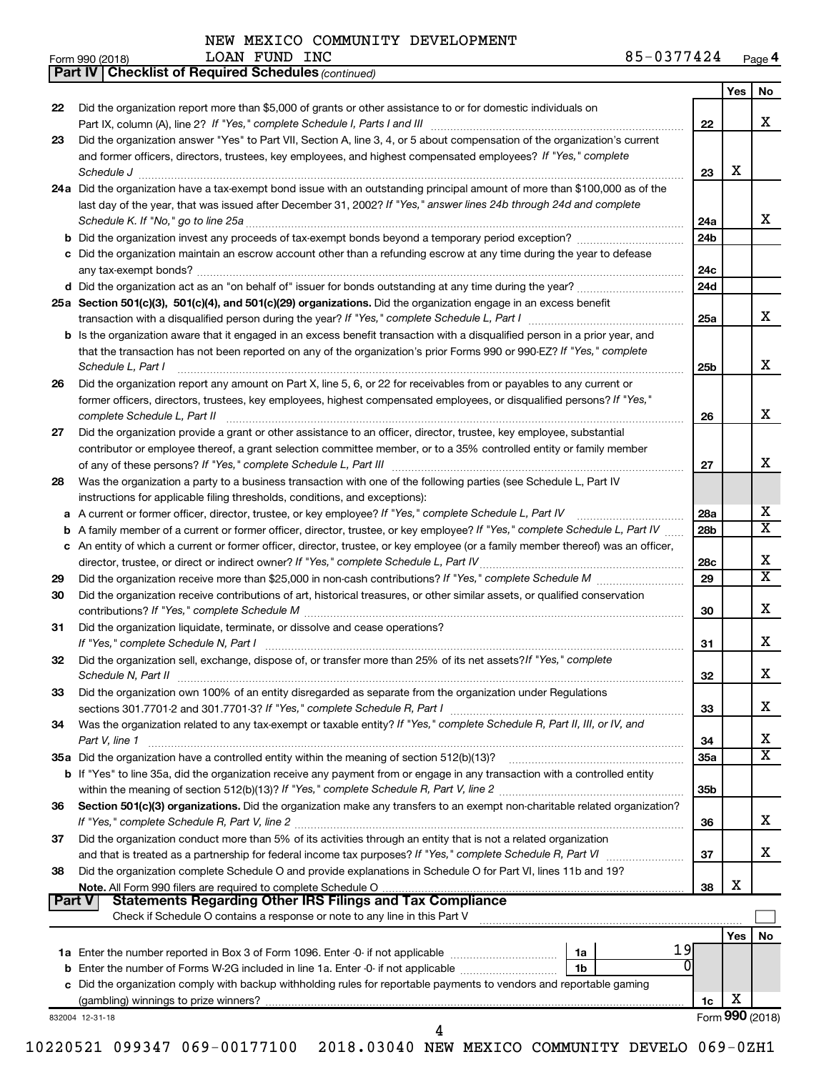*(continued)* **Part IV Checklist of Required Schedules**

LOAN FUND INC

|               |                                                                                                                                                                                                                                |                 | Yes | No              |
|---------------|--------------------------------------------------------------------------------------------------------------------------------------------------------------------------------------------------------------------------------|-----------------|-----|-----------------|
| 22            | Did the organization report more than \$5,000 of grants or other assistance to or for domestic individuals on                                                                                                                  |                 |     |                 |
|               |                                                                                                                                                                                                                                | 22              |     | x               |
| 23            | Did the organization answer "Yes" to Part VII, Section A, line 3, 4, or 5 about compensation of the organization's current                                                                                                     |                 |     |                 |
|               | and former officers, directors, trustees, key employees, and highest compensated employees? If "Yes," complete                                                                                                                 |                 |     |                 |
|               | Schedule J <b>www.communication.communication.communication.com</b>                                                                                                                                                            | 23              | х   |                 |
|               | 24a Did the organization have a tax-exempt bond issue with an outstanding principal amount of more than \$100,000 as of the                                                                                                    |                 |     |                 |
|               | last day of the year, that was issued after December 31, 2002? If "Yes," answer lines 24b through 24d and complete                                                                                                             |                 |     |                 |
|               | Schedule K. If "No," go to line 25a                                                                                                                                                                                            | 24a             |     | x               |
|               |                                                                                                                                                                                                                                | 24 <sub>b</sub> |     |                 |
|               | c Did the organization maintain an escrow account other than a refunding escrow at any time during the year to defease                                                                                                         |                 |     |                 |
|               |                                                                                                                                                                                                                                | 24c             |     |                 |
|               |                                                                                                                                                                                                                                | 24d             |     |                 |
|               | 25a Section 501(c)(3), 501(c)(4), and 501(c)(29) organizations. Did the organization engage in an excess benefit                                                                                                               |                 |     |                 |
|               |                                                                                                                                                                                                                                | 25a             |     | x               |
|               | b Is the organization aware that it engaged in an excess benefit transaction with a disqualified person in a prior year, and                                                                                                   |                 |     |                 |
|               | that the transaction has not been reported on any of the organization's prior Forms 990 or 990-EZ? If "Yes," complete                                                                                                          |                 |     |                 |
|               | Schedule L, Part I                                                                                                                                                                                                             | 25 <sub>b</sub> |     | x               |
| 26            | Did the organization report any amount on Part X, line 5, 6, or 22 for receivables from or payables to any current or                                                                                                          |                 |     |                 |
|               | former officers, directors, trustees, key employees, highest compensated employees, or disqualified persons? If "Yes,"                                                                                                         |                 |     |                 |
|               | complete Schedule L, Part II                                                                                                                                                                                                   | 26              |     | х               |
| 27            | Did the organization provide a grant or other assistance to an officer, director, trustee, key employee, substantial                                                                                                           |                 |     |                 |
|               | contributor or employee thereof, a grant selection committee member, or to a 35% controlled entity or family member                                                                                                            |                 |     |                 |
|               |                                                                                                                                                                                                                                | 27              |     | х               |
| 28            | Was the organization a party to a business transaction with one of the following parties (see Schedule L, Part IV                                                                                                              |                 |     |                 |
|               | instructions for applicable filing thresholds, conditions, and exceptions):                                                                                                                                                    |                 |     |                 |
| a             | A current or former officer, director, trustee, or key employee? If "Yes," complete Schedule L, Part IV                                                                                                                        | 28a             |     | х<br>х          |
| b             | A family member of a current or former officer, director, trustee, or key employee? If "Yes," complete Schedule L, Part IV                                                                                                     | 28 <sub>b</sub> |     |                 |
| c             | An entity of which a current or former officer, director, trustee, or key employee (or a family member thereof) was an officer,                                                                                                |                 |     | х               |
|               |                                                                                                                                                                                                                                | 28c<br>29       |     | X               |
| 29<br>30      | Did the organization receive contributions of art, historical treasures, or other similar assets, or qualified conservation                                                                                                    |                 |     |                 |
|               |                                                                                                                                                                                                                                | 30              |     | х               |
| 31            | Did the organization liquidate, terminate, or dissolve and cease operations?                                                                                                                                                   |                 |     |                 |
|               | If "Yes," complete Schedule N, Part I manufactured and a series of the series of the series of the series of the series of the series of the series of the series of the series of the series of the series of the series of t | 31              |     | x               |
| 32            | Did the organization sell, exchange, dispose of, or transfer more than 25% of its net assets? If "Yes," complete                                                                                                               |                 |     |                 |
|               |                                                                                                                                                                                                                                | 32              |     | х               |
| 33            | Did the organization own 100% of an entity disregarded as separate from the organization under Regulations                                                                                                                     |                 |     |                 |
|               |                                                                                                                                                                                                                                | 33              |     | х               |
| 34            | Was the organization related to any tax-exempt or taxable entity? If "Yes," complete Schedule R, Part II, III, or IV, and                                                                                                      |                 |     |                 |
|               | Part V, line 1                                                                                                                                                                                                                 | 34              |     | х               |
|               |                                                                                                                                                                                                                                | 35a             |     | х               |
|               | <b>b</b> If "Yes" to line 35a, did the organization receive any payment from or engage in any transaction with a controlled entity                                                                                             |                 |     |                 |
|               |                                                                                                                                                                                                                                | 35 <sub>b</sub> |     |                 |
| 36            | Section 501(c)(3) organizations. Did the organization make any transfers to an exempt non-charitable related organization?                                                                                                     |                 |     |                 |
|               |                                                                                                                                                                                                                                | 36              |     | х               |
| 37            | Did the organization conduct more than 5% of its activities through an entity that is not a related organization                                                                                                               |                 |     |                 |
|               | and that is treated as a partnership for federal income tax purposes? If "Yes," complete Schedule R, Part VI                                                                                                                   | 37              |     | х               |
| 38            | Did the organization complete Schedule O and provide explanations in Schedule O for Part VI, lines 11b and 19?                                                                                                                 |                 |     |                 |
|               |                                                                                                                                                                                                                                | 38              | х   |                 |
| <b>Part V</b> | <b>Statements Regarding Other IRS Filings and Tax Compliance</b>                                                                                                                                                               |                 |     |                 |
|               | Check if Schedule O contains a response or note to any line in this Part V                                                                                                                                                     |                 |     |                 |
|               |                                                                                                                                                                                                                                |                 | Yes | No              |
|               | 19<br>1a                                                                                                                                                                                                                       |                 |     |                 |
|               | <b>b</b> Enter the number of Forms W-2G included in line 1a. Enter -0- if not applicable <i>manumeraness</i><br>1b                                                                                                             |                 |     |                 |
|               | c Did the organization comply with backup withholding rules for reportable payments to vendors and reportable gaming                                                                                                           |                 |     |                 |
|               |                                                                                                                                                                                                                                | 1c              | х   |                 |
|               | 832004 12-31-18                                                                                                                                                                                                                |                 |     | Form 990 (2018) |
|               | 4                                                                                                                                                                                                                              |                 |     |                 |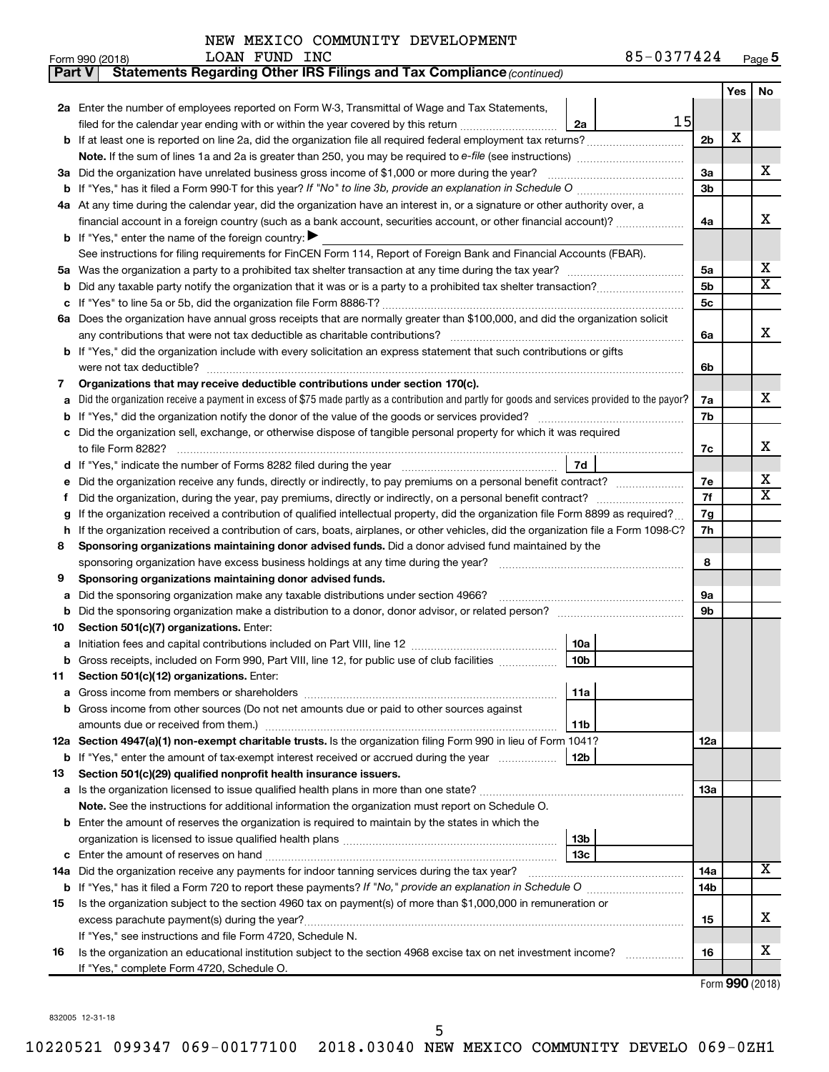| NEW MEXICO COMMUNITY DEVELOPMENT |  |
|----------------------------------|--|
|----------------------------------|--|

| <b>Part V</b> | Statements Regarding Other IRS Filings and Tax Compliance (continued)                                                                                                                                 |     |     |                         |
|---------------|-------------------------------------------------------------------------------------------------------------------------------------------------------------------------------------------------------|-----|-----|-------------------------|
|               |                                                                                                                                                                                                       |     | Yes | No                      |
|               | 2a Enter the number of employees reported on Form W-3, Transmittal of Wage and Tax Statements,                                                                                                        |     |     |                         |
|               | 15<br>filed for the calendar year ending with or within the year covered by this return<br>2a                                                                                                         |     |     |                         |
| b             |                                                                                                                                                                                                       | 2b  | X   |                         |
|               | Note. If the sum of lines 1a and 2a is greater than 250, you may be required to e-file (see instructions) <i></i>                                                                                     |     |     |                         |
| За            | Did the organization have unrelated business gross income of \$1,000 or more during the year?                                                                                                         | За  |     | х                       |
| b             | If "Yes," has it filed a Form 990 T for this year? If "No" to line 3b, provide an explanation in Schedule O manumumum                                                                                 | 3b  |     |                         |
|               | 4a At any time during the calendar year, did the organization have an interest in, or a signature or other authority over, a                                                                          |     |     |                         |
|               | financial account in a foreign country (such as a bank account, securities account, or other financial account)?                                                                                      | 4a  |     | х                       |
|               | <b>b</b> If "Yes," enter the name of the foreign country: $\blacktriangleright$                                                                                                                       |     |     |                         |
|               | See instructions for filing requirements for FinCEN Form 114, Report of Foreign Bank and Financial Accounts (FBAR).                                                                                   |     |     |                         |
| 5a            |                                                                                                                                                                                                       | 5a  |     | х                       |
| b             |                                                                                                                                                                                                       | 5b  |     | $\overline{\mathbf{X}}$ |
|               |                                                                                                                                                                                                       | 5с  |     |                         |
|               | 6a Does the organization have annual gross receipts that are normally greater than \$100,000, and did the organization solicit                                                                        |     |     |                         |
|               | any contributions that were not tax deductible as charitable contributions?                                                                                                                           | 6a  |     | х                       |
| b             | If "Yes," did the organization include with every solicitation an express statement that such contributions or gifts                                                                                  |     |     |                         |
|               | were not tax deductible?                                                                                                                                                                              | 6b  |     |                         |
| 7             | Organizations that may receive deductible contributions under section 170(c).                                                                                                                         |     |     |                         |
| a             | Did the organization receive a payment in excess of \$75 made partly as a contribution and partly for goods and services provided to the payor?                                                       | 7a  |     | x                       |
| b             |                                                                                                                                                                                                       | 7b  |     |                         |
|               | Did the organization sell, exchange, or otherwise dispose of tangible personal property for which it was required                                                                                     |     |     |                         |
|               |                                                                                                                                                                                                       | 7c  |     | х                       |
| d             | 7d                                                                                                                                                                                                    |     |     |                         |
|               | Did the organization receive any funds, directly or indirectly, to pay premiums on a personal benefit contract?                                                                                       | 7e  |     | х                       |
| f             |                                                                                                                                                                                                       | 7f  |     | $\overline{\mathbf{X}}$ |
| g             | If the organization received a contribution of qualified intellectual property, did the organization file Form 8899 as required?                                                                      | 7g  |     |                         |
| h             | If the organization received a contribution of cars, boats, airplanes, or other vehicles, did the organization file a Form 1098-C?                                                                    | 7h  |     |                         |
| 8             | Sponsoring organizations maintaining donor advised funds. Did a donor advised fund maintained by the                                                                                                  |     |     |                         |
|               |                                                                                                                                                                                                       | 8   |     |                         |
| 9             | Sponsoring organizations maintaining donor advised funds.                                                                                                                                             |     |     |                         |
| а             | Did the sponsoring organization make any taxable distributions under section 4966?                                                                                                                    | 9а  |     |                         |
| b             |                                                                                                                                                                                                       | 9b  |     |                         |
| 10            | Section 501(c)(7) organizations. Enter:                                                                                                                                                               |     |     |                         |
| а             | 10a                                                                                                                                                                                                   |     |     |                         |
|               | Gross receipts, included on Form 990, Part VIII, line 12, for public use of club facilities<br>10 <sub>b</sub>                                                                                        |     |     |                         |
| 11            | Section 501(c)(12) organizations. Enter:                                                                                                                                                              |     |     |                         |
| а             | 11a                                                                                                                                                                                                   |     |     |                         |
| b             | Gross income from other sources (Do not net amounts due or paid to other sources against                                                                                                              |     |     |                         |
|               | amounts due or received from them.)<br>11b                                                                                                                                                            |     |     |                         |
|               | 12a Section 4947(a)(1) non-exempt charitable trusts. Is the organization filing Form 990 in lieu of Form 1041?                                                                                        | 12a |     |                         |
|               | b If "Yes," enter the amount of tax-exempt interest received or accrued during the year<br>12b                                                                                                        |     |     |                         |
| 13            | Section 501(c)(29) qualified nonprofit health insurance issuers.                                                                                                                                      |     |     |                         |
|               | a Is the organization licensed to issue qualified health plans in more than one state?                                                                                                                | 13a |     |                         |
|               | Note. See the instructions for additional information the organization must report on Schedule O.<br>Enter the amount of reserves the organization is required to maintain by the states in which the |     |     |                         |
| b             | 13b                                                                                                                                                                                                   |     |     |                         |
| с             | 13c                                                                                                                                                                                                   |     |     |                         |
|               | 14a Did the organization receive any payments for indoor tanning services during the tax year?                                                                                                        | 14a |     | Χ                       |
|               |                                                                                                                                                                                                       | 14b |     |                         |
| 15            | Is the organization subject to the section 4960 tax on payment(s) of more than \$1,000,000 in remuneration or                                                                                         |     |     |                         |
|               | excess parachute payment(s) during the year?                                                                                                                                                          | 15  |     | х                       |
|               | If "Yes," see instructions and file Form 4720, Schedule N.                                                                                                                                            |     |     |                         |
| 16            | Is the organization an educational institution subject to the section 4968 excise tax on net investment income?                                                                                       | 16  |     | x                       |
|               | If "Yes," complete Form 4720, Schedule O.                                                                                                                                                             |     |     |                         |
|               |                                                                                                                                                                                                       |     |     |                         |

Form (2018) **990**

832005 12-31-18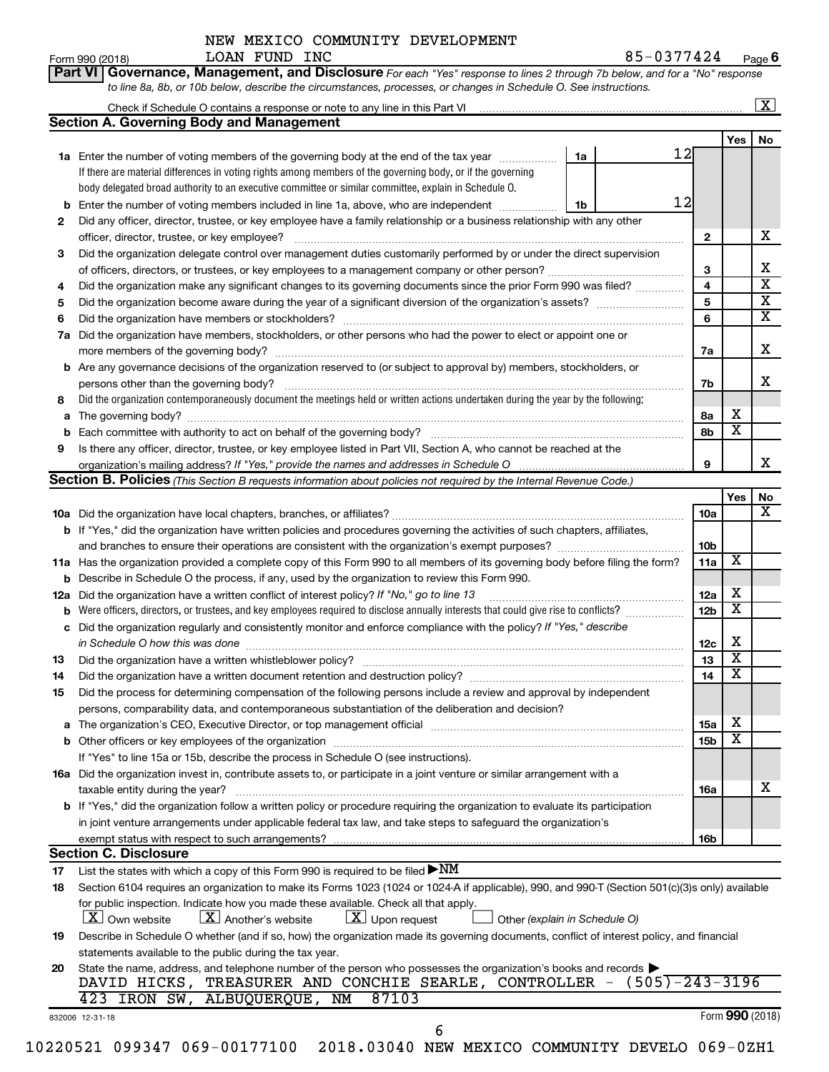|               | NEW MEXICO COMMUNITY DEVELOPMENT |
|---------------|----------------------------------|
| LOAN FUND INC |                                  |

Form 990 (2018) **LOAN FUND INC** 8 5-0 3 7 7 4 2 4 <sub>Page</sub> **6** 

|  | Part VI   Governance, Management, and Disclosure For each "Yes" response to lines 2 through 7b below, and for a "No" response |  |  |  |
|--|-------------------------------------------------------------------------------------------------------------------------------|--|--|--|
|  | to line 8a, 8b, or 10b below, describe the circumstances, processes, or changes in Schedule O. See instructions.              |  |  |  |

|     |                                                                                                                                                                                                                                  |    |    |                         |                         | X                       |
|-----|----------------------------------------------------------------------------------------------------------------------------------------------------------------------------------------------------------------------------------|----|----|-------------------------|-------------------------|-------------------------|
|     | <b>Section A. Governing Body and Management</b>                                                                                                                                                                                  |    |    |                         |                         |                         |
|     |                                                                                                                                                                                                                                  |    |    |                         | Yes                     | No                      |
|     | <b>1a</b> Enter the number of voting members of the governing body at the end of the tax year                                                                                                                                    | 1a | 12 |                         |                         |                         |
|     | If there are material differences in voting rights among members of the governing body, or if the governing                                                                                                                      |    |    |                         |                         |                         |
|     | body delegated broad authority to an executive committee or similar committee, explain in Schedule O.                                                                                                                            |    |    |                         |                         |                         |
| b   | Enter the number of voting members included in line 1a, above, who are independent                                                                                                                                               | 1b | 12 |                         |                         |                         |
| 2   | Did any officer, director, trustee, or key employee have a family relationship or a business relationship with any other                                                                                                         |    |    |                         |                         |                         |
|     | officer, director, trustee, or key employee?                                                                                                                                                                                     |    |    | $\mathbf{2}$            |                         | x                       |
| 3   | Did the organization delegate control over management duties customarily performed by or under the direct supervision                                                                                                            |    |    |                         |                         |                         |
|     |                                                                                                                                                                                                                                  |    |    | 3                       |                         | x                       |
| 4   | Did the organization make any significant changes to its governing documents since the prior Form 990 was filed?                                                                                                                 |    |    | $\overline{\mathbf{4}}$ |                         | $\overline{\mathtt{x}}$ |
| 5   |                                                                                                                                                                                                                                  |    |    | 5                       |                         | $\overline{\textbf{x}}$ |
| 6   |                                                                                                                                                                                                                                  |    |    | 6                       |                         | $\overline{\mathtt{x}}$ |
|     | 7a Did the organization have members, stockholders, or other persons who had the power to elect or appoint one or                                                                                                                |    |    |                         |                         |                         |
|     |                                                                                                                                                                                                                                  |    |    | 7a                      |                         | X                       |
|     | <b>b</b> Are any governance decisions of the organization reserved to (or subject to approval by) members, stockholders, or                                                                                                      |    |    |                         |                         |                         |
|     | persons other than the governing body?                                                                                                                                                                                           |    |    | 7b                      |                         | X                       |
| 8   | Did the organization contemporaneously document the meetings held or written actions undertaken during the year by the following:                                                                                                |    |    |                         |                         |                         |
| a   |                                                                                                                                                                                                                                  |    |    | 8а                      | х                       |                         |
| b   |                                                                                                                                                                                                                                  |    |    | 8b                      | $\overline{\textbf{x}}$ |                         |
| 9   | Is there any officer, director, trustee, or key employee listed in Part VII, Section A, who cannot be reached at the                                                                                                             |    |    |                         |                         |                         |
|     |                                                                                                                                                                                                                                  |    |    | 9                       |                         | x                       |
|     | Section B. Policies (This Section B requests information about policies not required by the Internal Revenue Code.)                                                                                                              |    |    |                         |                         |                         |
|     |                                                                                                                                                                                                                                  |    |    |                         | Yes                     | No                      |
|     |                                                                                                                                                                                                                                  |    |    | 10a                     |                         | $\overline{\mathbf{X}}$ |
|     | <b>b</b> If "Yes," did the organization have written policies and procedures governing the activities of such chapters, affiliates,                                                                                              |    |    |                         |                         |                         |
|     |                                                                                                                                                                                                                                  |    |    | 10 <sub>b</sub>         |                         |                         |
|     | 11a Has the organization provided a complete copy of this Form 990 to all members of its governing body before filing the form?                                                                                                  |    |    | 11a                     | $\overline{\textbf{x}}$ |                         |
| b   | Describe in Schedule O the process, if any, used by the organization to review this Form 990.                                                                                                                                    |    |    |                         |                         |                         |
|     | Did the organization have a written conflict of interest policy? If "No," go to line 13                                                                                                                                          |    |    | 12a                     | х                       |                         |
| 12a | Were officers, directors, or trustees, and key employees required to disclose annually interests that could give rise to conflicts?                                                                                              |    |    | 12 <sub>b</sub>         | $\overline{\textbf{x}}$ |                         |
| b   | Did the organization regularly and consistently monitor and enforce compliance with the policy? If "Yes," describe                                                                                                               |    |    |                         |                         |                         |
| с   |                                                                                                                                                                                                                                  |    |    |                         | х                       |                         |
|     | in Schedule O how this was done measurement and the state of the state of the state of the state of the state o                                                                                                                  |    |    | 12c<br>13               | $\overline{\textbf{x}}$ |                         |
| 13  | Did the organization have a written whistleblower policy?                                                                                                                                                                        |    |    | 14                      | $\overline{\textbf{x}}$ |                         |
| 14  | Did the organization have a written document retention and destruction policy? [11] manufaction manufaction have a written document retention and destruction policy?                                                            |    |    |                         |                         |                         |
| 15  | Did the process for determining compensation of the following persons include a review and approval by independent                                                                                                               |    |    |                         |                         |                         |
|     | persons, comparability data, and contemporaneous substantiation of the deliberation and decision?                                                                                                                                |    |    |                         |                         |                         |
| а   |                                                                                                                                                                                                                                  |    |    | 15a                     | Χ                       |                         |
| b   |                                                                                                                                                                                                                                  |    |    | 15 <sub>b</sub>         | $\overline{\textbf{x}}$ |                         |
|     | If "Yes" to line 15a or 15b, describe the process in Schedule O (see instructions).                                                                                                                                              |    |    |                         |                         |                         |
|     | 16a Did the organization invest in, contribute assets to, or participate in a joint venture or similar arrangement with a                                                                                                        |    |    |                         |                         |                         |
|     | taxable entity during the year?                                                                                                                                                                                                  |    |    | 16a                     |                         | x                       |
|     | b If "Yes," did the organization follow a written policy or procedure requiring the organization to evaluate its participation                                                                                                   |    |    |                         |                         |                         |
|     | in joint venture arrangements under applicable federal tax law, and take steps to safequard the organization's                                                                                                                   |    |    |                         |                         |                         |
|     | exempt status with respect to such arrangements?                                                                                                                                                                                 |    |    | 16b                     |                         |                         |
|     | <b>Section C. Disclosure</b>                                                                                                                                                                                                     |    |    |                         |                         |                         |
| 17  | List the states with which a copy of this Form 990 is required to be filed $\blacktriangleright NM$                                                                                                                              |    |    |                         |                         |                         |
| 18  | Section 6104 requires an organization to make its Forms 1023 (1024 or 1024 A if applicable), 990, and 990-T (Section 501(c)(3)s only) available                                                                                  |    |    |                         |                         |                         |
|     | for public inspection. Indicate how you made these available. Check all that apply.<br><b>X</b> Own website<br>$ \mathbf{X} $ Another's website<br>$\lfloor \underline{X} \rfloor$ Upon request<br>Other (explain in Schedule O) |    |    |                         |                         |                         |
| 19  | Describe in Schedule O whether (and if so, how) the organization made its governing documents, conflict of interest policy, and financial                                                                                        |    |    |                         |                         |                         |
|     | statements available to the public during the tax year.                                                                                                                                                                          |    |    |                         |                         |                         |
| 20  | State the name, address, and telephone number of the person who possesses the organization's books and records                                                                                                                   |    |    |                         |                         |                         |
|     | DAVID HICKS, TREASURER AND CONCHIE SEARLE, CONTROLLER - (505)-243-3196                                                                                                                                                           |    |    |                         |                         |                         |
|     | 87103<br>423 IRON SW, ALBUQUERQUE, NM                                                                                                                                                                                            |    |    |                         |                         |                         |
|     | 832006 12-31-18                                                                                                                                                                                                                  |    |    |                         |                         | Form 990 (2018)         |
|     | 6                                                                                                                                                                                                                                |    |    |                         |                         |                         |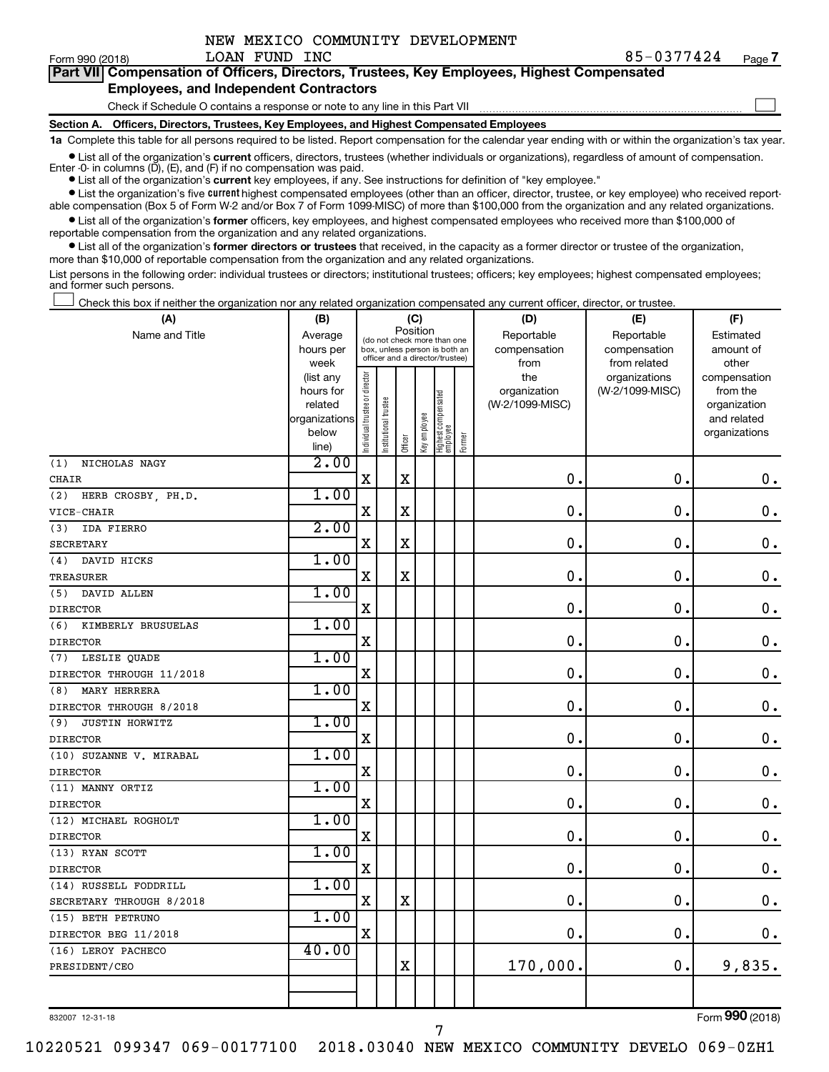| NEW MEXICO COMMUNITY DEVELOPMENT |
|----------------------------------|
|----------------------------------|

 $\Box$ 

|  | Part VII Compensation of Officers, Directors, Trustees, Key Employees, Highest Compensated |
|--|--------------------------------------------------------------------------------------------|
|  | <b>Employees, and Independent Contractors</b>                                              |

#### Check if Schedule O contains a response or note to any line in this Part VII

**Section A. Officers, Directors, Trustees, Key Employees, and Highest Compensated Employees**

**1a**  Complete this table for all persons required to be listed. Report compensation for the calendar year ending with or within the organization's tax year.

**•** List all of the organization's current officers, directors, trustees (whether individuals or organizations), regardless of amount of compensation.

**•** List all of the organization's **current** key employees, if any. See instructions for definition of "key employee." Enter -0- in columns  $(D)$ ,  $(E)$ , and  $(F)$  if no compensation was paid.

**•** List the organization's five current highest compensated employees (other than an officer, director, trustee, or key employee) who received report-

**•** List all of the organization's former officers, key employees, and highest compensated employees who received more than \$100,000 of able compensation (Box 5 of Form W-2 and/or Box 7 of Form 1099-MISC) of more than \$100,000 from the organization and any related organizations. reportable compensation from the organization and any related organizations.

**•** List all of the organization's former directors or trustees that received, in the capacity as a former director or trustee of the organization, more than \$10,000 of reportable compensation from the organization and any related organizations.

List persons in the following order: individual trustees or directors; institutional trustees; officers; key employees; highest compensated employees; and former such persons.

Check this box if neither the organization nor any related organization compensated any current officer, director, or trustee.  $\Box$ 

| (B)       |                                                                                                                                         |                                                                                                                                                                  |                       |                                                         |                     |          | (D)                                                                                                                                          | (E)                                                                                                                                               | (F)                                                                                                                                                                   |
|-----------|-----------------------------------------------------------------------------------------------------------------------------------------|------------------------------------------------------------------------------------------------------------------------------------------------------------------|-----------------------|---------------------------------------------------------|---------------------|----------|----------------------------------------------------------------------------------------------------------------------------------------------|---------------------------------------------------------------------------------------------------------------------------------------------------|-----------------------------------------------------------------------------------------------------------------------------------------------------------------------|
| Average   |                                                                                                                                         |                                                                                                                                                                  |                       |                                                         |                     |          | Reportable                                                                                                                                   | Reportable                                                                                                                                        | Estimated                                                                                                                                                             |
| hours per |                                                                                                                                         |                                                                                                                                                                  |                       |                                                         |                     |          | compensation                                                                                                                                 | compensation                                                                                                                                      | amount of                                                                                                                                                             |
| week      |                                                                                                                                         |                                                                                                                                                                  |                       |                                                         |                     |          | from                                                                                                                                         | from related                                                                                                                                      | other                                                                                                                                                                 |
| (list any |                                                                                                                                         |                                                                                                                                                                  |                       |                                                         |                     |          |                                                                                                                                              | organizations                                                                                                                                     | compensation                                                                                                                                                          |
|           |                                                                                                                                         |                                                                                                                                                                  |                       |                                                         |                     |          |                                                                                                                                              |                                                                                                                                                   | from the                                                                                                                                                              |
|           |                                                                                                                                         |                                                                                                                                                                  |                       |                                                         |                     |          |                                                                                                                                              |                                                                                                                                                   | organization                                                                                                                                                          |
|           |                                                                                                                                         |                                                                                                                                                                  |                       |                                                         |                     |          |                                                                                                                                              |                                                                                                                                                   | and related                                                                                                                                                           |
|           |                                                                                                                                         |                                                                                                                                                                  |                       |                                                         |                     |          |                                                                                                                                              |                                                                                                                                                   | organizations                                                                                                                                                         |
|           |                                                                                                                                         |                                                                                                                                                                  |                       |                                                         |                     |          |                                                                                                                                              |                                                                                                                                                   |                                                                                                                                                                       |
|           |                                                                                                                                         |                                                                                                                                                                  |                       |                                                         |                     |          |                                                                                                                                              |                                                                                                                                                   | $\mathbf 0$ .                                                                                                                                                         |
|           |                                                                                                                                         |                                                                                                                                                                  |                       |                                                         |                     |          |                                                                                                                                              |                                                                                                                                                   |                                                                                                                                                                       |
|           |                                                                                                                                         |                                                                                                                                                                  |                       |                                                         |                     |          |                                                                                                                                              |                                                                                                                                                   | $\mathbf 0$ .                                                                                                                                                         |
|           |                                                                                                                                         |                                                                                                                                                                  |                       |                                                         |                     |          |                                                                                                                                              |                                                                                                                                                   |                                                                                                                                                                       |
|           |                                                                                                                                         |                                                                                                                                                                  |                       |                                                         |                     |          |                                                                                                                                              |                                                                                                                                                   | $\boldsymbol{0}$ .                                                                                                                                                    |
|           |                                                                                                                                         |                                                                                                                                                                  |                       |                                                         |                     |          |                                                                                                                                              |                                                                                                                                                   |                                                                                                                                                                       |
|           |                                                                                                                                         |                                                                                                                                                                  |                       |                                                         |                     |          |                                                                                                                                              |                                                                                                                                                   | $\mathbf 0$ .                                                                                                                                                         |
|           |                                                                                                                                         |                                                                                                                                                                  |                       |                                                         |                     |          |                                                                                                                                              |                                                                                                                                                   |                                                                                                                                                                       |
|           |                                                                                                                                         |                                                                                                                                                                  |                       |                                                         |                     |          |                                                                                                                                              |                                                                                                                                                   | $\mathbf 0$ .                                                                                                                                                         |
|           |                                                                                                                                         |                                                                                                                                                                  |                       |                                                         |                     |          |                                                                                                                                              |                                                                                                                                                   |                                                                                                                                                                       |
|           |                                                                                                                                         |                                                                                                                                                                  |                       |                                                         |                     |          |                                                                                                                                              |                                                                                                                                                   | $\mathbf 0$ .                                                                                                                                                         |
|           |                                                                                                                                         |                                                                                                                                                                  |                       |                                                         |                     |          |                                                                                                                                              |                                                                                                                                                   |                                                                                                                                                                       |
|           |                                                                                                                                         |                                                                                                                                                                  |                       |                                                         |                     |          |                                                                                                                                              |                                                                                                                                                   | $\mathbf 0$ .                                                                                                                                                         |
|           |                                                                                                                                         |                                                                                                                                                                  |                       |                                                         |                     |          |                                                                                                                                              |                                                                                                                                                   |                                                                                                                                                                       |
|           |                                                                                                                                         |                                                                                                                                                                  |                       |                                                         |                     |          |                                                                                                                                              |                                                                                                                                                   | $\mathbf 0$ .                                                                                                                                                         |
|           |                                                                                                                                         |                                                                                                                                                                  |                       |                                                         |                     |          |                                                                                                                                              |                                                                                                                                                   |                                                                                                                                                                       |
|           |                                                                                                                                         |                                                                                                                                                                  |                       |                                                         |                     |          |                                                                                                                                              |                                                                                                                                                   | $\boldsymbol{0}$ .                                                                                                                                                    |
|           |                                                                                                                                         |                                                                                                                                                                  |                       |                                                         |                     |          |                                                                                                                                              |                                                                                                                                                   |                                                                                                                                                                       |
|           |                                                                                                                                         |                                                                                                                                                                  |                       |                                                         |                     |          |                                                                                                                                              |                                                                                                                                                   | $\mathbf 0$ .                                                                                                                                                         |
| 1.00      |                                                                                                                                         |                                                                                                                                                                  |                       |                                                         |                     |          |                                                                                                                                              |                                                                                                                                                   |                                                                                                                                                                       |
|           | $\mathbf X$                                                                                                                             |                                                                                                                                                                  |                       |                                                         |                     |          | $\mathbf 0$                                                                                                                                  | $\mathbf 0$                                                                                                                                       | $\mathbf 0$ .                                                                                                                                                         |
| 1.00      |                                                                                                                                         |                                                                                                                                                                  |                       |                                                         |                     |          |                                                                                                                                              |                                                                                                                                                   |                                                                                                                                                                       |
|           | $\mathbf X$                                                                                                                             |                                                                                                                                                                  |                       |                                                         |                     |          | 0.                                                                                                                                           | $\mathbf 0$                                                                                                                                       | $\mathbf 0$ .                                                                                                                                                         |
| 1.00      |                                                                                                                                         |                                                                                                                                                                  |                       |                                                         |                     |          |                                                                                                                                              |                                                                                                                                                   |                                                                                                                                                                       |
|           | $\mathbf X$                                                                                                                             |                                                                                                                                                                  |                       |                                                         |                     |          | 0.                                                                                                                                           | $\mathbf 0$                                                                                                                                       | $\mathbf 0$ .                                                                                                                                                         |
| 1.00      |                                                                                                                                         |                                                                                                                                                                  |                       |                                                         |                     |          |                                                                                                                                              |                                                                                                                                                   |                                                                                                                                                                       |
|           | $\mathbf X$                                                                                                                             |                                                                                                                                                                  | $\mathbf X$           |                                                         |                     |          | $\mathbf 0$                                                                                                                                  | $\mathbf 0$                                                                                                                                       | $\mathbf 0$ .                                                                                                                                                         |
| 1.00      |                                                                                                                                         |                                                                                                                                                                  |                       |                                                         |                     |          |                                                                                                                                              |                                                                                                                                                   |                                                                                                                                                                       |
|           | $\mathbf X$                                                                                                                             |                                                                                                                                                                  |                       |                                                         |                     |          | 0.                                                                                                                                           | $\mathbf 0$                                                                                                                                       | $\mathbf 0$ .                                                                                                                                                         |
| 40.00     |                                                                                                                                         |                                                                                                                                                                  |                       |                                                         |                     |          |                                                                                                                                              |                                                                                                                                                   |                                                                                                                                                                       |
|           |                                                                                                                                         |                                                                                                                                                                  | $\rm X$               |                                                         |                     |          | 170,000.                                                                                                                                     | $\mathbf 0$ .                                                                                                                                     | 9,835.                                                                                                                                                                |
|           |                                                                                                                                         |                                                                                                                                                                  |                       |                                                         |                     |          |                                                                                                                                              |                                                                                                                                                   |                                                                                                                                                                       |
|           |                                                                                                                                         |                                                                                                                                                                  |                       |                                                         |                     |          |                                                                                                                                              |                                                                                                                                                   |                                                                                                                                                                       |
|           | hours for<br>related<br>organizations<br>below<br>line)<br>2.00<br>1.00<br>2.00<br>1.00<br>1.00<br>1.00<br>1.00<br>1.00<br>1.00<br>1.00 | Individual trustee or director<br>$\mathbf X$<br>X<br>X<br>$\mathbf X$<br>$\mathbf X$<br>$\mathbf X$<br>$\mathbf X$<br>$\mathbf X$<br>$\mathbf X$<br>$\mathbf X$ | Institutional trustee | Officer<br>$\mathbf x$<br>$\rm X$<br>$\rm X$<br>$\rm X$ | (C)<br>Key employee | Position | (do not check more than one<br>box, unless person is both an<br>officer and a director/trustee)<br>Highest compensated<br>employee<br>Former | the<br>organization<br>(W-2/1099-MISC)<br>0.<br>0.<br>$\mathbf 0$<br>0.<br>0.<br>$\mathbf 0$<br>$\mathbf 0$<br>0.<br>$\mathbf 0$ .<br>$\mathbf 0$ | (W-2/1099-MISC)<br>$\mathbf 0$<br>$\mathbf 0$<br>$\mathbf 0$<br>$\mathbf 0$<br>$\mathbf 0$<br>$\mathbf 0$<br>$\mathbf 0$<br>$\mathbf 0$<br>$\mathbf 0$<br>$\mathbf 0$ |

832007 12-31-18

7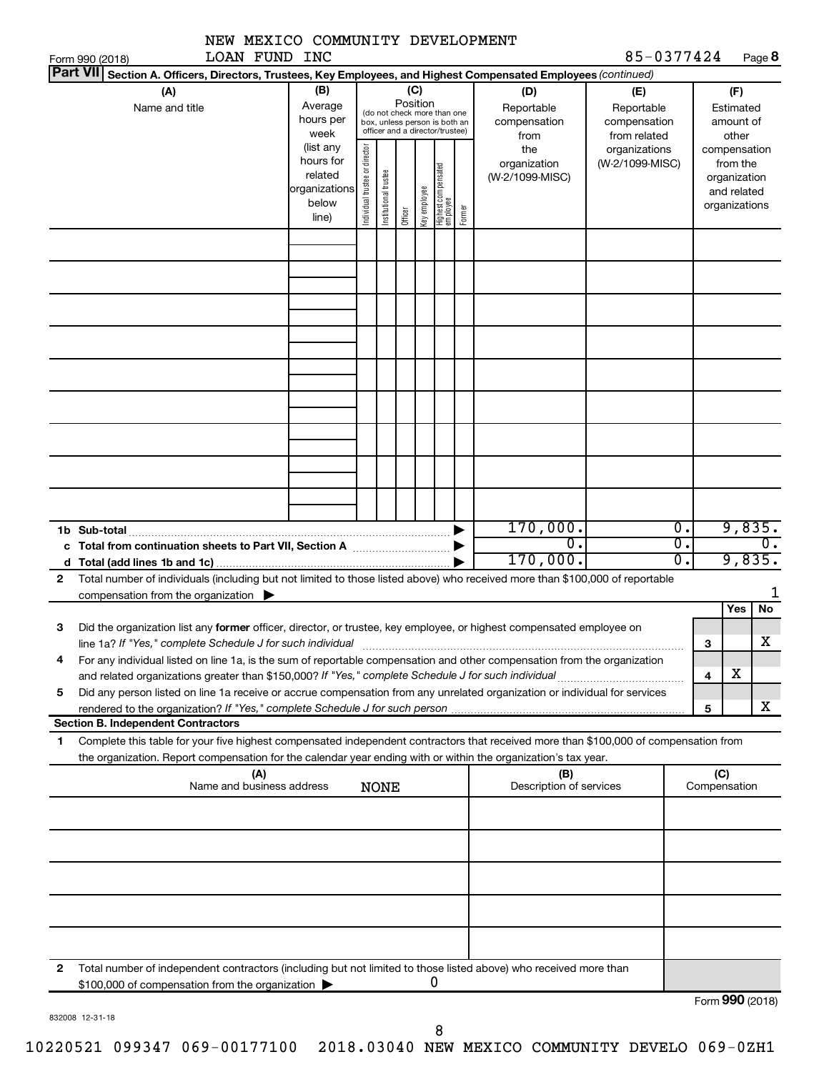|              | NEW MEXICO COMMUNITY DEVELOPMENT                                                                                                                                                                                                                                                                               |                                                                      |                                                                                                                                                                                                               |             |  |  |   |                                                                          |                                           |                                                   |                              |                                        |                                      |
|--------------|----------------------------------------------------------------------------------------------------------------------------------------------------------------------------------------------------------------------------------------------------------------------------------------------------------------|----------------------------------------------------------------------|---------------------------------------------------------------------------------------------------------------------------------------------------------------------------------------------------------------|-------------|--|--|---|--------------------------------------------------------------------------|-------------------------------------------|---------------------------------------------------|------------------------------|----------------------------------------|--------------------------------------|
|              | <b>LOAN FUND INC</b><br>Form 990 (2018)<br><b>Part VII</b>                                                                                                                                                                                                                                                     |                                                                      |                                                                                                                                                                                                               |             |  |  |   |                                                                          |                                           | 85-0377424                                        |                              |                                        | Page 8                               |
|              | Section A. Officers, Directors, Trustees, Key Employees, and Highest Compensated Employees (continued)<br>(A)<br>Name and title                                                                                                                                                                                | (B)<br>Average<br>hours per<br>week                                  | (C)<br>Position<br>(do not check more than one<br>box, unless person is both an<br>officer and a director/trustee)                                                                                            |             |  |  |   |                                                                          | (D)<br>Reportable<br>compensation<br>from | (E)<br>Reportable<br>compensation<br>from related |                              | (F)<br>Estimated<br>amount of<br>other |                                      |
|              |                                                                                                                                                                                                                                                                                                                | (list any<br>hours for<br>related<br>organizations<br>below<br>line) | Individual trustee or director<br>the<br>organizations<br>organization<br>(W-2/1099-MISC)<br>Highest compensated<br>employee<br>Institutional trustee<br>(W-2/1099-MISC)<br>Key employee<br>Former<br>Officer |             |  |  |   | compensation<br>from the<br>organization<br>and related<br>organizations |                                           |                                                   |                              |                                        |                                      |
|              |                                                                                                                                                                                                                                                                                                                |                                                                      |                                                                                                                                                                                                               |             |  |  |   |                                                                          |                                           |                                                   |                              |                                        |                                      |
|              |                                                                                                                                                                                                                                                                                                                |                                                                      |                                                                                                                                                                                                               |             |  |  |   |                                                                          |                                           |                                                   |                              |                                        |                                      |
|              |                                                                                                                                                                                                                                                                                                                |                                                                      |                                                                                                                                                                                                               |             |  |  |   |                                                                          |                                           |                                                   |                              |                                        |                                      |
|              |                                                                                                                                                                                                                                                                                                                |                                                                      |                                                                                                                                                                                                               |             |  |  |   |                                                                          |                                           |                                                   |                              |                                        |                                      |
|              | 1b Sub-total<br>c Total from continuation sheets to Part VII, Section A manuscreen continuum                                                                                                                                                                                                                   |                                                                      |                                                                                                                                                                                                               |             |  |  |   |                                                                          | 170,000.<br>$\overline{0}$<br>170,000.    |                                                   | 0.<br>$\overline{0}$ .<br>Ο. |                                        | 9,835.<br>$\overline{0}$ .<br>9,835. |
| $\mathbf{2}$ | Total number of individuals (including but not limited to those listed above) who received more than \$100,000 of reportable<br>compensation from the organization $\blacktriangleright$                                                                                                                       |                                                                      |                                                                                                                                                                                                               |             |  |  |   |                                                                          |                                           |                                                   |                              |                                        |                                      |
| З<br>4       | Did the organization list any former officer, director, or trustee, key employee, or highest compensated employee on<br>line 1a? If "Yes," complete Schedule J for such individual<br>For any individual listed on line 1a, is the sum of reportable compensation and other compensation from the organization |                                                                      |                                                                                                                                                                                                               |             |  |  |   |                                                                          |                                           |                                                   |                              | Yes<br>з                               | No<br>$\overline{\text{X}}$          |
| 5            | Did any person listed on line 1a receive or accrue compensation from any unrelated organization or individual for services<br>rendered to the organization? If "Yes," complete Schedule J for such person                                                                                                      |                                                                      |                                                                                                                                                                                                               |             |  |  |   |                                                                          |                                           |                                                   |                              | х<br>4<br>5                            | х                                    |
|              | <b>Section B. Independent Contractors</b>                                                                                                                                                                                                                                                                      |                                                                      |                                                                                                                                                                                                               |             |  |  |   |                                                                          |                                           |                                                   |                              |                                        |                                      |
| 1            | Complete this table for your five highest compensated independent contractors that received more than \$100,000 of compensation from<br>the organization. Report compensation for the calendar year ending with or within the organization's tax year.                                                         |                                                                      |                                                                                                                                                                                                               |             |  |  |   |                                                                          |                                           |                                                   |                              |                                        |                                      |
|              | (A)<br>Name and business address                                                                                                                                                                                                                                                                               |                                                                      |                                                                                                                                                                                                               | <b>NONE</b> |  |  |   |                                                                          | (B)<br>Description of services            |                                                   |                              | (C)<br>Compensation                    |                                      |
|              |                                                                                                                                                                                                                                                                                                                |                                                                      |                                                                                                                                                                                                               |             |  |  |   |                                                                          |                                           |                                                   |                              |                                        |                                      |
|              |                                                                                                                                                                                                                                                                                                                |                                                                      |                                                                                                                                                                                                               |             |  |  |   |                                                                          |                                           |                                                   |                              |                                        |                                      |
|              |                                                                                                                                                                                                                                                                                                                |                                                                      |                                                                                                                                                                                                               |             |  |  |   |                                                                          |                                           |                                                   |                              |                                        |                                      |
| 2            | Total number of independent contractors (including but not limited to those listed above) who received more than<br>\$100,000 of compensation from the organization                                                                                                                                            |                                                                      |                                                                                                                                                                                                               |             |  |  | 0 |                                                                          |                                           |                                                   |                              |                                        | $F_{\alpha r}$ QQ $\Omega$ (2018)    |

|  |  | 832008 12-31-18 |
|--|--|-----------------|
|--|--|-----------------|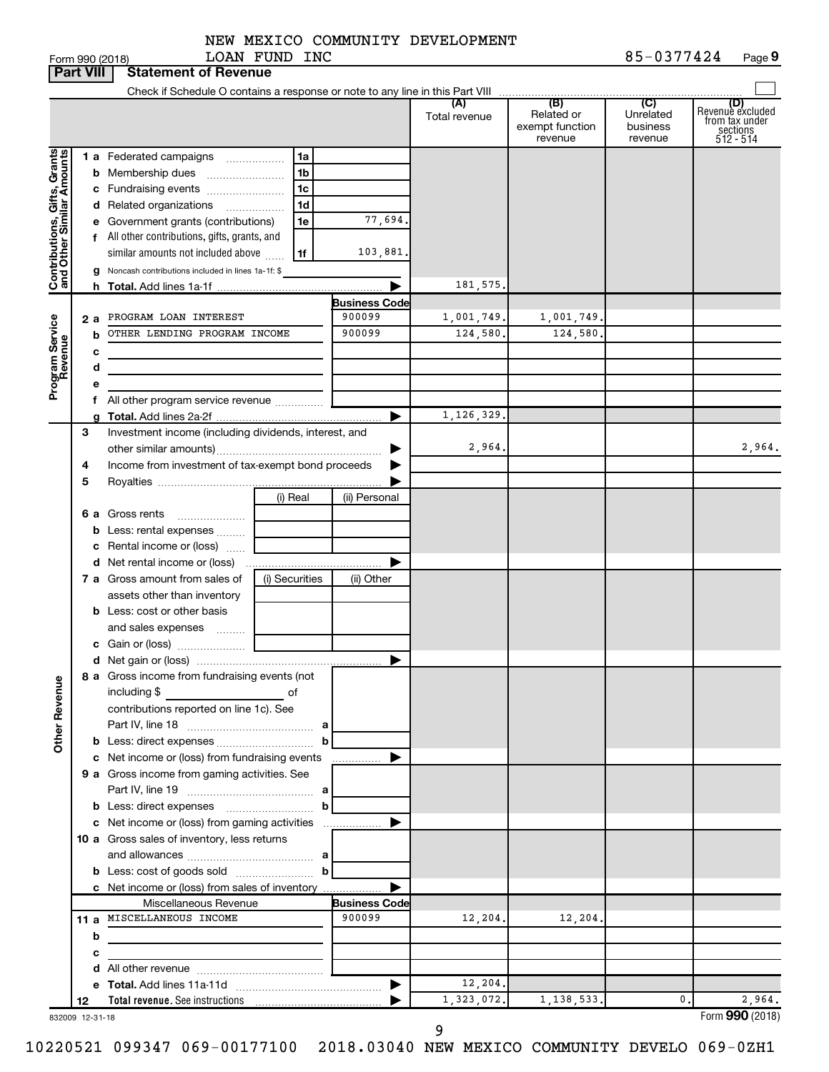|                                                           | <b>Part VIII</b> | <b>Statement of Revenue</b>                                 |                                                  |                      |                      |                                                 |                                                    |                                                                    |
|-----------------------------------------------------------|------------------|-------------------------------------------------------------|--------------------------------------------------|----------------------|----------------------|-------------------------------------------------|----------------------------------------------------|--------------------------------------------------------------------|
|                                                           |                  |                                                             |                                                  |                      |                      |                                                 |                                                    |                                                                    |
|                                                           |                  |                                                             |                                                  |                      | (A)<br>Total revenue | (B)<br>Related or<br>exempt function<br>revenue | $\overline{C}$<br>Unrelated<br>business<br>revenue | (D)<br>Revenue excluded<br>from tax under<br>sections<br>512 - 514 |
|                                                           |                  | 1 a Federated campaigns                                     | 1a                                               |                      |                      |                                                 |                                                    |                                                                    |
|                                                           | b                | Membership dues                                             | 1 <sub>b</sub>                                   |                      |                      |                                                 |                                                    |                                                                    |
|                                                           |                  | c Fundraising events                                        | 1c                                               |                      |                      |                                                 |                                                    |                                                                    |
|                                                           |                  | d Related organizations<br>.                                | 1d                                               |                      |                      |                                                 |                                                    |                                                                    |
|                                                           | е                | Government grants (contributions)                           | 1e                                               | 77,694.              |                      |                                                 |                                                    |                                                                    |
|                                                           |                  | f All other contributions, gifts, grants, and               |                                                  |                      |                      |                                                 |                                                    |                                                                    |
|                                                           |                  | similar amounts not included above                          | 1f                                               | 103,881.             |                      |                                                 |                                                    |                                                                    |
| Contributions, Gifts, Grants<br>and Other Similar Amounts | g                | Noncash contributions included in lines 1a-1f: \$           |                                                  |                      |                      |                                                 |                                                    |                                                                    |
|                                                           |                  |                                                             |                                                  |                      | 181,575              |                                                 |                                                    |                                                                    |
|                                                           |                  |                                                             |                                                  | <b>Business Code</b> |                      |                                                 |                                                    |                                                                    |
|                                                           | 2 a              | PROGRAM LOAN INTEREST                                       |                                                  | 900099               | 1,001,749.           | 1,001,749                                       |                                                    |                                                                    |
|                                                           | b                | OTHER LENDING PROGRAM INCOME                                |                                                  | 900099               | 124,580.             | 124,580                                         |                                                    |                                                                    |
| Program Service<br>Revenue                                | с                |                                                             |                                                  |                      |                      |                                                 |                                                    |                                                                    |
|                                                           | d                | the control of the control of the control of the control of |                                                  |                      |                      |                                                 |                                                    |                                                                    |
|                                                           |                  |                                                             |                                                  |                      |                      |                                                 |                                                    |                                                                    |
|                                                           |                  | All other program service revenue                           |                                                  |                      |                      |                                                 |                                                    |                                                                    |
|                                                           |                  |                                                             |                                                  |                      | 1,126,329.           |                                                 |                                                    |                                                                    |
|                                                           | 3                | Investment income (including dividends, interest, and       |                                                  |                      |                      |                                                 |                                                    |                                                                    |
|                                                           |                  |                                                             |                                                  |                      | 2,964                |                                                 |                                                    | 2,964.                                                             |
|                                                           | 4                | Income from investment of tax-exempt bond proceeds          |                                                  |                      |                      |                                                 |                                                    |                                                                    |
|                                                           | 5                |                                                             |                                                  |                      |                      |                                                 |                                                    |                                                                    |
|                                                           |                  |                                                             | (i) Real                                         | (ii) Personal        |                      |                                                 |                                                    |                                                                    |
|                                                           | 6а               | Gross rents                                                 |                                                  |                      |                      |                                                 |                                                    |                                                                    |
|                                                           | b                | Less: rental expenses                                       |                                                  |                      |                      |                                                 |                                                    |                                                                    |
|                                                           | с                | Rental income or (loss)                                     |                                                  |                      |                      |                                                 |                                                    |                                                                    |
|                                                           |                  |                                                             |                                                  |                      |                      |                                                 |                                                    |                                                                    |
|                                                           |                  | 7 a Gross amount from sales of                              | (i) Securities                                   | (ii) Other           |                      |                                                 |                                                    |                                                                    |
|                                                           |                  | assets other than inventory                                 |                                                  |                      |                      |                                                 |                                                    |                                                                    |
|                                                           |                  | <b>b</b> Less: cost or other basis                          |                                                  |                      |                      |                                                 |                                                    |                                                                    |
|                                                           |                  | and sales expenses                                          |                                                  |                      |                      |                                                 |                                                    |                                                                    |
|                                                           |                  |                                                             |                                                  |                      |                      |                                                 |                                                    |                                                                    |
|                                                           |                  | 8 a Gross income from fundraising events (not               |                                                  |                      |                      |                                                 |                                                    |                                                                    |
| <b>Other Revenue</b>                                      |                  | including \$<br><u> 1990 - Johann Barbara, martx</u>        | of                                               |                      |                      |                                                 |                                                    |                                                                    |
|                                                           |                  | contributions reported on line 1c). See                     |                                                  |                      |                      |                                                 |                                                    |                                                                    |
|                                                           |                  |                                                             | b                                                |                      |                      |                                                 |                                                    |                                                                    |
|                                                           |                  | c Net income or (loss) from fundraising events              |                                                  | .                    |                      |                                                 |                                                    |                                                                    |
|                                                           |                  | 9 a Gross income from gaming activities. See                |                                                  |                      |                      |                                                 |                                                    |                                                                    |
|                                                           |                  |                                                             |                                                  |                      |                      |                                                 |                                                    |                                                                    |
|                                                           |                  |                                                             | b                                                |                      |                      |                                                 |                                                    |                                                                    |
|                                                           |                  |                                                             |                                                  |                      |                      |                                                 |                                                    |                                                                    |
|                                                           |                  | 10 a Gross sales of inventory, less returns                 |                                                  |                      |                      |                                                 |                                                    |                                                                    |
|                                                           |                  |                                                             |                                                  |                      |                      |                                                 |                                                    |                                                                    |
|                                                           |                  |                                                             | $\mathbf{b}$                                     |                      |                      |                                                 |                                                    |                                                                    |
|                                                           |                  | c Net income or (loss) from sales of inventory              |                                                  |                      |                      |                                                 |                                                    |                                                                    |
|                                                           |                  | Miscellaneous Revenue                                       |                                                  | <b>Business Code</b> |                      |                                                 |                                                    |                                                                    |
|                                                           |                  | 11 a MISCELLANEOUS INCOME                                   |                                                  | 900099               | 12,204.              | 12,204.                                         |                                                    |                                                                    |
|                                                           | b                | the control of the control of the control of the control of |                                                  |                      |                      |                                                 |                                                    |                                                                    |
|                                                           | с                |                                                             | the control of the control of the control of the |                      |                      |                                                 |                                                    |                                                                    |
|                                                           |                  |                                                             |                                                  |                      |                      |                                                 |                                                    |                                                                    |
|                                                           |                  |                                                             |                                                  |                      | 12,204.              |                                                 | 0.                                                 |                                                                    |
| 00000                                                     | 12               |                                                             |                                                  |                      | 1,323,072.           | 1,138,533.                                      |                                                    | 2,964.<br>Enrm $QQ \cap (2018)$                                    |

9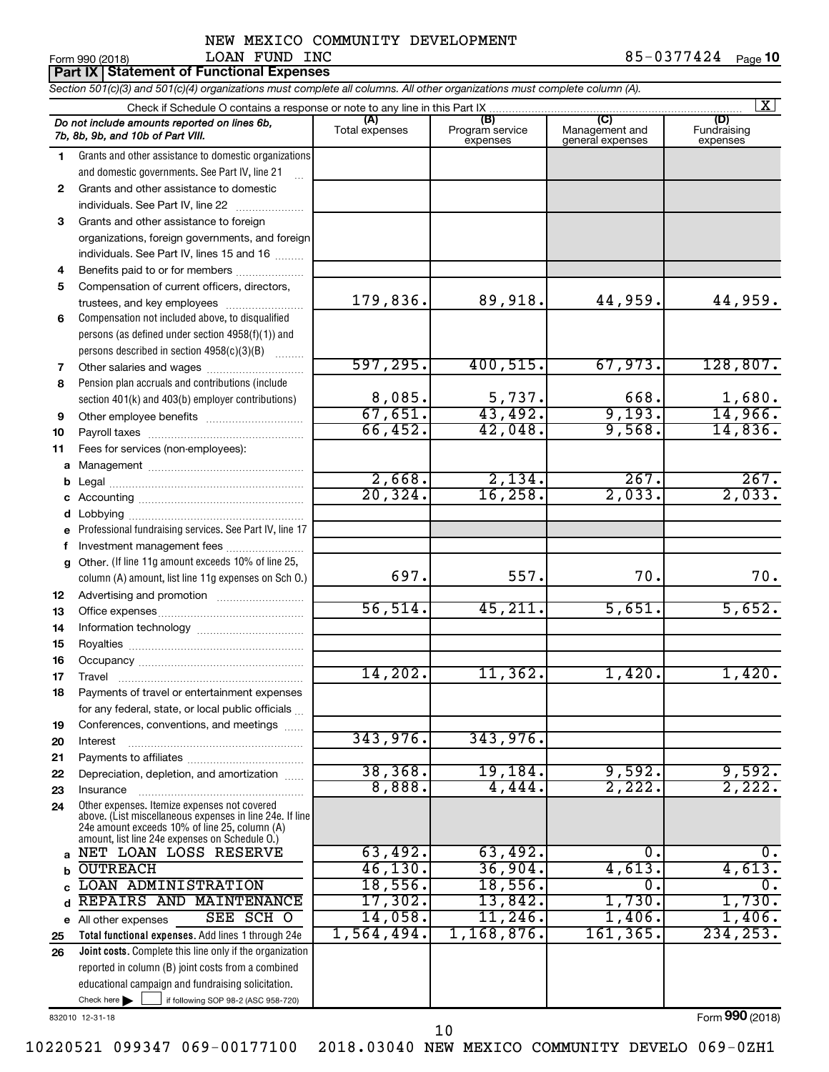| Form 990 (2018) | LOAN.<br>FUNL                            | INC | 424 | Page |
|-----------------|------------------------------------------|-----|-----|------|
|                 | Dart IX Statement of Eunctional Expenses |     |     |      |

|             | <b>Part IX Statement of Functional Expenses</b>                                                                                                                                                             |                       |                                    |                                           |                                |
|-------------|-------------------------------------------------------------------------------------------------------------------------------------------------------------------------------------------------------------|-----------------------|------------------------------------|-------------------------------------------|--------------------------------|
|             | Section 501(c)(3) and 501(c)(4) organizations must complete all columns. All other organizations must complete column (A).                                                                                  |                       |                                    |                                           |                                |
|             | Check if Schedule O contains a response or note to any line in this Part IX                                                                                                                                 |                       |                                    |                                           | X                              |
|             | Do not include amounts reported on lines 6b,<br>7b, 8b, 9b, and 10b of Part VIII.                                                                                                                           | (A)<br>Total expenses | (B)<br>Program service<br>expenses | (C)<br>Management and<br>general expenses | (D)<br>Fundraising<br>expenses |
| 1           | Grants and other assistance to domestic organizations                                                                                                                                                       |                       |                                    |                                           |                                |
|             | and domestic governments. See Part IV, line 21                                                                                                                                                              |                       |                                    |                                           |                                |
| 2           | Grants and other assistance to domestic                                                                                                                                                                     |                       |                                    |                                           |                                |
|             | individuals. See Part IV, line 22<br><u> 1986 - Johann Stoff, Amerikaansk politiker (</u>                                                                                                                   |                       |                                    |                                           |                                |
| 3           | Grants and other assistance to foreign                                                                                                                                                                      |                       |                                    |                                           |                                |
|             | organizations, foreign governments, and foreign                                                                                                                                                             |                       |                                    |                                           |                                |
|             | individuals. See Part IV, lines 15 and 16                                                                                                                                                                   |                       |                                    |                                           |                                |
| 4           | Benefits paid to or for members                                                                                                                                                                             |                       |                                    |                                           |                                |
| 5           | Compensation of current officers, directors,                                                                                                                                                                |                       |                                    |                                           |                                |
|             | trustees, and key employees                                                                                                                                                                                 | 179,836.              | 89,918.                            | 44,959.                                   | 44,959.                        |
| 6           | Compensation not included above, to disqualified                                                                                                                                                            |                       |                                    |                                           |                                |
|             | persons (as defined under section 4958(f)(1)) and                                                                                                                                                           |                       |                                    |                                           |                                |
|             | persons described in section 4958(c)(3)(B)                                                                                                                                                                  | 597, 295.             |                                    |                                           |                                |
| 7           | Other salaries and wages                                                                                                                                                                                    |                       | 400, 515.                          | 67,973.                                   | 128,807.                       |
| 8           | Pension plan accruals and contributions (include                                                                                                                                                            | 8,085.                |                                    | 668.                                      | 1,680.                         |
|             | section 401(k) and 403(b) employer contributions)                                                                                                                                                           | 67,651.               | 5,737.<br>43,492.                  | 9,193.                                    | 14,966.                        |
| 9           |                                                                                                                                                                                                             | 66,452.               | 42,048.                            | 9,568.                                    | 14,836.                        |
| 10          |                                                                                                                                                                                                             |                       |                                    |                                           |                                |
| 11          | Fees for services (non-employees):                                                                                                                                                                          |                       |                                    |                                           |                                |
| а           |                                                                                                                                                                                                             | 2,668.                | 2,134.                             | 267.                                      | 267.                           |
| b<br>С      |                                                                                                                                                                                                             | 20, 324.              | 16, 258.                           | 2,033.                                    | 2,033.                         |
| d           |                                                                                                                                                                                                             |                       |                                    |                                           |                                |
|             | Professional fundraising services. See Part IV, line 17                                                                                                                                                     |                       |                                    |                                           |                                |
| $\mathbf f$ | Investment management fees                                                                                                                                                                                  |                       |                                    |                                           |                                |
| g           | Other. (If line 11g amount exceeds 10% of line 25,                                                                                                                                                          |                       |                                    |                                           |                                |
|             | column (A) amount, list line 11g expenses on Sch O.)                                                                                                                                                        | 697.                  | 557.                               | 70.                                       | 70.                            |
| 12          |                                                                                                                                                                                                             |                       |                                    |                                           |                                |
| 13          |                                                                                                                                                                                                             | 56, 514.              | 45,211.                            | 5,651.                                    | 5,652.                         |
| 14          |                                                                                                                                                                                                             |                       |                                    |                                           |                                |
| 15          |                                                                                                                                                                                                             |                       |                                    |                                           |                                |
| 16          |                                                                                                                                                                                                             |                       |                                    |                                           |                                |
| 17          | Travel                                                                                                                                                                                                      | 14,202.               | 11,362.                            | 1,420.                                    | 1,420.                         |
| 18          | Payments of travel or entertainment expenses                                                                                                                                                                |                       |                                    |                                           |                                |
|             | for any federal, state, or local public officials                                                                                                                                                           |                       |                                    |                                           |                                |
| 19          | Conferences, conventions, and meetings                                                                                                                                                                      |                       |                                    |                                           |                                |
| 20          | Interest                                                                                                                                                                                                    | 343,976.              | 343,976.                           |                                           |                                |
| 21          |                                                                                                                                                                                                             |                       |                                    |                                           |                                |
| 22          | Depreciation, depletion, and amortization                                                                                                                                                                   | 38, 368.              | 19, 184.                           | 9,592.                                    | 9,592.                         |
| 23          | Insurance                                                                                                                                                                                                   | 8,888.                | 4,444.                             | 2,222.                                    | 2,222.                         |
| 24          | Other expenses. Itemize expenses not covered<br>above. (List miscellaneous expenses in line 24e. If line<br>24e amount exceeds 10% of line 25, column (A)<br>amount, list line 24e expenses on Schedule O.) |                       |                                    |                                           |                                |
| a           | NET LOAN LOSS RESERVE                                                                                                                                                                                       | 63,492.               | 63,492.                            | 0.                                        | 0.                             |
| b           | <b>OUTREACH</b>                                                                                                                                                                                             | 46, 130.              | 36,904.                            | 4,613.                                    | 4,613.                         |
| C           | LOAN ADMINISTRATION                                                                                                                                                                                         | 18,556.               | 18,556.                            | 0.                                        | о.                             |
| d           | REPAIRS AND MAINTENANCE                                                                                                                                                                                     | 17,302.               | 13,842.                            | 1,730.                                    | 1,730.                         |
|             | SEE SCH O<br>e All other expenses                                                                                                                                                                           | 14,058.               | $11,246$ .                         | 1,406.                                    | 1,406.                         |
| 25          | Total functional expenses. Add lines 1 through 24e                                                                                                                                                          | 1,564,494.            | 1,168,876.                         | 161, 365.                                 | 234, 253.                      |
| 26          | Joint costs. Complete this line only if the organization                                                                                                                                                    |                       |                                    |                                           |                                |
|             | reported in column (B) joint costs from a combined                                                                                                                                                          |                       |                                    |                                           |                                |
|             | educational campaign and fundraising solicitation.                                                                                                                                                          |                       |                                    |                                           |                                |

832010 12-31-18

Check here  $\blacktriangleright$ 

Form (2018) **990**

Check here  $\begin{array}{c} \begin{array}{|c} \hline \end{array} \end{array}$  if following SOP 98-2 (ASC 958-720)

10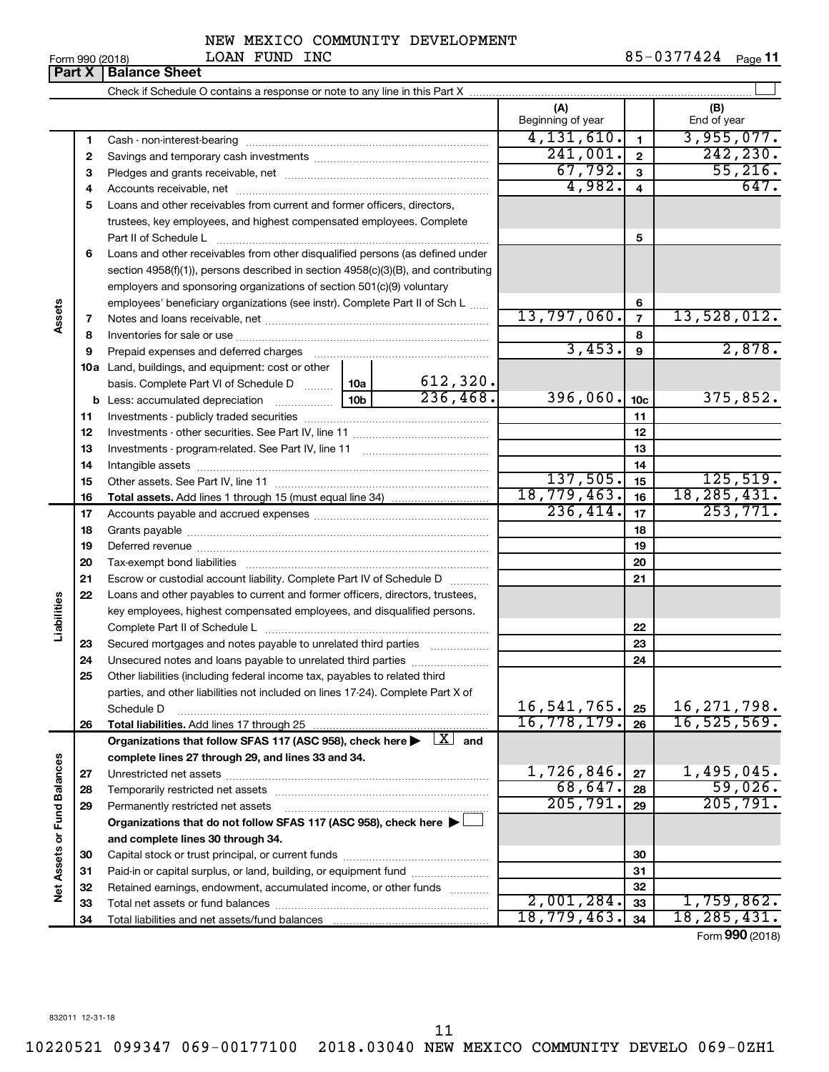|  | Form 990 (2018) |
|--|-----------------|
|--|-----------------|

#### NEW MEXICO COMMUNITY DEVELOPMENT LOAN FUND INC 85-0377424

**Part X** | Balance Sheet  $\perp$ Check if Schedule O contains a response or note to any line in this Part X **(A) (B)** Beginning of year | | End of year 4,131,610. 3,955,077. **1 1** Cash - non-interest-bearing ~~~~~~~~~~~~~~~~~~~~~~~~~  $241,001$ .  $2$   $242,230$ . **2 2** Savings and temporary cash investments ~~~~~~~~~~~~~~~~~~  $\begin{array}{|c|c|c|c|c|}\hline 67,792 & \text{a} & \text{55,216} \hline \end{array}$ **3 3** Pledges and grants receivable, net ~~~~~~~~~~~~~~~~~~~~~ 4,982. 647. **4 4** Accounts receivable, net ~~~~~~~~~~~~~~~~~~~~~~~~~~ **5** Loans and other receivables from current and former officers, directors, trustees, key employees, and highest compensated employees. Complete **5** Part II of Schedule L ~~~~~~~~~~~~~~~~~~~~~~~~~~~~ **6** Loans and other receivables from other disqualified persons (as defined under section 4958(f)(1)), persons described in section 4958(c)(3)(B), and contributing employers and sponsoring organizations of section 501(c)(9) voluntary employees' beneficiary organizations (see instr). Complete Part II of Sch L ...... **6 Assets** 13,797,060. 13,528,012. **7 7** Notes and loans receivable, net ~~~~~~~~~~~~~~~~~~~~~~~ **8 8** Inventories for sale or use ~~~~~~~~~~~~~~~~~~~~~~~~~~  $3,453.$  9  $2,878.$ **9 9** Prepaid expenses and deferred charges ~~~~~~~~~~~~~~~~~~ **10 a** Land, buildings, and equipment: cost or other 612,320. basis. Complete Part VI of Schedule D  $\frac{1}{10}$  10a  $236,468.$  396,060.  $1_{10c}$  375,852. **10c b** Less: accumulated depreciation  $\ldots$  [10b **11 11** Investments - publicly traded securities ~~~~~~~~~~~~~~~~~~~ **12 12** Investments - other securities. See Part IV, line 11 ~~~~~~~~~~~~~~ **13 13** Investments - program-related. See Part IV, line 11 ~~~~~~~~~~~~~ **14 14** Intangible assets ~~~~~~~~~~~~~~~~~~~~~~~~~~~~~~  $137,505.$  15 125,519. Other assets. See Part IV, line 11 ~~~~~~~~~~~~~~~~~~~~~~ **15 15** 18,779,463. 16 18,285,431. **16 16 Total assets.**  Add lines 1 through 15 (must equal line 34)  $236,414.$   $\mid$   $\mid$   $\mid$   $\mid$   $253,771.$ **17 17** Accounts payable and accrued expenses ~~~~~~~~~~~~~~~~~~ **18 18** Grants payable ~~~~~~~~~~~~~~~~~~~~~~~~~~~~~~~ **19 19** Deferred revenue ~~~~~~~~~~~~~~~~~~~~~~~~~~~~~~ **20 20** Tax-exempt bond liabilities ~~~~~~~~~~~~~~~~~~~~~~~~~ **21 21** Escrow or custodial account liability. Complete Part IV of Schedule D ........... **22** Loans and other payables to current and former officers, directors, trustees, **Liabilities** key employees, highest compensated employees, and disqualified persons. Complete Part II of Schedule L ~~~~~~~~~~~~~~~~~~~~~~~ **22** Secured mortgages and notes payable to unrelated third parties  $\ldots$ ................. **23 23 24** Unsecured notes and loans payable to unrelated third parties ~~~~~~~~ **24 25** Other liabilities (including federal income tax, payables to related third parties, and other liabilities not included on lines 17-24). Complete Part X of 16,541,765. 25 | 16,271,798. Schedule D ~~~~~~~~~~~~~~~~~~~~~~~~~~~~~~~~ **25** 16,778,179. 16,525,569. **26 26 Total liabilities.**  Add lines 17 through 25 Organizations that follow SFAS 117 (ASC 958), check here  $\blacktriangleright$   $\boxed{X}$  and **complete lines 27 through 29, and lines 33 and 34. Vet Assets or Fund Balances Net Assets or Fund Balances**  $1,726,846.$   $27$  1,495,045. **27 27** Unrestricted net assets ~~~~~~~~~~~~~~~~~~~~~~~~~~~ 68,647. 59,026. **28 28** Temporarily restricted net assets ~~~~~~~~~~~~~~~~~~~~~~ 205,791. 205,791. **29 29** Permanently restricted net assets ~~~~~~~~~~~~~~~~~~~~~ **Organizations that do not follow SFAS 117 (ASC 958), check here** | † **and complete lines 30 through 34. 30 30** Capital stock or trust principal, or current funds ~~~~~~~~~~~~~~~ **31 31** Paid-in or capital surplus, or land, building, or equipment fund ....................... **32 32** Retained earnings, endowment, accumulated income, or other funds ............  $2,001,284.$   $33$  1, 759, 862. **33** Total net assets or fund balances ~~~~~~~~~~~~~~~~~~~~~~ **33**

Form (2018) **990**

**34**

18,779,463**.** 34 18,285,431.

832011 12-31-18

**34**

Total liabilities and net assets/fund balances

11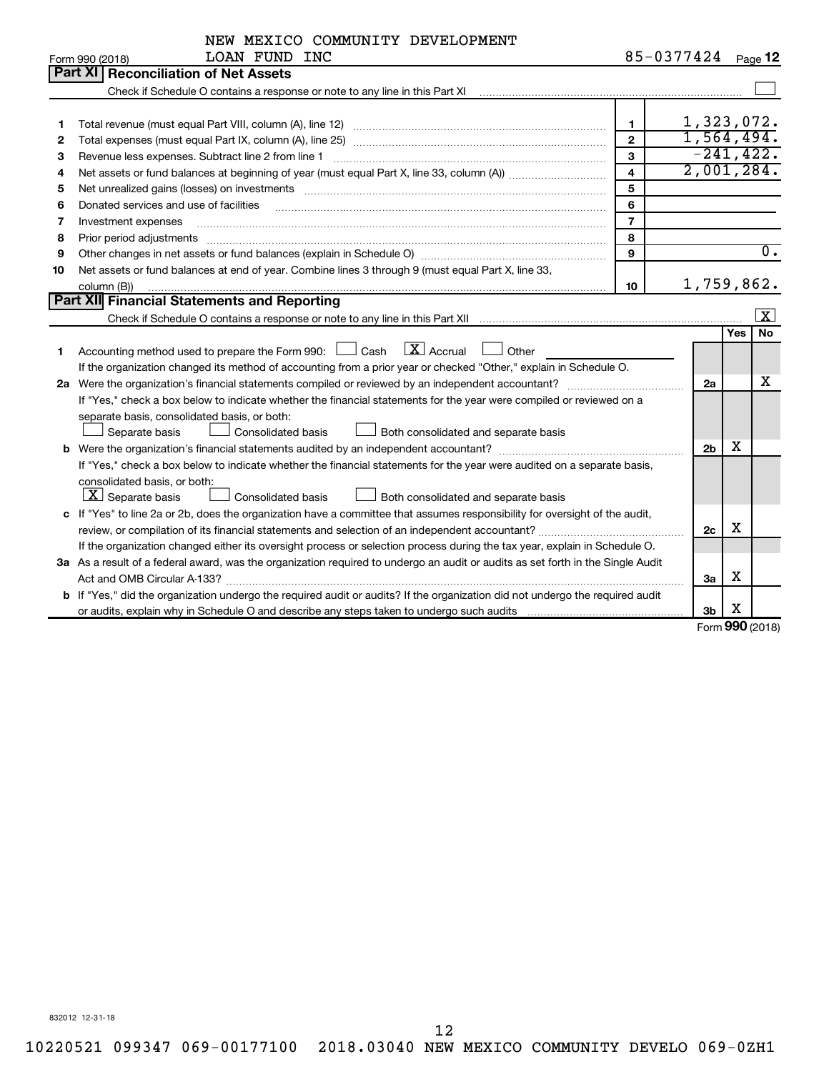|    | NEW MEXICO COMMUNITY DEVELOPMENT                                                                                                                                                                                               |                         |                |     |                         |  |  |
|----|--------------------------------------------------------------------------------------------------------------------------------------------------------------------------------------------------------------------------------|-------------------------|----------------|-----|-------------------------|--|--|
|    | LOAN FUND INC<br>Form 990 (2018)                                                                                                                                                                                               |                         | 85-0377424     |     | Page <b>12</b>          |  |  |
|    | Part XI<br><b>Reconciliation of Net Assets</b>                                                                                                                                                                                 |                         |                |     |                         |  |  |
|    |                                                                                                                                                                                                                                |                         |                |     |                         |  |  |
|    |                                                                                                                                                                                                                                |                         |                |     |                         |  |  |
| 1  | Total revenue (must equal Part VIII, column (A), line 12)                                                                                                                                                                      | $\mathbf{1}$            | 1,323,072.     |     |                         |  |  |
| 2  |                                                                                                                                                                                                                                | $\mathbf{2}$            | 1,564,494.     |     |                         |  |  |
| з  | Revenue less expenses. Subtract line 2 from line 1                                                                                                                                                                             | 3                       | $-241, 422.$   |     |                         |  |  |
| 4  |                                                                                                                                                                                                                                | $\overline{\mathbf{4}}$ | 2,001,284.     |     |                         |  |  |
| 5  | Net unrealized gains (losses) on investments [11] matter contracts and the state of the state of the state of the state of the state of the state of the state of the state of the state of the state of the state of the stat | 5                       |                |     |                         |  |  |
| 6  | Donated services and use of facilities                                                                                                                                                                                         | 6                       |                |     |                         |  |  |
| 7  | Investment expenses                                                                                                                                                                                                            | $\overline{7}$          |                |     |                         |  |  |
| 8  | Prior period adjustments                                                                                                                                                                                                       | 8                       |                |     |                         |  |  |
| 9  |                                                                                                                                                                                                                                | 9                       |                |     | $\overline{0}$ .        |  |  |
| 10 | Net assets or fund balances at end of year. Combine lines 3 through 9 (must equal Part X, line 33,                                                                                                                             |                         |                |     |                         |  |  |
|    | 1,759,862.<br>10<br>column (B))                                                                                                                                                                                                |                         |                |     |                         |  |  |
|    | Part XII Financial Statements and Reporting                                                                                                                                                                                    |                         |                |     |                         |  |  |
|    |                                                                                                                                                                                                                                |                         |                |     | $\overline{\mathbf{x}}$ |  |  |
|    |                                                                                                                                                                                                                                |                         |                | Yes | <b>No</b>               |  |  |
| 1  | $\boxed{\text{X}}$ Accrual<br>Accounting method used to prepare the Form 990: $\Box$ Cash<br>Other                                                                                                                             |                         |                |     |                         |  |  |
|    | If the organization changed its method of accounting from a prior year or checked "Other," explain in Schedule O.                                                                                                              |                         |                |     |                         |  |  |
|    |                                                                                                                                                                                                                                |                         | 2a             |     | х                       |  |  |
|    | If "Yes," check a box below to indicate whether the financial statements for the year were compiled or reviewed on a                                                                                                           |                         |                |     |                         |  |  |
|    | separate basis, consolidated basis, or both:                                                                                                                                                                                   |                         |                |     |                         |  |  |
|    | <b>Consolidated basis</b><br>Separate basis<br>Both consolidated and separate basis                                                                                                                                            |                         |                |     |                         |  |  |
|    |                                                                                                                                                                                                                                |                         | 2 <sub>b</sub> | X   |                         |  |  |
|    | If "Yes," check a box below to indicate whether the financial statements for the year were audited on a separate basis,                                                                                                        |                         |                |     |                         |  |  |
|    | consolidated basis, or both:                                                                                                                                                                                                   |                         |                |     |                         |  |  |
|    | $X$ Separate basis<br>Consolidated basis<br>Both consolidated and separate basis                                                                                                                                               |                         |                |     |                         |  |  |
|    | c If "Yes" to line 2a or 2b, does the organization have a committee that assumes responsibility for oversight of the audit,                                                                                                    |                         |                | х   |                         |  |  |
|    |                                                                                                                                                                                                                                |                         |                |     |                         |  |  |
|    | If the organization changed either its oversight process or selection process during the tax year, explain in Schedule O.                                                                                                      |                         |                |     |                         |  |  |
|    | 3a As a result of a federal award, was the organization required to undergo an audit or audits as set forth in the Single Audit                                                                                                |                         |                |     |                         |  |  |
|    |                                                                                                                                                                                                                                |                         | За             | х   |                         |  |  |
|    | b If "Yes," did the organization undergo the required audit or audits? If the organization did not undergo the required audit                                                                                                  |                         |                |     |                         |  |  |
|    |                                                                                                                                                                                                                                |                         | 3b             | х   |                         |  |  |

Form (2018) **990**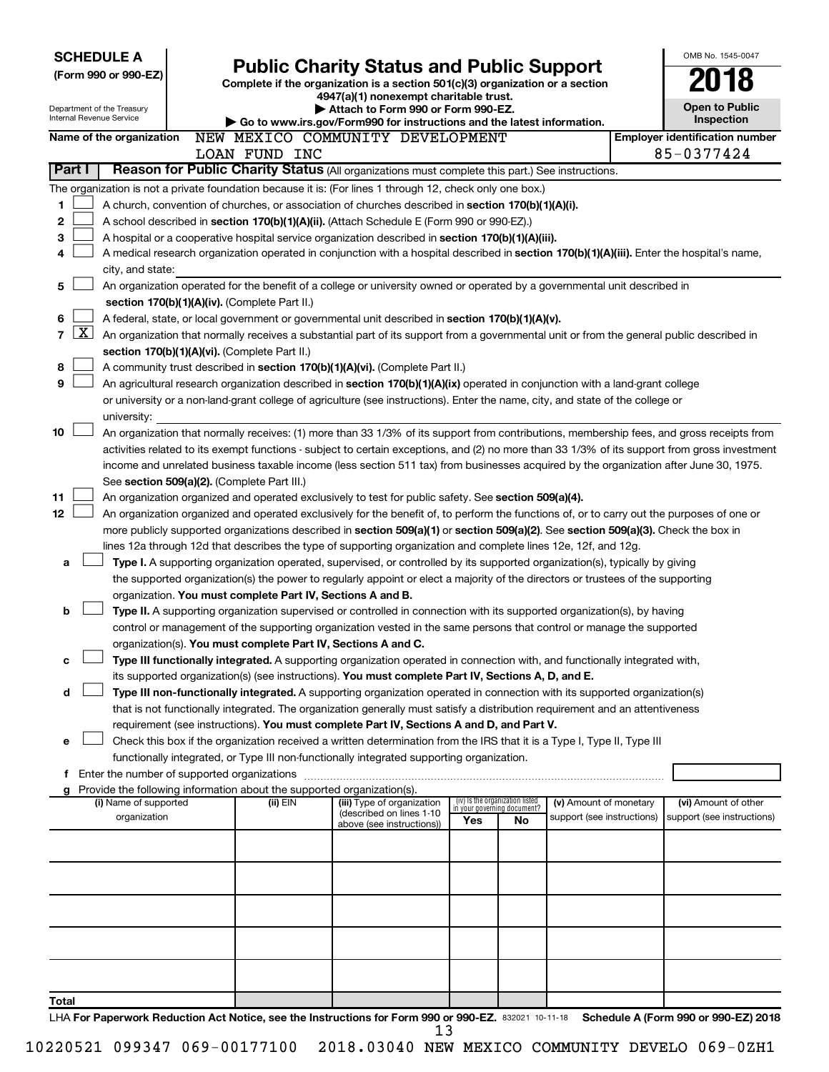| <b>SCHEDULE A</b>                                      |                                                                        |                                                 |                                                                                                                                                                                                                                  |     |                                                                |                            |  | OMB No. 1545-0047                                   |  |  |
|--------------------------------------------------------|------------------------------------------------------------------------|-------------------------------------------------|----------------------------------------------------------------------------------------------------------------------------------------------------------------------------------------------------------------------------------|-----|----------------------------------------------------------------|----------------------------|--|-----------------------------------------------------|--|--|
| (Form 990 or 990-EZ)                                   |                                                                        | <b>Public Charity Status and Public Support</b> |                                                                                                                                                                                                                                  |     |                                                                |                            |  |                                                     |  |  |
|                                                        |                                                                        |                                                 | Complete if the organization is a section 501(c)(3) organization or a section<br>4947(a)(1) nonexempt charitable trust.                                                                                                          |     |                                                                |                            |  |                                                     |  |  |
| Department of the Treasury<br>Internal Revenue Service |                                                                        |                                                 | Attach to Form 990 or Form 990-EZ.<br>Go to www.irs.gov/Form990 for instructions and the latest information.                                                                                                                     |     |                                                                |                            |  |                                                     |  |  |
| Name of the organization                               |                                                                        |                                                 | NEW MEXICO COMMUNITY DEVELOPMENT                                                                                                                                                                                                 |     |                                                                |                            |  | Inspection<br><b>Employer identification number</b> |  |  |
|                                                        |                                                                        | LOAN FUND INC                                   |                                                                                                                                                                                                                                  |     |                                                                |                            |  | 85-0377424                                          |  |  |
| Part I                                                 |                                                                        |                                                 | Reason for Public Charity Status (All organizations must complete this part.) See instructions.                                                                                                                                  |     |                                                                |                            |  |                                                     |  |  |
|                                                        |                                                                        |                                                 | The organization is not a private foundation because it is: (For lines 1 through 12, check only one box.)                                                                                                                        |     |                                                                |                            |  |                                                     |  |  |
| 1                                                      |                                                                        |                                                 | A church, convention of churches, or association of churches described in section 170(b)(1)(A)(i).                                                                                                                               |     |                                                                |                            |  |                                                     |  |  |
| 2                                                      |                                                                        |                                                 | A school described in section 170(b)(1)(A)(ii). (Attach Schedule E (Form 990 or 990-EZ).)                                                                                                                                        |     |                                                                |                            |  |                                                     |  |  |
| 3                                                      |                                                                        |                                                 | A hospital or a cooperative hospital service organization described in section 170(b)(1)(A)(iii).                                                                                                                                |     |                                                                |                            |  |                                                     |  |  |
| 4                                                      |                                                                        |                                                 | A medical research organization operated in conjunction with a hospital described in section 170(b)(1)(A)(iii). Enter the hospital's name,                                                                                       |     |                                                                |                            |  |                                                     |  |  |
|                                                        | city, and state:                                                       |                                                 |                                                                                                                                                                                                                                  |     |                                                                |                            |  |                                                     |  |  |
| 5                                                      |                                                                        |                                                 | An organization operated for the benefit of a college or university owned or operated by a governmental unit described in                                                                                                        |     |                                                                |                            |  |                                                     |  |  |
|                                                        | section 170(b)(1)(A)(iv). (Complete Part II.)                          |                                                 |                                                                                                                                                                                                                                  |     |                                                                |                            |  |                                                     |  |  |
| 6                                                      |                                                                        |                                                 | A federal, state, or local government or governmental unit described in section 170(b)(1)(A)(v).                                                                                                                                 |     |                                                                |                            |  |                                                     |  |  |
| $\mathbf{X}$<br>$\overline{7}$                         |                                                                        |                                                 | An organization that normally receives a substantial part of its support from a governmental unit or from the general public described in                                                                                        |     |                                                                |                            |  |                                                     |  |  |
|                                                        | section 170(b)(1)(A)(vi). (Complete Part II.)                          |                                                 |                                                                                                                                                                                                                                  |     |                                                                |                            |  |                                                     |  |  |
| 8                                                      |                                                                        |                                                 | A community trust described in section 170(b)(1)(A)(vi). (Complete Part II.)                                                                                                                                                     |     |                                                                |                            |  |                                                     |  |  |
| 9                                                      |                                                                        |                                                 | An agricultural research organization described in section 170(b)(1)(A)(ix) operated in conjunction with a land-grant college                                                                                                    |     |                                                                |                            |  |                                                     |  |  |
|                                                        |                                                                        |                                                 | or university or a non-land-grant college of agriculture (see instructions). Enter the name, city, and state of the college or                                                                                                   |     |                                                                |                            |  |                                                     |  |  |
| 10                                                     | university:                                                            |                                                 | An organization that normally receives: (1) more than 33 1/3% of its support from contributions, membership fees, and gross receipts from                                                                                        |     |                                                                |                            |  |                                                     |  |  |
|                                                        |                                                                        |                                                 | activities related to its exempt functions - subject to certain exceptions, and (2) no more than 33 1/3% of its support from gross investment                                                                                    |     |                                                                |                            |  |                                                     |  |  |
|                                                        |                                                                        |                                                 | income and unrelated business taxable income (less section 511 tax) from businesses acquired by the organization after June 30, 1975.                                                                                            |     |                                                                |                            |  |                                                     |  |  |
|                                                        | See section 509(a)(2). (Complete Part III.)                            |                                                 |                                                                                                                                                                                                                                  |     |                                                                |                            |  |                                                     |  |  |
| 11                                                     |                                                                        |                                                 | An organization organized and operated exclusively to test for public safety. See section 509(a)(4).                                                                                                                             |     |                                                                |                            |  |                                                     |  |  |
| 12 <sub>2</sub>                                        |                                                                        |                                                 | An organization organized and operated exclusively for the benefit of, to perform the functions of, or to carry out the purposes of one or                                                                                       |     |                                                                |                            |  |                                                     |  |  |
|                                                        |                                                                        |                                                 | more publicly supported organizations described in section 509(a)(1) or section 509(a)(2). See section 509(a)(3). Check the box in                                                                                               |     |                                                                |                            |  |                                                     |  |  |
|                                                        |                                                                        |                                                 | lines 12a through 12d that describes the type of supporting organization and complete lines 12e, 12f, and 12g.                                                                                                                   |     |                                                                |                            |  |                                                     |  |  |
| a                                                      |                                                                        |                                                 | Type I. A supporting organization operated, supervised, or controlled by its supported organization(s), typically by giving                                                                                                      |     |                                                                |                            |  |                                                     |  |  |
|                                                        |                                                                        |                                                 | the supported organization(s) the power to regularly appoint or elect a majority of the directors or trustees of the supporting                                                                                                  |     |                                                                |                            |  |                                                     |  |  |
|                                                        | organization. You must complete Part IV, Sections A and B.             |                                                 |                                                                                                                                                                                                                                  |     |                                                                |                            |  |                                                     |  |  |
| b                                                      |                                                                        |                                                 | Type II. A supporting organization supervised or controlled in connection with its supported organization(s), by having                                                                                                          |     |                                                                |                            |  |                                                     |  |  |
|                                                        |                                                                        |                                                 | control or management of the supporting organization vested in the same persons that control or manage the supported                                                                                                             |     |                                                                |                            |  |                                                     |  |  |
|                                                        | organization(s). You must complete Part IV, Sections A and C.          |                                                 |                                                                                                                                                                                                                                  |     |                                                                |                            |  |                                                     |  |  |
|                                                        |                                                                        |                                                 | Type III functionally integrated. A supporting organization operated in connection with, and functionally integrated with,<br>its supported organization(s) (see instructions). You must complete Part IV, Sections A, D, and E. |     |                                                                |                            |  |                                                     |  |  |
| d                                                      |                                                                        |                                                 | Type III non-functionally integrated. A supporting organization operated in connection with its supported organization(s)                                                                                                        |     |                                                                |                            |  |                                                     |  |  |
|                                                        |                                                                        |                                                 | that is not functionally integrated. The organization generally must satisfy a distribution requirement and an attentiveness                                                                                                     |     |                                                                |                            |  |                                                     |  |  |
|                                                        |                                                                        |                                                 | requirement (see instructions). You must complete Part IV, Sections A and D, and Part V.                                                                                                                                         |     |                                                                |                            |  |                                                     |  |  |
| е                                                      |                                                                        |                                                 | Check this box if the organization received a written determination from the IRS that it is a Type I, Type II, Type III                                                                                                          |     |                                                                |                            |  |                                                     |  |  |
|                                                        |                                                                        |                                                 | functionally integrated, or Type III non-functionally integrated supporting organization.                                                                                                                                        |     |                                                                |                            |  |                                                     |  |  |
|                                                        | f Enter the number of supported organizations                          |                                                 |                                                                                                                                                                                                                                  |     |                                                                |                            |  |                                                     |  |  |
|                                                        | Provide the following information about the supported organization(s). |                                                 |                                                                                                                                                                                                                                  |     |                                                                |                            |  |                                                     |  |  |
|                                                        | (i) Name of supported                                                  | (ii) EIN                                        | (iii) Type of organization<br>(described on lines 1-10                                                                                                                                                                           |     | (iv) Is the organization listed<br>in your governing document? | (v) Amount of monetary     |  | (vi) Amount of other                                |  |  |
|                                                        | organization                                                           |                                                 | above (see instructions))                                                                                                                                                                                                        | Yes | No                                                             | support (see instructions) |  | support (see instructions)                          |  |  |
|                                                        |                                                                        |                                                 |                                                                                                                                                                                                                                  |     |                                                                |                            |  |                                                     |  |  |
|                                                        |                                                                        |                                                 |                                                                                                                                                                                                                                  |     |                                                                |                            |  |                                                     |  |  |
|                                                        |                                                                        |                                                 |                                                                                                                                                                                                                                  |     |                                                                |                            |  |                                                     |  |  |
|                                                        |                                                                        |                                                 |                                                                                                                                                                                                                                  |     |                                                                |                            |  |                                                     |  |  |
|                                                        |                                                                        |                                                 |                                                                                                                                                                                                                                  |     |                                                                |                            |  |                                                     |  |  |
|                                                        |                                                                        |                                                 |                                                                                                                                                                                                                                  |     |                                                                |                            |  |                                                     |  |  |
|                                                        |                                                                        |                                                 |                                                                                                                                                                                                                                  |     |                                                                |                            |  |                                                     |  |  |
|                                                        |                                                                        |                                                 |                                                                                                                                                                                                                                  |     |                                                                |                            |  |                                                     |  |  |
|                                                        |                                                                        |                                                 |                                                                                                                                                                                                                                  |     |                                                                |                            |  |                                                     |  |  |
| Total                                                  |                                                                        |                                                 |                                                                                                                                                                                                                                  |     |                                                                |                            |  |                                                     |  |  |
|                                                        |                                                                        |                                                 | LHA For Paperwork Reduction Act Notice, see the Instructions for Form 990 or 990-EZ. 832021 10-11-18 Schedule A (Form 990 or 990-EZ) 2018                                                                                        |     |                                                                |                            |  |                                                     |  |  |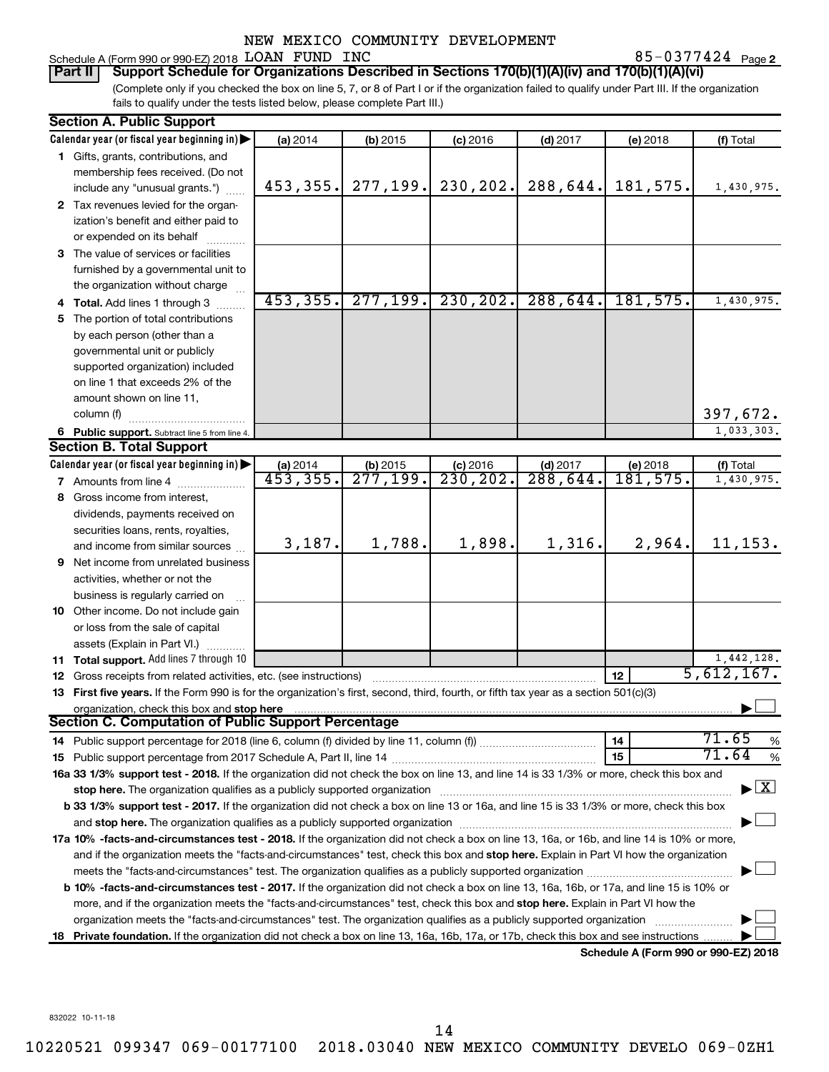85-0377424 Page 2

#### Schedule A (Form 990 or 990-EZ) 2018 Page LOAN FUND INC 85-0377424 **Part II Support Schedule for Organizations Described in Sections 170(b)(1)(A)(iv) and 170(b)(1)(A)(vi)**

(Complete only if you checked the box on line 5, 7, or 8 of Part I or if the organization failed to qualify under Part III. If the organization fails to qualify under the tests listed below, please complete Part III.)

| <b>Section A. Public Support</b>                                                                                                                                                                                               |                        |                        |                       |            |                                      |                                          |
|--------------------------------------------------------------------------------------------------------------------------------------------------------------------------------------------------------------------------------|------------------------|------------------------|-----------------------|------------|--------------------------------------|------------------------------------------|
| Calendar year (or fiscal year beginning in)                                                                                                                                                                                    | (a) 2014               | (b) 2015               | $(c)$ 2016            | $(d)$ 2017 | (e) 2018                             | (f) Total                                |
| 1 Gifts, grants, contributions, and                                                                                                                                                                                            |                        |                        |                       |            |                                      |                                          |
| membership fees received. (Do not                                                                                                                                                                                              |                        |                        |                       |            |                                      |                                          |
| include any "unusual grants.")                                                                                                                                                                                                 | 453,355.               | 277, 199.              | 230, 202.             | 288,644.   | 181,575.                             | 1,430,975.                               |
| 2 Tax revenues levied for the organ-                                                                                                                                                                                           |                        |                        |                       |            |                                      |                                          |
| ization's benefit and either paid to                                                                                                                                                                                           |                        |                        |                       |            |                                      |                                          |
| or expended on its behalf                                                                                                                                                                                                      |                        |                        |                       |            |                                      |                                          |
| 3 The value of services or facilities                                                                                                                                                                                          |                        |                        |                       |            |                                      |                                          |
| furnished by a governmental unit to                                                                                                                                                                                            |                        |                        |                       |            |                                      |                                          |
| the organization without charge                                                                                                                                                                                                |                        |                        |                       |            |                                      |                                          |
| 4 Total. Add lines 1 through 3                                                                                                                                                                                                 | 453, 355.              |                        | $277, 199.$ 230, 202. | 288,644.   | 181,575.                             | 1,430,975.                               |
| 5 The portion of total contributions                                                                                                                                                                                           |                        |                        |                       |            |                                      |                                          |
| by each person (other than a                                                                                                                                                                                                   |                        |                        |                       |            |                                      |                                          |
| governmental unit or publicly                                                                                                                                                                                                  |                        |                        |                       |            |                                      |                                          |
| supported organization) included                                                                                                                                                                                               |                        |                        |                       |            |                                      |                                          |
| on line 1 that exceeds 2% of the                                                                                                                                                                                               |                        |                        |                       |            |                                      |                                          |
| amount shown on line 11,                                                                                                                                                                                                       |                        |                        |                       |            |                                      |                                          |
| column (f)                                                                                                                                                                                                                     |                        |                        |                       |            |                                      | 397,672.                                 |
| 6 Public support. Subtract line 5 from line 4.                                                                                                                                                                                 |                        |                        |                       |            |                                      | 1,033,303.                               |
| <b>Section B. Total Support</b>                                                                                                                                                                                                |                        |                        |                       |            |                                      |                                          |
| Calendar year (or fiscal year beginning in)                                                                                                                                                                                    | (a) 2014               | $(b)$ 2015             | $(c)$ 2016            | $(d)$ 2017 | (e) 2018                             | (f) Total                                |
| <b>7</b> Amounts from line 4                                                                                                                                                                                                   | $\overline{453,355}$ . | $\overline{277}$ ,199. | 230, 202.             | 288,644.   | 181,575.                             | 1,430,975.                               |
| 8 Gross income from interest,                                                                                                                                                                                                  |                        |                        |                       |            |                                      |                                          |
| dividends, payments received on                                                                                                                                                                                                |                        |                        |                       |            |                                      |                                          |
| securities loans, rents, royalties,                                                                                                                                                                                            |                        |                        |                       |            |                                      |                                          |
| and income from similar sources                                                                                                                                                                                                | 3,187.                 | 1,788.                 | 1,898.                | 1,316.     | 2,964.                               | 11, 153.                                 |
| 9 Net income from unrelated business                                                                                                                                                                                           |                        |                        |                       |            |                                      |                                          |
| activities, whether or not the                                                                                                                                                                                                 |                        |                        |                       |            |                                      |                                          |
| business is regularly carried on                                                                                                                                                                                               |                        |                        |                       |            |                                      |                                          |
| 10 Other income. Do not include gain                                                                                                                                                                                           |                        |                        |                       |            |                                      |                                          |
| or loss from the sale of capital                                                                                                                                                                                               |                        |                        |                       |            |                                      |                                          |
| assets (Explain in Part VI.)                                                                                                                                                                                                   |                        |                        |                       |            |                                      |                                          |
| <b>11 Total support.</b> Add lines 7 through 10                                                                                                                                                                                |                        |                        |                       |            |                                      | 1,442,128.                               |
| <b>12</b> Gross receipts from related activities, etc. (see instructions)                                                                                                                                                      |                        |                        |                       |            | 12                                   | 5,612,167.                               |
| 13 First five years. If the Form 990 is for the organization's first, second, third, fourth, or fifth tax year as a section 501(c)(3)                                                                                          |                        |                        |                       |            |                                      |                                          |
| organization, check this box and stop here                                                                                                                                                                                     |                        |                        |                       |            |                                      |                                          |
| Section C. Computation of Public Support Percentage                                                                                                                                                                            |                        |                        |                       |            |                                      |                                          |
|                                                                                                                                                                                                                                |                        |                        |                       |            | 14                                   | 71.65<br>$\%$                            |
|                                                                                                                                                                                                                                |                        |                        |                       |            | 15                                   | 71.64<br>$\%$                            |
| 16a 33 1/3% support test - 2018. If the organization did not check the box on line 13, and line 14 is 33 1/3% or more, check this box and                                                                                      |                        |                        |                       |            |                                      |                                          |
| stop here. The organization qualifies as a publicly supported organization manufactured content and the content of the state of the state of the state of the state of the state of the state of the state of the state of the |                        |                        |                       |            |                                      | $\blacktriangleright$ $\boxed{\text{X}}$ |
| b 33 1/3% support test - 2017. If the organization did not check a box on line 13 or 16a, and line 15 is 33 1/3% or more, check this box                                                                                       |                        |                        |                       |            |                                      |                                          |
|                                                                                                                                                                                                                                |                        |                        |                       |            |                                      |                                          |
| 17a 10% -facts-and-circumstances test - 2018. If the organization did not check a box on line 13, 16a, or 16b, and line 14 is 10% or more,                                                                                     |                        |                        |                       |            |                                      |                                          |
| and if the organization meets the "facts-and-circumstances" test, check this box and stop here. Explain in Part VI how the organization                                                                                        |                        |                        |                       |            |                                      |                                          |
|                                                                                                                                                                                                                                |                        |                        |                       |            |                                      |                                          |
| <b>b 10%</b> -facts-and-circumstances test - 2017. If the organization did not check a box on line 13, 16a, 16b, or 17a, and line 15 is 10% or                                                                                 |                        |                        |                       |            |                                      |                                          |
| more, and if the organization meets the "facts-and-circumstances" test, check this box and stop here. Explain in Part VI how the                                                                                               |                        |                        |                       |            |                                      |                                          |
| organization meets the "facts-and-circumstances" test. The organization qualifies as a publicly supported organization                                                                                                         |                        |                        |                       |            |                                      |                                          |
| 18 Private foundation. If the organization did not check a box on line 13, 16a, 16b, 17a, or 17b, check this box and see instructions                                                                                          |                        |                        |                       |            |                                      |                                          |
|                                                                                                                                                                                                                                |                        |                        |                       |            | Schedule A (Form 990 or 990-F7) 2018 |                                          |

**Schedule A (Form 990 or 990-EZ) 2018**

832022 10-11-18

14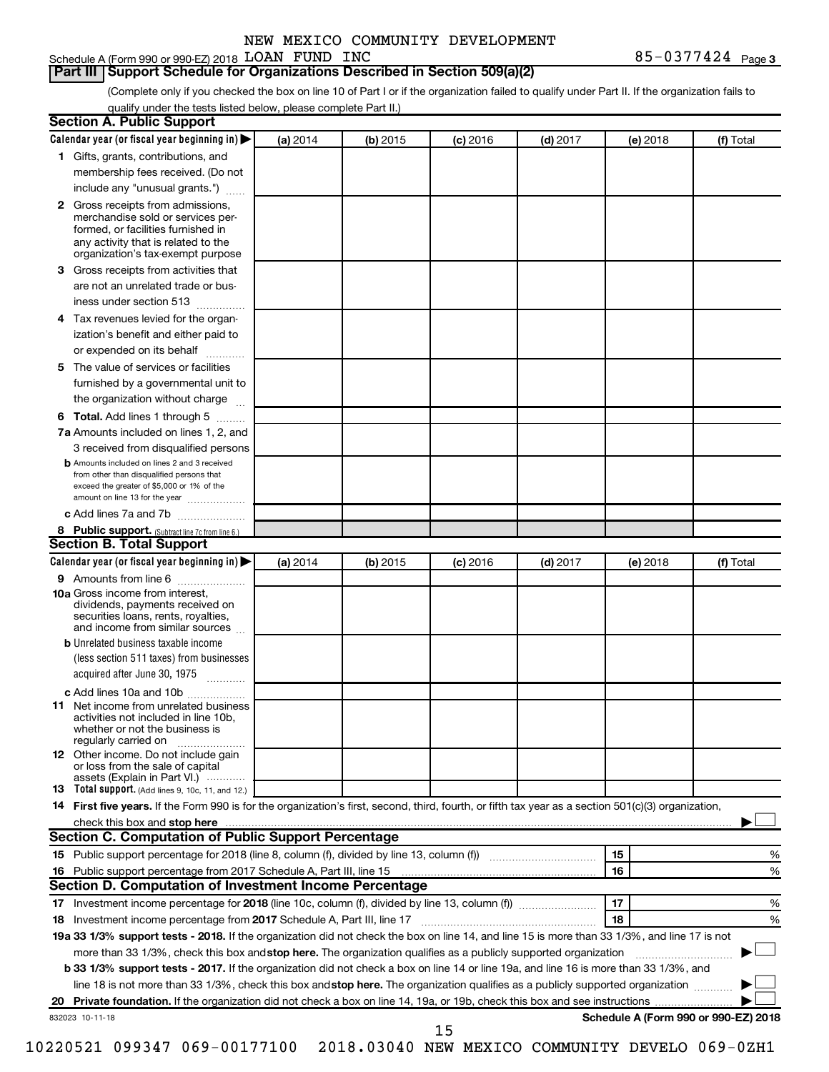### **Part III Support Schedule for Organizations Described in Section 509(a)(2)**

(Complete only if you checked the box on line 10 of Part I or if the organization failed to qualify under Part II. If the organization fails to qualify under the tests listed below, please complete Part II.)

| <b>Section A. Public Support</b>                                                                                                                                                                                                        |          |            |            |            |          |                                      |
|-----------------------------------------------------------------------------------------------------------------------------------------------------------------------------------------------------------------------------------------|----------|------------|------------|------------|----------|--------------------------------------|
| Calendar year (or fiscal year beginning in)                                                                                                                                                                                             | (a) 2014 | (b) 2015   | $(c)$ 2016 | $(d)$ 2017 | (e) 2018 | (f) Total                            |
| 1 Gifts, grants, contributions, and                                                                                                                                                                                                     |          |            |            |            |          |                                      |
| membership fees received. (Do not                                                                                                                                                                                                       |          |            |            |            |          |                                      |
| include any "unusual grants.")                                                                                                                                                                                                          |          |            |            |            |          |                                      |
| <b>2</b> Gross receipts from admissions,<br>merchandise sold or services per-<br>formed, or facilities furnished in<br>any activity that is related to the<br>organization's tax-exempt purpose                                         |          |            |            |            |          |                                      |
| 3 Gross receipts from activities that                                                                                                                                                                                                   |          |            |            |            |          |                                      |
| are not an unrelated trade or bus-                                                                                                                                                                                                      |          |            |            |            |          |                                      |
| iness under section 513                                                                                                                                                                                                                 |          |            |            |            |          |                                      |
| 4 Tax revenues levied for the organ-                                                                                                                                                                                                    |          |            |            |            |          |                                      |
| ization's benefit and either paid to                                                                                                                                                                                                    |          |            |            |            |          |                                      |
| or expended on its behalf                                                                                                                                                                                                               |          |            |            |            |          |                                      |
| 5 The value of services or facilities                                                                                                                                                                                                   |          |            |            |            |          |                                      |
| furnished by a governmental unit to                                                                                                                                                                                                     |          |            |            |            |          |                                      |
| the organization without charge                                                                                                                                                                                                         |          |            |            |            |          |                                      |
| 6 Total. Add lines 1 through 5                                                                                                                                                                                                          |          |            |            |            |          |                                      |
| 7a Amounts included on lines 1, 2, and                                                                                                                                                                                                  |          |            |            |            |          |                                      |
| 3 received from disqualified persons                                                                                                                                                                                                    |          |            |            |            |          |                                      |
| <b>b</b> Amounts included on lines 2 and 3 received<br>from other than disqualified persons that<br>exceed the greater of \$5,000 or 1% of the<br>amount on line 13 for the year                                                        |          |            |            |            |          |                                      |
| c Add lines 7a and 7b                                                                                                                                                                                                                   |          |            |            |            |          |                                      |
| 8 Public support. (Subtract line 7c from line 6.)                                                                                                                                                                                       |          |            |            |            |          |                                      |
| <b>Section B. Total Support</b>                                                                                                                                                                                                         |          |            |            |            |          |                                      |
| Calendar year (or fiscal year beginning in)                                                                                                                                                                                             | (a) 2014 | $(b)$ 2015 | $(c)$ 2016 | $(d)$ 2017 | (e) 2018 | (f) Total                            |
| 9 Amounts from line 6                                                                                                                                                                                                                   |          |            |            |            |          |                                      |
| <b>10a</b> Gross income from interest,<br>dividends, payments received on<br>securities loans, rents, royalties,<br>and income from similar sources                                                                                     |          |            |            |            |          |                                      |
| <b>b</b> Unrelated business taxable income                                                                                                                                                                                              |          |            |            |            |          |                                      |
| (less section 511 taxes) from businesses                                                                                                                                                                                                |          |            |            |            |          |                                      |
| acquired after June 30, 1975                                                                                                                                                                                                            |          |            |            |            |          |                                      |
| c Add lines 10a and 10b                                                                                                                                                                                                                 |          |            |            |            |          |                                      |
| <b>11</b> Net income from unrelated business<br>activities not included in line 10b.<br>whether or not the business is<br>regularly carried on                                                                                          |          |            |            |            |          |                                      |
| <b>12</b> Other income. Do not include gain<br>or loss from the sale of capital                                                                                                                                                         |          |            |            |            |          |                                      |
| assets (Explain in Part VI.)<br><b>13</b> Total support. (Add lines 9, 10c, 11, and 12.)                                                                                                                                                |          |            |            |            |          |                                      |
| 14 First five years. If the Form 990 is for the organization's first, second, third, fourth, or fifth tax year as a section 501(c)(3) organization,                                                                                     |          |            |            |            |          |                                      |
| check this box and stop here <b>contained and the contained and stop here</b> check this box and stop here <b>contained and the contained and stop here</b> contained and stop here contained and and stop here contained and stop here |          |            |            |            |          |                                      |
| Section C. Computation of Public Support Percentage                                                                                                                                                                                     |          |            |            |            |          |                                      |
| 15 Public support percentage for 2018 (line 8, column (f), divided by line 13, column (f) <i></i>                                                                                                                                       |          |            |            |            | 15       | ℅                                    |
|                                                                                                                                                                                                                                         |          |            |            |            | 16       | %                                    |
| Section D. Computation of Investment Income Percentage                                                                                                                                                                                  |          |            |            |            |          |                                      |
|                                                                                                                                                                                                                                         |          |            |            |            | 17       | %                                    |
| 18 Investment income percentage from 2017 Schedule A, Part III, line 17                                                                                                                                                                 |          |            |            |            | 18       | %                                    |
| 19a 33 1/3% support tests - 2018. If the organization did not check the box on line 14, and line 15 is more than 33 1/3%, and line 17 is not                                                                                            |          |            |            |            |          |                                      |
| more than 33 1/3%, check this box and stop here. The organization qualifies as a publicly supported organization                                                                                                                        |          |            |            |            |          |                                      |
| <b>b 33 1/3% support tests - 2017.</b> If the organization did not check a box on line 14 or line 19a, and line 16 is more than 33 1/3%, and                                                                                            |          |            |            |            |          |                                      |
| line 18 is not more than 33 1/3%, check this box and stop here. The organization qualifies as a publicly supported organization                                                                                                         |          |            |            |            |          |                                      |
|                                                                                                                                                                                                                                         |          |            |            |            |          |                                      |
| 832023 10-11-18                                                                                                                                                                                                                         |          |            |            |            |          | Schedule A (Form 990 or 990-EZ) 2018 |
|                                                                                                                                                                                                                                         |          |            | 15         |            |          |                                      |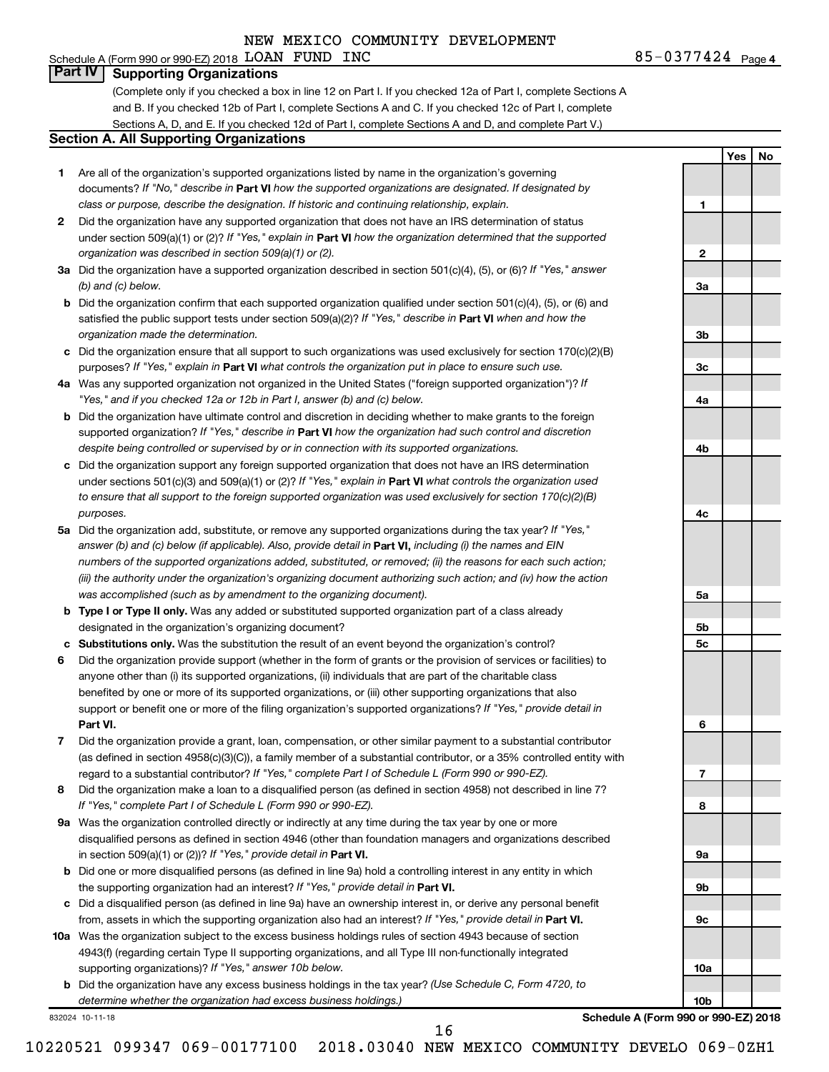### Schedule A (Form 990 or 990-EZ) 2018 Page LOAN FUND INC 85-0377424 **Part IV Supporting Organizations**

(Complete only if you checked a box in line 12 on Part I. If you checked 12a of Part I, complete Sections A and B. If you checked 12b of Part I, complete Sections A and C. If you checked 12c of Part I, complete Sections A, D, and E. If you checked 12d of Part I, complete Sections A and D, and complete Part V.)

#### **Section A. All Supporting Organizations**

- **1** Are all of the organization's supported organizations listed by name in the organization's governing documents? If "No," describe in Part VI how the supported organizations are designated. If designated by *class or purpose, describe the designation. If historic and continuing relationship, explain.*
- **2** Did the organization have any supported organization that does not have an IRS determination of status under section 509(a)(1) or (2)? If "Yes," explain in Part **VI** how the organization determined that the supported *organization was described in section 509(a)(1) or (2).*
- **3a** Did the organization have a supported organization described in section 501(c)(4), (5), or (6)? If "Yes," answer *(b) and (c) below.*
- **b** Did the organization confirm that each supported organization qualified under section 501(c)(4), (5), or (6) and satisfied the public support tests under section 509(a)(2)? If "Yes," describe in Part VI when and how the *organization made the determination.*
- **c** Did the organization ensure that all support to such organizations was used exclusively for section 170(c)(2)(B) purposes? If "Yes," explain in Part VI what controls the organization put in place to ensure such use.
- **4 a** *If* Was any supported organization not organized in the United States ("foreign supported organization")? *"Yes," and if you checked 12a or 12b in Part I, answer (b) and (c) below.*
- **b** Did the organization have ultimate control and discretion in deciding whether to make grants to the foreign supported organization? If "Yes," describe in Part VI how the organization had such control and discretion *despite being controlled or supervised by or in connection with its supported organizations.*
- **c** Did the organization support any foreign supported organization that does not have an IRS determination under sections 501(c)(3) and 509(a)(1) or (2)? If "Yes," explain in Part VI what controls the organization used *to ensure that all support to the foreign supported organization was used exclusively for section 170(c)(2)(B) purposes.*
- **5a** Did the organization add, substitute, or remove any supported organizations during the tax year? If "Yes," answer (b) and (c) below (if applicable). Also, provide detail in **Part VI,** including (i) the names and EIN *numbers of the supported organizations added, substituted, or removed; (ii) the reasons for each such action; (iii) the authority under the organization's organizing document authorizing such action; and (iv) how the action was accomplished (such as by amendment to the organizing document).*
- **b Type I or Type II only.** Was any added or substituted supported organization part of a class already designated in the organization's organizing document?
- **c Substitutions only.**  Was the substitution the result of an event beyond the organization's control?
- **6** Did the organization provide support (whether in the form of grants or the provision of services or facilities) to **Part VI.** support or benefit one or more of the filing organization's supported organizations? If "Yes," provide detail in anyone other than (i) its supported organizations, (ii) individuals that are part of the charitable class benefited by one or more of its supported organizations, or (iii) other supporting organizations that also
- **7** Did the organization provide a grant, loan, compensation, or other similar payment to a substantial contributor regard to a substantial contributor? If "Yes," complete Part I of Schedule L (Form 990 or 990-EZ). (as defined in section 4958(c)(3)(C)), a family member of a substantial contributor, or a 35% controlled entity with
- **8** Did the organization make a loan to a disqualified person (as defined in section 4958) not described in line 7? *If "Yes," complete Part I of Schedule L (Form 990 or 990-EZ).*
- **9 a** Was the organization controlled directly or indirectly at any time during the tax year by one or more in section 509(a)(1) or (2))? If "Yes," provide detail in **Part VI.** disqualified persons as defined in section 4946 (other than foundation managers and organizations described
- **b** Did one or more disqualified persons (as defined in line 9a) hold a controlling interest in any entity in which the supporting organization had an interest? If "Yes," provide detail in Part VI.
- **c** Did a disqualified person (as defined in line 9a) have an ownership interest in, or derive any personal benefit from, assets in which the supporting organization also had an interest? If "Yes," provide detail in Part VI.
- **10 a** Was the organization subject to the excess business holdings rules of section 4943 because of section supporting organizations)? If "Yes," answer 10b below. 4943(f) (regarding certain Type II supporting organizations, and all Type III non-functionally integrated
	- **b** Did the organization have any excess business holdings in the tax year? (Use Schedule C, Form 4720, to *determine whether the organization had excess business holdings.)*

10220521 099347 069-00177100 2018.03040 NEW MEXICO COMMUNITY DEVELO 069-0ZH1

16

832024 10-11-18

**Schedule A (Form 990 or 990-EZ) 2018**

85-0377424 <sub>Page 4</sub>

**1**

**2**

**3a**

**3b**

**3c**

**4a**

**4b**

**4c**

**5a**

**5b 5c**

**6**

**7**

**8**

**9a**

**9b**

**9c**

**10a**

**10b**

**Yes No**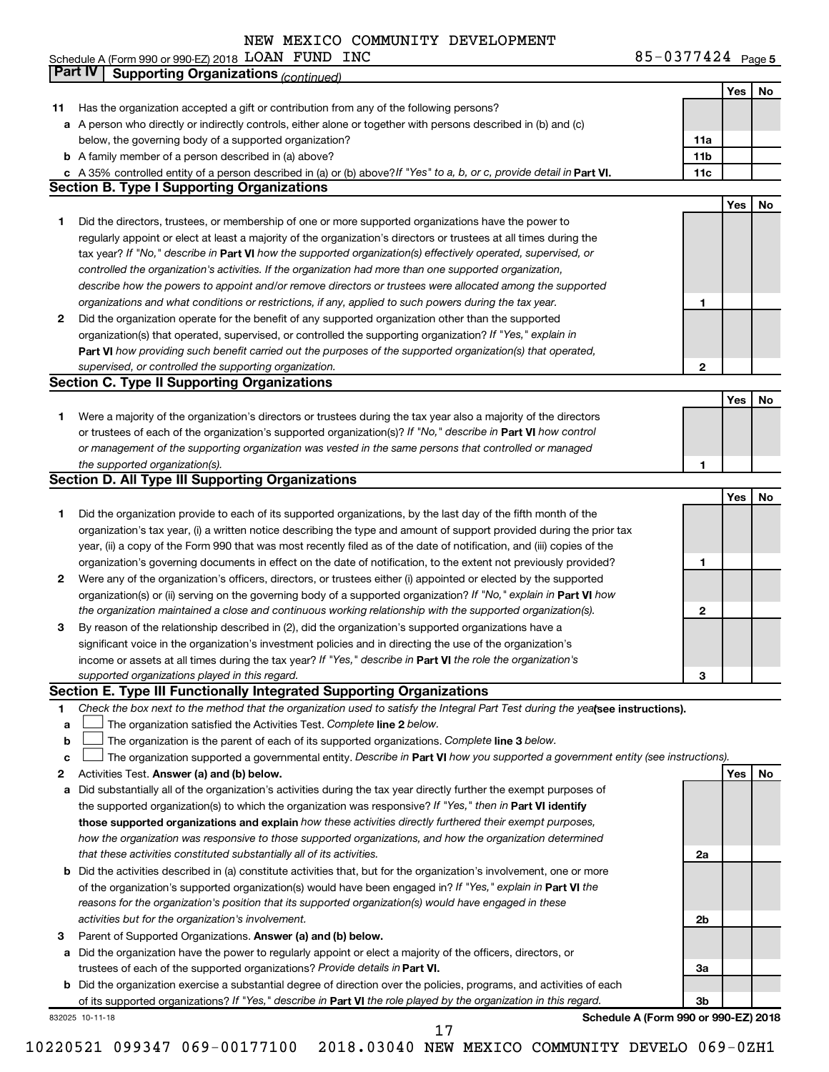| INC<br>Schedule A (Form 990 or 990-EZ) 2018 $\,$ $\rm LOAN$ $\,$ $\rm FUND$ | 85-0377424 $Page 5$ |
|-----------------------------------------------------------------------------|---------------------|
|-----------------------------------------------------------------------------|---------------------|

|    | Part IV<br><b>Supporting Organizations (continued)</b>                                                                          |                 |     |    |
|----|---------------------------------------------------------------------------------------------------------------------------------|-----------------|-----|----|
|    |                                                                                                                                 |                 | Yes | No |
| 11 | Has the organization accepted a gift or contribution from any of the following persons?                                         |                 |     |    |
|    | a A person who directly or indirectly controls, either alone or together with persons described in (b) and (c)                  |                 |     |    |
|    | below, the governing body of a supported organization?                                                                          | 11a             |     |    |
|    | <b>b</b> A family member of a person described in (a) above?                                                                    | 11 <sub>b</sub> |     |    |
|    | c A 35% controlled entity of a person described in (a) or (b) above? If "Yes" to a, b, or c, provide detail in Part VI.         | 11c             |     |    |
|    | <b>Section B. Type I Supporting Organizations</b>                                                                               |                 |     |    |
|    |                                                                                                                                 |                 | Yes | No |
| 1  | Did the directors, trustees, or membership of one or more supported organizations have the power to                             |                 |     |    |
|    | regularly appoint or elect at least a majority of the organization's directors or trustees at all times during the              |                 |     |    |
|    | tax year? If "No," describe in Part VI how the supported organization(s) effectively operated, supervised, or                   |                 |     |    |
|    |                                                                                                                                 |                 |     |    |
|    | controlled the organization's activities. If the organization had more than one supported organization,                         |                 |     |    |
|    | describe how the powers to appoint and/or remove directors or trustees were allocated among the supported                       |                 |     |    |
|    | organizations and what conditions or restrictions, if any, applied to such powers during the tax year.                          | 1               |     |    |
| 2  | Did the organization operate for the benefit of any supported organization other than the supported                             |                 |     |    |
|    | organization(s) that operated, supervised, or controlled the supporting organization? If "Yes," explain in                      |                 |     |    |
|    | Part VI how providing such benefit carried out the purposes of the supported organization(s) that operated,                     |                 |     |    |
|    | supervised, or controlled the supporting organization.                                                                          | 2               |     |    |
|    | <b>Section C. Type II Supporting Organizations</b>                                                                              |                 |     |    |
|    |                                                                                                                                 |                 | Yes | No |
| 1. | Were a majority of the organization's directors or trustees during the tax year also a majority of the directors                |                 |     |    |
|    | or trustees of each of the organization's supported organization(s)? If "No," describe in Part VI how control                   |                 |     |    |
|    | or management of the supporting organization was vested in the same persons that controlled or managed                          |                 |     |    |
|    | the supported organization(s).                                                                                                  | 1               |     |    |
|    | <b>Section D. All Type III Supporting Organizations</b>                                                                         |                 |     |    |
|    |                                                                                                                                 |                 | Yes | No |
| 1  | Did the organization provide to each of its supported organizations, by the last day of the fifth month of the                  |                 |     |    |
|    | organization's tax year, (i) a written notice describing the type and amount of support provided during the prior tax           |                 |     |    |
|    | year, (ii) a copy of the Form 990 that was most recently filed as of the date of notification, and (iii) copies of the          |                 |     |    |
|    | organization's governing documents in effect on the date of notification, to the extent not previously provided?                | 1               |     |    |
| 2  | Were any of the organization's officers, directors, or trustees either (i) appointed or elected by the supported                |                 |     |    |
|    | organization(s) or (ii) serving on the governing body of a supported organization? If "No," explain in Part VI how              |                 |     |    |
|    | the organization maintained a close and continuous working relationship with the supported organization(s).                     | 2               |     |    |
| 3  | By reason of the relationship described in (2), did the organization's supported organizations have a                           |                 |     |    |
|    | significant voice in the organization's investment policies and in directing the use of the organization's                      |                 |     |    |
|    | income or assets at all times during the tax year? If "Yes," describe in Part VI the role the organization's                    |                 |     |    |
|    | supported organizations played in this regard.                                                                                  | з               |     |    |
|    | Section E. Type III Functionally Integrated Supporting Organizations                                                            |                 |     |    |
| 1  | Check the box next to the method that the organization used to satisfy the Integral Part Test during the yealsee instructions). |                 |     |    |
| a  | The organization satisfied the Activities Test. Complete line 2 below.                                                          |                 |     |    |
| b  | The organization is the parent of each of its supported organizations. Complete line 3 below.                                   |                 |     |    |
| с  | The organization supported a governmental entity. Describe in Part VI how you supported a government entity (see instructions). |                 |     |    |
| 2  | Activities Test. Answer (a) and (b) below.                                                                                      |                 | Yes | No |
| а  | Did substantially all of the organization's activities during the tax year directly further the exempt purposes of              |                 |     |    |
|    | the supported organization(s) to which the organization was responsive? If "Yes," then in Part VI identify                      |                 |     |    |
|    | those supported organizations and explain how these activities directly furthered their exempt purposes,                        |                 |     |    |
|    | how the organization was responsive to those supported organizations, and how the organization determined                       |                 |     |    |
|    | that these activities constituted substantially all of its activities.                                                          | 2a              |     |    |
|    | b Did the activities described in (a) constitute activities that, but for the organization's involvement, one or more           |                 |     |    |
|    | of the organization's supported organization(s) would have been engaged in? If "Yes," explain in Part VI the                    |                 |     |    |
|    | reasons for the organization's position that its supported organization(s) would have engaged in these                          |                 |     |    |
|    | activities but for the organization's involvement.                                                                              | 2b              |     |    |
|    |                                                                                                                                 |                 |     |    |
| з  | Parent of Supported Organizations. Answer (a) and (b) below.                                                                    |                 |     |    |
| а  | Did the organization have the power to regularly appoint or elect a majority of the officers, directors, or                     |                 |     |    |
|    | trustees of each of the supported organizations? Provide details in Part VI.                                                    | За              |     |    |
|    | <b>b</b> Did the organization exercise a substantial degree of direction over the policies, programs, and activities of each    |                 |     |    |
|    | of its supported organizations? If "Yes," describe in Part VI the role played by the organization in this regard.               | 3b              |     |    |
|    | Schedule A (Form 990 or 990-EZ) 2018<br>832025 10-11-18<br>17                                                                   |                 |     |    |
|    |                                                                                                                                 |                 |     |    |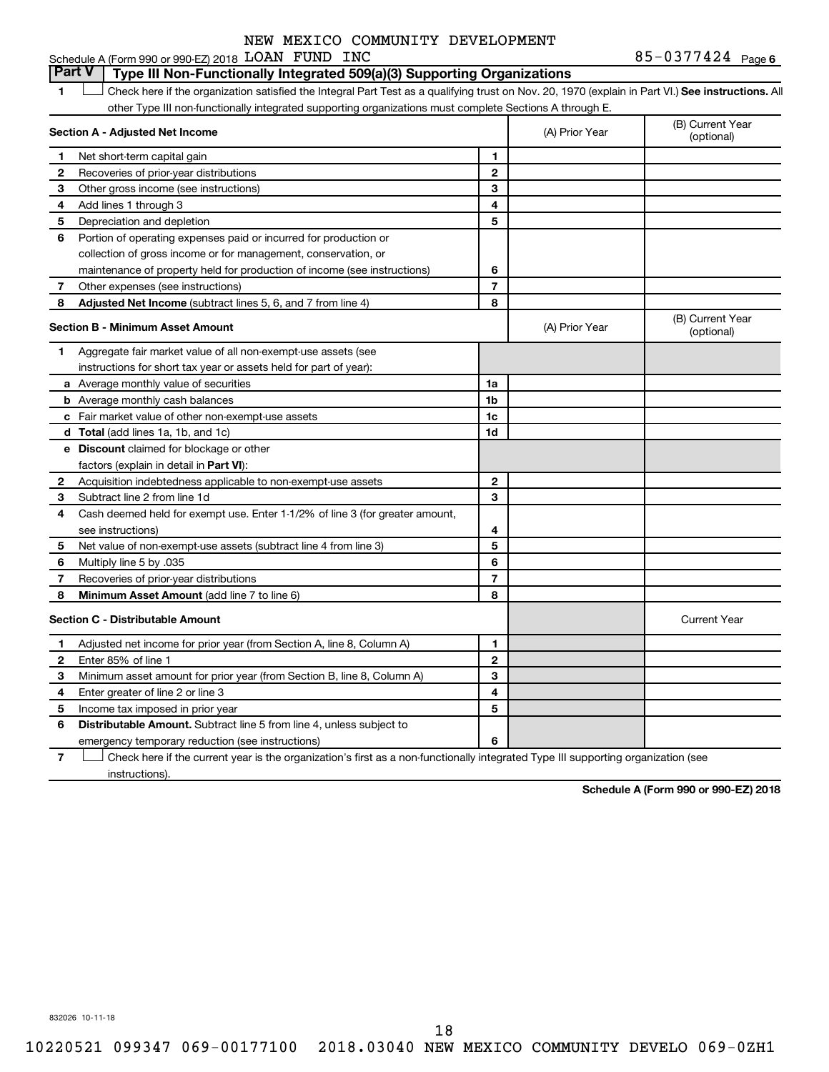**Part V Type III Non-Functionally Integrated 509(a)(3) Supporting Organizations** 

1 **Letter See instructions.** All Check here if the organization satisfied the Integral Part Test as a qualifying trust on Nov. 20, 1970 (explain in Part VI.) See instructions. All other Type III non-functionally integrated supporting organizations must complete Sections A through E.

|    | Section A - Adjusted Net Income                                              |                          | (A) Prior Year | (B) Current Year<br>(optional) |
|----|------------------------------------------------------------------------------|--------------------------|----------------|--------------------------------|
| 1  | Net short-term capital gain                                                  | 1                        |                |                                |
| 2  | Recoveries of prior-year distributions                                       | $\overline{2}$           |                |                                |
| 3  | Other gross income (see instructions)                                        | 3                        |                |                                |
| 4  | Add lines 1 through 3                                                        | 4                        |                |                                |
| 5  | Depreciation and depletion                                                   | 5                        |                |                                |
| 6  | Portion of operating expenses paid or incurred for production or             |                          |                |                                |
|    | collection of gross income or for management, conservation, or               |                          |                |                                |
|    | maintenance of property held for production of income (see instructions)     | 6                        |                |                                |
| 7  | Other expenses (see instructions)                                            | $\overline{7}$           |                |                                |
| 8  | Adjusted Net Income (subtract lines 5, 6, and 7 from line 4)                 | 8                        |                |                                |
|    | <b>Section B - Minimum Asset Amount</b>                                      |                          | (A) Prior Year | (B) Current Year<br>(optional) |
| 1. | Aggregate fair market value of all non-exempt-use assets (see                |                          |                |                                |
|    | instructions for short tax year or assets held for part of year):            |                          |                |                                |
|    | <b>a</b> Average monthly value of securities                                 | 1a                       |                |                                |
|    | <b>b</b> Average monthly cash balances                                       | 1 <sub>b</sub>           |                |                                |
|    | c Fair market value of other non-exempt-use assets                           | 1c                       |                |                                |
|    | d Total (add lines 1a, 1b, and 1c)                                           | 1d                       |                |                                |
|    | e Discount claimed for blockage or other                                     |                          |                |                                |
|    | factors (explain in detail in Part VI):                                      |                          |                |                                |
| 2  | Acquisition indebtedness applicable to non-exempt-use assets                 | $\mathbf{2}$             |                |                                |
| 3  | Subtract line 2 from line 1d                                                 | 3                        |                |                                |
| 4  | Cash deemed held for exempt use. Enter 1-1/2% of line 3 (for greater amount, |                          |                |                                |
|    | see instructions)                                                            | 4                        |                |                                |
| 5  | Net value of non-exempt-use assets (subtract line 4 from line 3)             | 5                        |                |                                |
| 6  | Multiply line 5 by .035                                                      | 6                        |                |                                |
| 7  | Recoveries of prior-year distributions                                       | $\overline{\phantom{a}}$ |                |                                |
| 8  | Minimum Asset Amount (add line 7 to line 6)                                  | 8                        |                |                                |
|    | <b>Section C - Distributable Amount</b>                                      |                          |                | <b>Current Year</b>            |
| 1  | Adjusted net income for prior year (from Section A, line 8, Column A)        | 1                        |                |                                |
| 2  | Enter 85% of line 1                                                          | $\mathbf{2}$             |                |                                |
| 3  | Minimum asset amount for prior year (from Section B, line 8, Column A)       | 3                        |                |                                |
| 4  | Enter greater of line 2 or line 3                                            | 4                        |                |                                |
| 5  | Income tax imposed in prior year                                             | 5                        |                |                                |
| 6  | Distributable Amount. Subtract line 5 from line 4, unless subject to         |                          |                |                                |
|    | emergency temporary reduction (see instructions)                             | 6                        |                |                                |

**7** Let Check here if the current year is the organization's first as a non-functionally integrated Type III supporting organization (see instructions).

**Schedule A (Form 990 or 990-EZ) 2018**

832026 10-11-18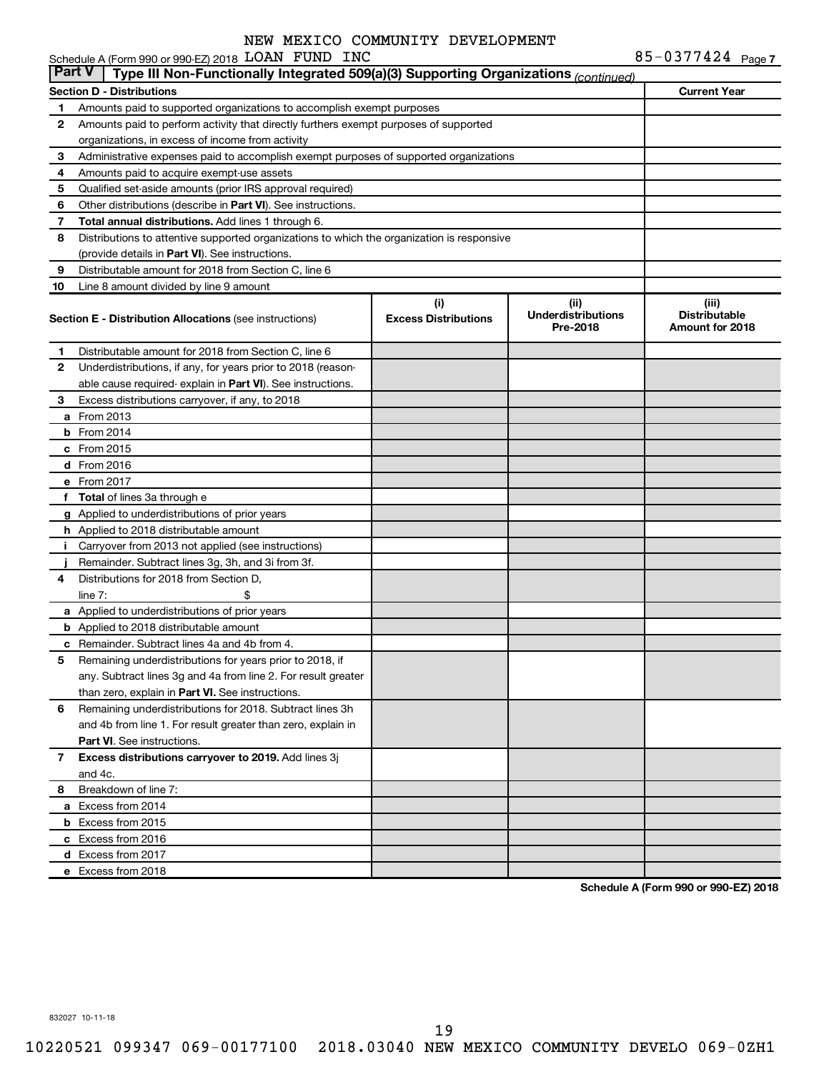|               | Schedule A (Form 990 or 990-EZ) 2018 LOAN FUND INC                                         |                                    |                                               | 85-0377424 Page 7                                |
|---------------|--------------------------------------------------------------------------------------------|------------------------------------|-----------------------------------------------|--------------------------------------------------|
| <b>Part V</b> | Type III Non-Functionally Integrated 509(a)(3) Supporting Organizations (continued)        |                                    |                                               |                                                  |
|               | <b>Section D - Distributions</b>                                                           |                                    |                                               | <b>Current Year</b>                              |
| 1             | Amounts paid to supported organizations to accomplish exempt purposes                      |                                    |                                               |                                                  |
| 2             | Amounts paid to perform activity that directly furthers exempt purposes of supported       |                                    |                                               |                                                  |
|               | organizations, in excess of income from activity                                           |                                    |                                               |                                                  |
| 3             | Administrative expenses paid to accomplish exempt purposes of supported organizations      |                                    |                                               |                                                  |
| 4             | Amounts paid to acquire exempt-use assets                                                  |                                    |                                               |                                                  |
| 5             | Qualified set-aside amounts (prior IRS approval required)                                  |                                    |                                               |                                                  |
| 6             | Other distributions (describe in Part VI). See instructions.                               |                                    |                                               |                                                  |
| 7             | Total annual distributions. Add lines 1 through 6.                                         |                                    |                                               |                                                  |
| 8             | Distributions to attentive supported organizations to which the organization is responsive |                                    |                                               |                                                  |
|               | (provide details in Part VI). See instructions.                                            |                                    |                                               |                                                  |
| 9             | Distributable amount for 2018 from Section C, line 6                                       |                                    |                                               |                                                  |
| 10            | Line 8 amount divided by line 9 amount                                                     |                                    |                                               |                                                  |
|               | <b>Section E - Distribution Allocations (see instructions)</b>                             | (i)<br><b>Excess Distributions</b> | (ii)<br><b>Underdistributions</b><br>Pre-2018 | (iii)<br><b>Distributable</b><br>Amount for 2018 |
| 1             | Distributable amount for 2018 from Section C, line 6                                       |                                    |                                               |                                                  |
| 2             | Underdistributions, if any, for years prior to 2018 (reason-                               |                                    |                                               |                                                  |
|               | able cause required-explain in Part VI). See instructions.                                 |                                    |                                               |                                                  |
| 3             | Excess distributions carryover, if any, to 2018                                            |                                    |                                               |                                                  |
|               | <b>a</b> From 2013                                                                         |                                    |                                               |                                                  |
|               | $b$ From 2014                                                                              |                                    |                                               |                                                  |
|               | $c$ From 2015                                                                              |                                    |                                               |                                                  |
|               | d From 2016                                                                                |                                    |                                               |                                                  |
|               | e From 2017                                                                                |                                    |                                               |                                                  |
|               | f Total of lines 3a through e                                                              |                                    |                                               |                                                  |
|               | g Applied to underdistributions of prior years                                             |                                    |                                               |                                                  |
|               | h Applied to 2018 distributable amount                                                     |                                    |                                               |                                                  |
|               | i Carryover from 2013 not applied (see instructions)                                       |                                    |                                               |                                                  |
|               | Remainder. Subtract lines 3g, 3h, and 3i from 3f.                                          |                                    |                                               |                                                  |
| 4             | Distributions for 2018 from Section D,                                                     |                                    |                                               |                                                  |
|               | \$<br>line $7:$                                                                            |                                    |                                               |                                                  |
|               | a Applied to underdistributions of prior years                                             |                                    |                                               |                                                  |
|               | <b>b</b> Applied to 2018 distributable amount                                              |                                    |                                               |                                                  |
|               | <b>c</b> Remainder. Subtract lines 4a and 4b from 4.                                       |                                    |                                               |                                                  |
| 5             | Remaining underdistributions for years prior to 2018, if                                   |                                    |                                               |                                                  |
|               | any. Subtract lines 3g and 4a from line 2. For result greater                              |                                    |                                               |                                                  |
|               | than zero, explain in Part VI. See instructions.                                           |                                    |                                               |                                                  |
| 6             | Remaining underdistributions for 2018. Subtract lines 3h                                   |                                    |                                               |                                                  |
|               | and 4b from line 1. For result greater than zero, explain in                               |                                    |                                               |                                                  |
|               | <b>Part VI.</b> See instructions.                                                          |                                    |                                               |                                                  |
| 7             | Excess distributions carryover to 2019. Add lines 3j                                       |                                    |                                               |                                                  |
|               | and 4c.                                                                                    |                                    |                                               |                                                  |
| 8             | Breakdown of line 7:                                                                       |                                    |                                               |                                                  |
|               | a Excess from 2014                                                                         |                                    |                                               |                                                  |
|               | <b>b</b> Excess from 2015                                                                  |                                    |                                               |                                                  |
|               | c Excess from 2016                                                                         |                                    |                                               |                                                  |
|               | d Excess from 2017                                                                         |                                    |                                               |                                                  |
|               | e Excess from 2018                                                                         |                                    |                                               |                                                  |

**Schedule A (Form 990 or 990-EZ) 2018**

832027 10-11-18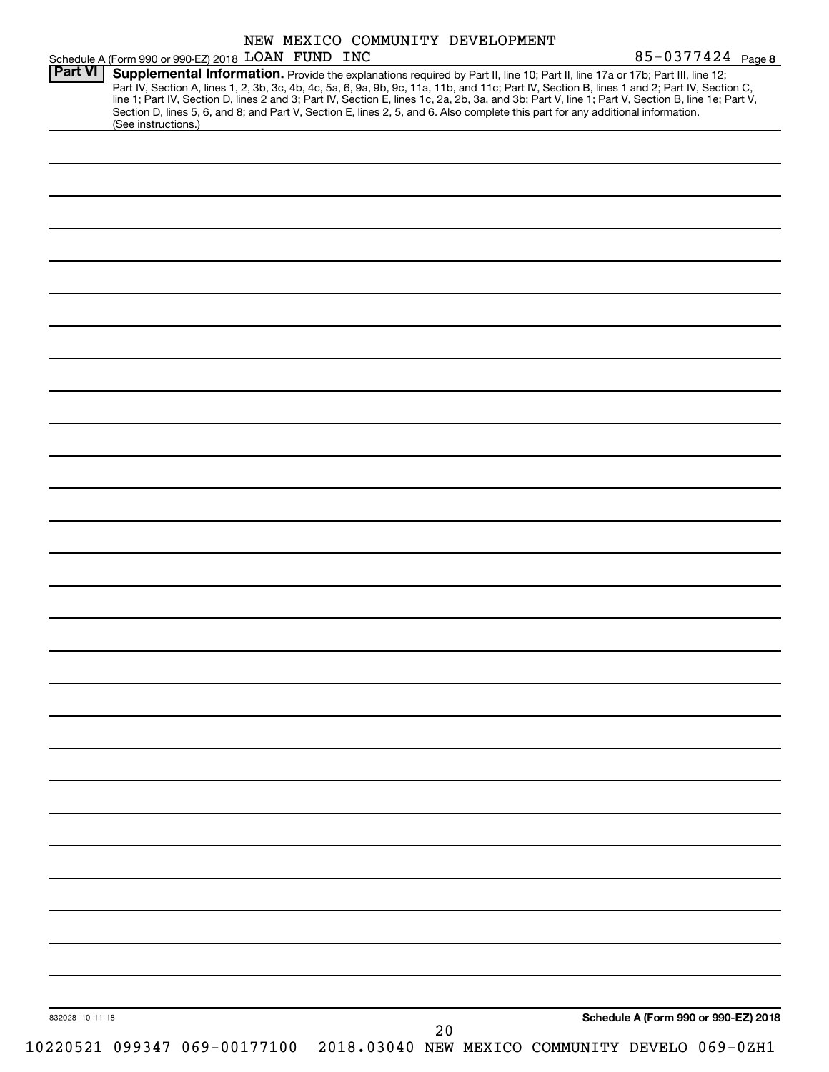|                 |                                                                                                                                                                                                                                                                                                                                                                                                                                                                                                                                                                                             |  | NEW MEXICO COMMUNITY DEVELOPMENT |  |                                      |  |
|-----------------|---------------------------------------------------------------------------------------------------------------------------------------------------------------------------------------------------------------------------------------------------------------------------------------------------------------------------------------------------------------------------------------------------------------------------------------------------------------------------------------------------------------------------------------------------------------------------------------------|--|----------------------------------|--|--------------------------------------|--|
|                 | Schedule A (Form 990 or 990-EZ) 2018 LOAN FUND INC                                                                                                                                                                                                                                                                                                                                                                                                                                                                                                                                          |  |                                  |  | 85-0377424 Page 8                    |  |
| <b>Part VI</b>  | Supplemental Information. Provide the explanations required by Part II, line 10; Part II, line 17a or 17b; Part III, line 12;<br>Part IV, Section A, lines 1, 2, 3b, 3c, 4b, 4c, 5a, 6, 9a, 9b, 9c, 11a, 11b, and 11c; Part IV, Section B, lines 1 and 2; Part IV, Section C,<br>line 1; Part IV, Section D, lines 2 and 3; Part IV, Section E, lines 1c, 2a, 2b, 3a, and 3b; Part V, line 1; Part V, Section B, line 1e; Part V,<br>Section D, lines 5, 6, and 8; and Part V, Section E, lines 2, 5, and 6. Also complete this part for any additional information.<br>(See instructions.) |  |                                  |  |                                      |  |
|                 |                                                                                                                                                                                                                                                                                                                                                                                                                                                                                                                                                                                             |  |                                  |  |                                      |  |
|                 |                                                                                                                                                                                                                                                                                                                                                                                                                                                                                                                                                                                             |  |                                  |  |                                      |  |
|                 |                                                                                                                                                                                                                                                                                                                                                                                                                                                                                                                                                                                             |  |                                  |  |                                      |  |
|                 |                                                                                                                                                                                                                                                                                                                                                                                                                                                                                                                                                                                             |  |                                  |  |                                      |  |
|                 |                                                                                                                                                                                                                                                                                                                                                                                                                                                                                                                                                                                             |  |                                  |  |                                      |  |
|                 |                                                                                                                                                                                                                                                                                                                                                                                                                                                                                                                                                                                             |  |                                  |  |                                      |  |
|                 |                                                                                                                                                                                                                                                                                                                                                                                                                                                                                                                                                                                             |  |                                  |  |                                      |  |
|                 |                                                                                                                                                                                                                                                                                                                                                                                                                                                                                                                                                                                             |  |                                  |  |                                      |  |
|                 |                                                                                                                                                                                                                                                                                                                                                                                                                                                                                                                                                                                             |  |                                  |  |                                      |  |
|                 |                                                                                                                                                                                                                                                                                                                                                                                                                                                                                                                                                                                             |  |                                  |  |                                      |  |
|                 |                                                                                                                                                                                                                                                                                                                                                                                                                                                                                                                                                                                             |  |                                  |  |                                      |  |
|                 |                                                                                                                                                                                                                                                                                                                                                                                                                                                                                                                                                                                             |  |                                  |  |                                      |  |
|                 |                                                                                                                                                                                                                                                                                                                                                                                                                                                                                                                                                                                             |  |                                  |  |                                      |  |
|                 |                                                                                                                                                                                                                                                                                                                                                                                                                                                                                                                                                                                             |  |                                  |  |                                      |  |
|                 |                                                                                                                                                                                                                                                                                                                                                                                                                                                                                                                                                                                             |  |                                  |  |                                      |  |
|                 |                                                                                                                                                                                                                                                                                                                                                                                                                                                                                                                                                                                             |  |                                  |  |                                      |  |
|                 |                                                                                                                                                                                                                                                                                                                                                                                                                                                                                                                                                                                             |  |                                  |  |                                      |  |
|                 |                                                                                                                                                                                                                                                                                                                                                                                                                                                                                                                                                                                             |  |                                  |  |                                      |  |
|                 |                                                                                                                                                                                                                                                                                                                                                                                                                                                                                                                                                                                             |  |                                  |  |                                      |  |
|                 |                                                                                                                                                                                                                                                                                                                                                                                                                                                                                                                                                                                             |  |                                  |  |                                      |  |
|                 |                                                                                                                                                                                                                                                                                                                                                                                                                                                                                                                                                                                             |  |                                  |  |                                      |  |
|                 |                                                                                                                                                                                                                                                                                                                                                                                                                                                                                                                                                                                             |  |                                  |  |                                      |  |
|                 |                                                                                                                                                                                                                                                                                                                                                                                                                                                                                                                                                                                             |  |                                  |  |                                      |  |
|                 |                                                                                                                                                                                                                                                                                                                                                                                                                                                                                                                                                                                             |  |                                  |  |                                      |  |
|                 |                                                                                                                                                                                                                                                                                                                                                                                                                                                                                                                                                                                             |  |                                  |  |                                      |  |
|                 |                                                                                                                                                                                                                                                                                                                                                                                                                                                                                                                                                                                             |  |                                  |  |                                      |  |
|                 |                                                                                                                                                                                                                                                                                                                                                                                                                                                                                                                                                                                             |  |                                  |  |                                      |  |
|                 |                                                                                                                                                                                                                                                                                                                                                                                                                                                                                                                                                                                             |  |                                  |  |                                      |  |
|                 |                                                                                                                                                                                                                                                                                                                                                                                                                                                                                                                                                                                             |  |                                  |  |                                      |  |
|                 |                                                                                                                                                                                                                                                                                                                                                                                                                                                                                                                                                                                             |  |                                  |  |                                      |  |
|                 |                                                                                                                                                                                                                                                                                                                                                                                                                                                                                                                                                                                             |  |                                  |  |                                      |  |
|                 |                                                                                                                                                                                                                                                                                                                                                                                                                                                                                                                                                                                             |  |                                  |  |                                      |  |
|                 |                                                                                                                                                                                                                                                                                                                                                                                                                                                                                                                                                                                             |  |                                  |  |                                      |  |
| 832028 10-11-18 |                                                                                                                                                                                                                                                                                                                                                                                                                                                                                                                                                                                             |  |                                  |  | Schedule A (Form 990 or 990-EZ) 2018 |  |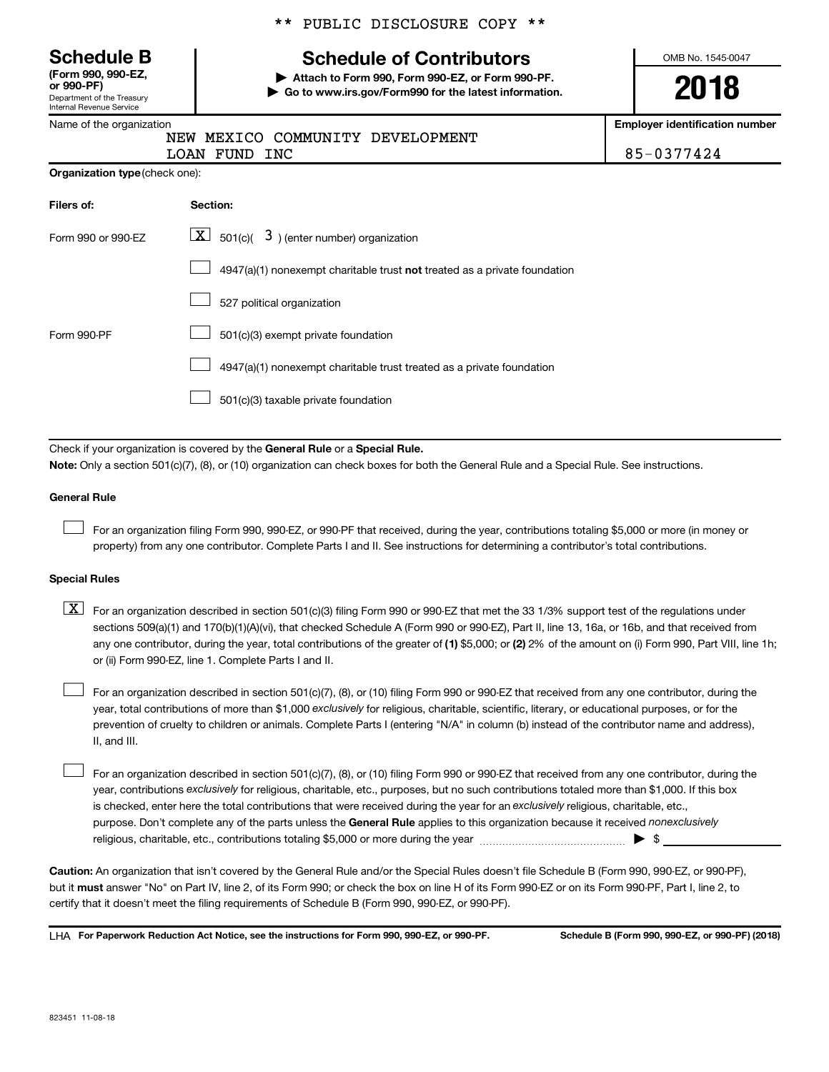Department of the Treasury Internal Revenue Service **(Form 990, 990-EZ,**

Name of the organization

## \*\* PUBLIC DISCLOSURE COPY \*\*

# **Schedule B Schedule of Contributors**

**or 990-PF) | Attach to Form 990, Form 990-EZ, or Form 990-PF. | Go to www.irs.gov/Form990 for the latest information.** OMB No. 1545-0047

**2018**

**Employer identification number**

| LOAN FUND INC |  | $185 - 0377424$ |
|---------------|--|-----------------|

**Organization type** (check one):

| Filers of:         | Section:                                                                  |
|--------------------|---------------------------------------------------------------------------|
| Form 990 or 990-EZ | $ \mathbf{X} $ 501(c)( 3) (enter number) organization                     |
|                    | 4947(a)(1) nonexempt charitable trust not treated as a private foundation |
|                    | 527 political organization                                                |
| Form 990-PF        | 501(c)(3) exempt private foundation                                       |
|                    | 4947(a)(1) nonexempt charitable trust treated as a private foundation     |
|                    | 501(c)(3) taxable private foundation                                      |

NEW MEXICO COMMUNITY DEVELOPMENT

Check if your organization is covered by the General Rule or a Special Rule. **Note:**  Only a section 501(c)(7), (8), or (10) organization can check boxes for both the General Rule and a Special Rule. See instructions.

#### **General Rule**

 $\Box$ 

For an organization filing Form 990, 990-EZ, or 990-PF that received, during the year, contributions totaling \$5,000 or more (in money or property) from any one contributor. Complete Parts I and II. See instructions for determining a contributor's total contributions.

#### **Special Rules**

any one contributor, during the year, total contributions of the greater of (1) \$5,000; or (2) 2% of the amount on (i) Form 990, Part VIII, line 1h;  $\boxed{\text{X}}$  For an organization described in section 501(c)(3) filing Form 990 or 990-EZ that met the 33 1/3% support test of the regulations under sections 509(a)(1) and 170(b)(1)(A)(vi), that checked Schedule A (Form 990 or 990-EZ), Part II, line 13, 16a, or 16b, and that received from or (ii) Form 990-EZ, line 1. Complete Parts I and II.

year, total contributions of more than \$1,000 *exclusively* for religious, charitable, scientific, literary, or educational purposes, or for the For an organization described in section 501(c)(7), (8), or (10) filing Form 990 or 990-EZ that received from any one contributor, during the prevention of cruelty to children or animals. Complete Parts I (entering "N/A" in column (b) instead of the contributor name and address), II, and III.  $\Box$ 

purpose. Don't complete any of the parts unless the General Rule applies to this organization because it received nonexclusively year, contributions exclusively for religious, charitable, etc., purposes, but no such contributions totaled more than \$1,000. If this box is checked, enter here the total contributions that were received during the year for an exclusively religious, charitable, etc., For an organization described in section 501(c)(7), (8), or (10) filing Form 990 or 990-EZ that received from any one contributor, during the religious, charitable, etc., contributions totaling \$5,000 or more during the year  $\ldots$  $\ldots$  $\ldots$  $\ldots$  $\ldots$  $\ldots$  $\Box$ 

**Caution:**  An organization that isn't covered by the General Rule and/or the Special Rules doesn't file Schedule B (Form 990, 990-EZ, or 990-PF),  **must** but it answer "No" on Part IV, line 2, of its Form 990; or check the box on line H of its Form 990-EZ or on its Form 990-PF, Part I, line 2, to certify that it doesn't meet the filing requirements of Schedule B (Form 990, 990-EZ, or 990-PF).

**For Paperwork Reduction Act Notice, see the instructions for Form 990, 990-EZ, or 990-PF. Schedule B (Form 990, 990-EZ, or 990-PF) (2018)** LHA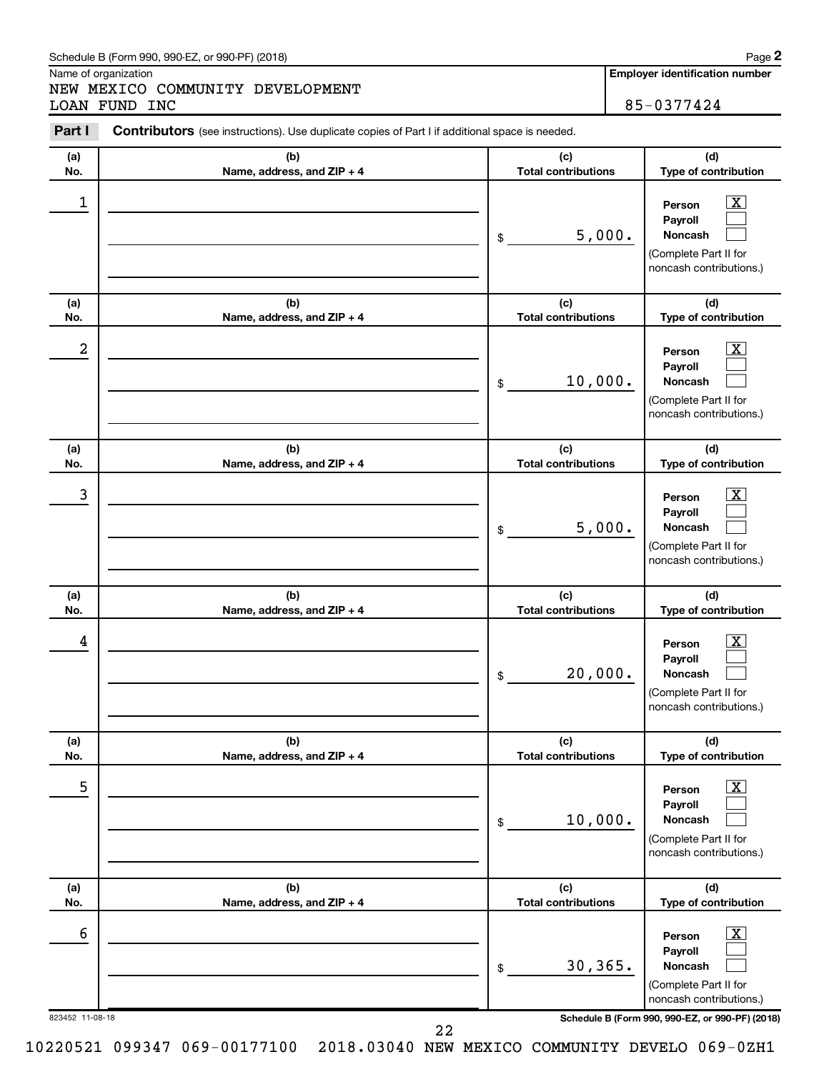#### Schedule B (Form 990, 990-EZ, or 990-PF) (2018)

Name of organization

NEW MEXICO COMMUNITY DEVELOPMENT LOAN FUND INC 85-0377424

**Employer identification number**

| Part I           | <b>Contributors</b> (see instructions). Use duplicate copies of Part I if additional space is needed. |                                   |                                                                                                                  |
|------------------|-------------------------------------------------------------------------------------------------------|-----------------------------------|------------------------------------------------------------------------------------------------------------------|
| (a)              | (b)                                                                                                   | (c)                               | (d)                                                                                                              |
| No.              | Name, address, and ZIP + 4                                                                            | <b>Total contributions</b>        | Type of contribution                                                                                             |
| 1                |                                                                                                       | 5,000.<br>\$                      | $\overline{\text{X}}$<br>Person<br>Payroll<br><b>Noncash</b><br>(Complete Part II for<br>noncash contributions.) |
| (a)              | (b)                                                                                                   | (c)                               | (d)                                                                                                              |
| No.              | Name, address, and ZIP + 4                                                                            | <b>Total contributions</b>        | Type of contribution                                                                                             |
| $\boldsymbol{2}$ |                                                                                                       | 10,000.<br>\$                     | $\overline{\text{X}}$<br>Person<br>Payroll<br><b>Noncash</b><br>(Complete Part II for<br>noncash contributions.) |
| (a)<br>No.       | (b)<br>Name, address, and ZIP + 4                                                                     | (c)<br><b>Total contributions</b> | (d)<br>Type of contribution                                                                                      |
| 3                |                                                                                                       | 5,000.<br>\$                      | $\overline{\text{X}}$<br>Person<br>Payroll<br><b>Noncash</b><br>(Complete Part II for<br>noncash contributions.) |
| (a)<br>No.       | (b)<br>Name, address, and ZIP + 4                                                                     | (c)<br><b>Total contributions</b> | (d)<br>Type of contribution                                                                                      |
| 4                |                                                                                                       | 20,000.<br>\$                     | $\overline{\text{X}}$<br>Person<br>Payroll<br><b>Noncash</b><br>(Complete Part II for<br>noncash contributions.) |
| (a)<br>No.       | (b)<br>Name, address, and ZIP + 4                                                                     | (c)<br><b>Total contributions</b> | (d)<br>Type of contribution                                                                                      |
| 5                |                                                                                                       | 10,000.<br>$\$$                   | $\overline{\textbf{x}}$<br>Person<br>Payroll<br>Noncash<br>(Complete Part II for<br>noncash contributions.)      |
| (a)<br>No.       | (b)<br>Name, address, and ZIP + 4                                                                     | (c)<br><b>Total contributions</b> | (d)<br>Type of contribution                                                                                      |
| 6                |                                                                                                       | 30,365.<br>$\,$                   | $\overline{\textbf{x}}$<br>Person<br>Payroll<br>Noncash<br>(Complete Part II for<br>noncash contributions.)      |

823452 11-08-18 **Schedule B (Form 990, 990-EZ, or 990-PF) (2018)**

22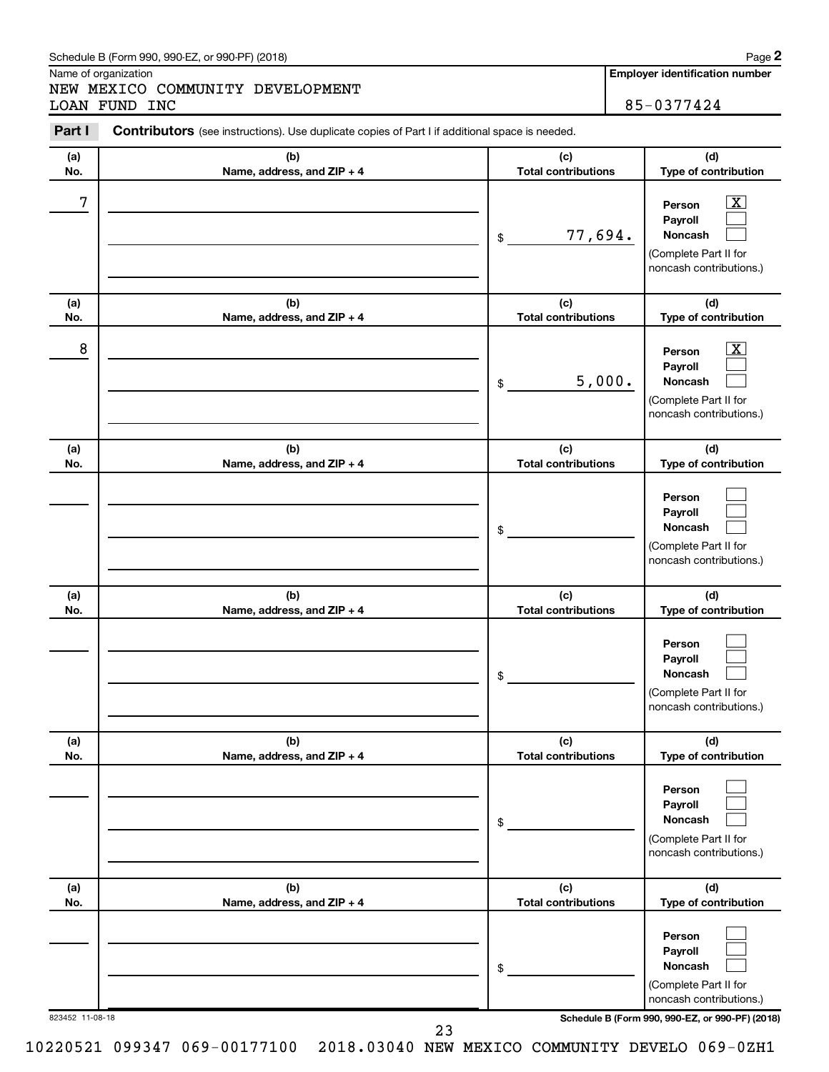#### Schedule B (Form 990, 990-EZ, or 990-PF) (2018)

Name of organization

NEW MEXICO COMMUNITY DEVELOPMENT LOAN FUND INC 85-0377424

**Employer identification number**

| Part I     | <b>Contributors</b> (see instructions). Use duplicate copies of Part I if additional space is needed. |                                   |                                                                                                           |
|------------|-------------------------------------------------------------------------------------------------------|-----------------------------------|-----------------------------------------------------------------------------------------------------------|
| (a)        | (b)                                                                                                   | (c)                               | (d)                                                                                                       |
| No.        | Name, address, and ZIP + 4                                                                            | <b>Total contributions</b>        | Type of contribution                                                                                      |
| 7          |                                                                                                       | 77,694.<br>\$                     | $\overline{\text{X}}$<br>Person<br>Payroll<br>Noncash<br>(Complete Part II for<br>noncash contributions.) |
| (a)        | (b)                                                                                                   | (c)                               | (d)                                                                                                       |
| No.        | Name, address, and ZIP + 4                                                                            | <b>Total contributions</b>        | Type of contribution                                                                                      |
| 8          |                                                                                                       | 5,000.<br>\$                      | X<br>Person<br>Payroll<br>Noncash<br>(Complete Part II for<br>noncash contributions.)                     |
| (a)        | (b)                                                                                                   | (c)                               | (d)                                                                                                       |
| No.        | Name, address, and ZIP + 4                                                                            | <b>Total contributions</b>        | Type of contribution                                                                                      |
|            |                                                                                                       | \$                                | Person<br>Payroll<br>Noncash<br>(Complete Part II for<br>noncash contributions.)                          |
| (a)        | (b)                                                                                                   | (c)                               | (d)                                                                                                       |
| No.        | Name, address, and ZIP + 4                                                                            | <b>Total contributions</b><br>\$  | Type of contribution<br>Person<br>Payroll<br>Noncash<br>(Complete Part II for<br>noncash contributions.)  |
| (a)<br>No. | (b)                                                                                                   | (c)<br><b>Total contributions</b> | (d)<br>Type of contribution                                                                               |
|            | Name, address, and ZIP + 4                                                                            | \$                                | Person<br>Payroll<br>Noncash<br>(Complete Part II for<br>noncash contributions.)                          |
| (a)        | (b)                                                                                                   | (c)                               | (d)                                                                                                       |
| No.        | Name, address, and ZIP + 4                                                                            | <b>Total contributions</b><br>\$  | Type of contribution<br>Person<br>Payroll<br>Noncash<br>(Complete Part II for<br>noncash contributions.)  |

823452 11-08-18 **Schedule B (Form 990, 990-EZ, or 990-PF) (2018)**

10220521 099347 069-00177100 2018.03040 NEW MEXICO COMMUNITY DEVELO 069-0ZH1

23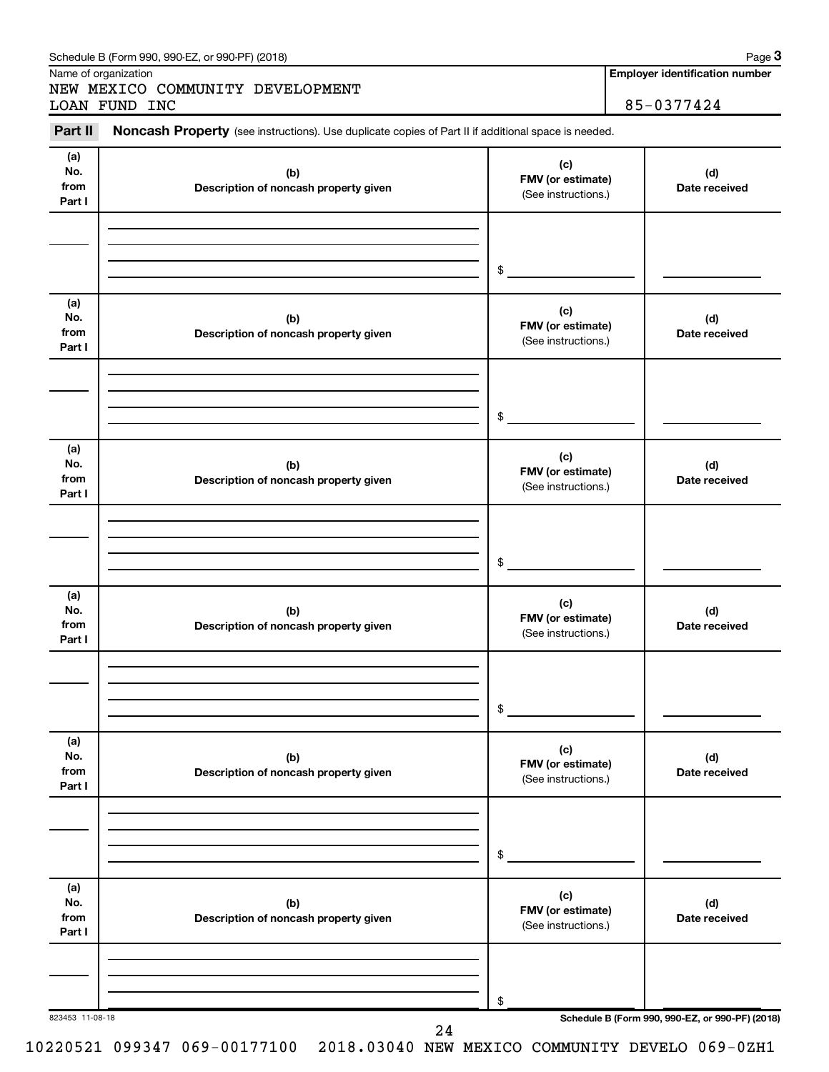| (a)<br>No.<br>from<br>Part I | (b)<br>Description of noncash property given | (c)<br>FMV (or estimate)<br>(See instructions.) | (d)<br>Date received |
|------------------------------|----------------------------------------------|-------------------------------------------------|----------------------|
|                              |                                              | \$                                              |                      |
| (a)<br>No.<br>from<br>Part I | (b)<br>Description of noncash property given | (c)<br>FMV (or estimate)<br>(See instructions.) | (d)<br>Date received |
|                              |                                              | \$                                              |                      |
| (a)<br>No.<br>from<br>Part I | (b)<br>Description of noncash property given | (c)<br>FMV (or estimate)<br>(See instructions.) | (d)<br>Date received |
|                              |                                              | \$                                              |                      |
| (a)<br>No.<br>from<br>Part I | (b)<br>Description of noncash property given | (c)<br>FMV (or estimate)<br>(See instructions.) | (d)<br>Date received |
|                              |                                              | \$                                              |                      |
| (a)<br>No.<br>from<br>Part I | (b)<br>Description of noncash property given | (c)<br>FMV (or estimate)<br>(See instructions.) | (d)<br>Date received |
|                              |                                              | \$                                              |                      |
| (a)<br>No.<br>from<br>Part I | (b)<br>Description of noncash property given | (c)<br>FMV (or estimate)<br>(See instructions.) | (d)<br>Date received |
|                              |                                              |                                                 |                      |

Schedule B (Form 990, 990-EZ, or 990-PF) (2018)

Name of organization

NEW MEXICO COMMUNITY DEVELOPMENT LOAN FUND INC 85-0377424

**Employer identification number**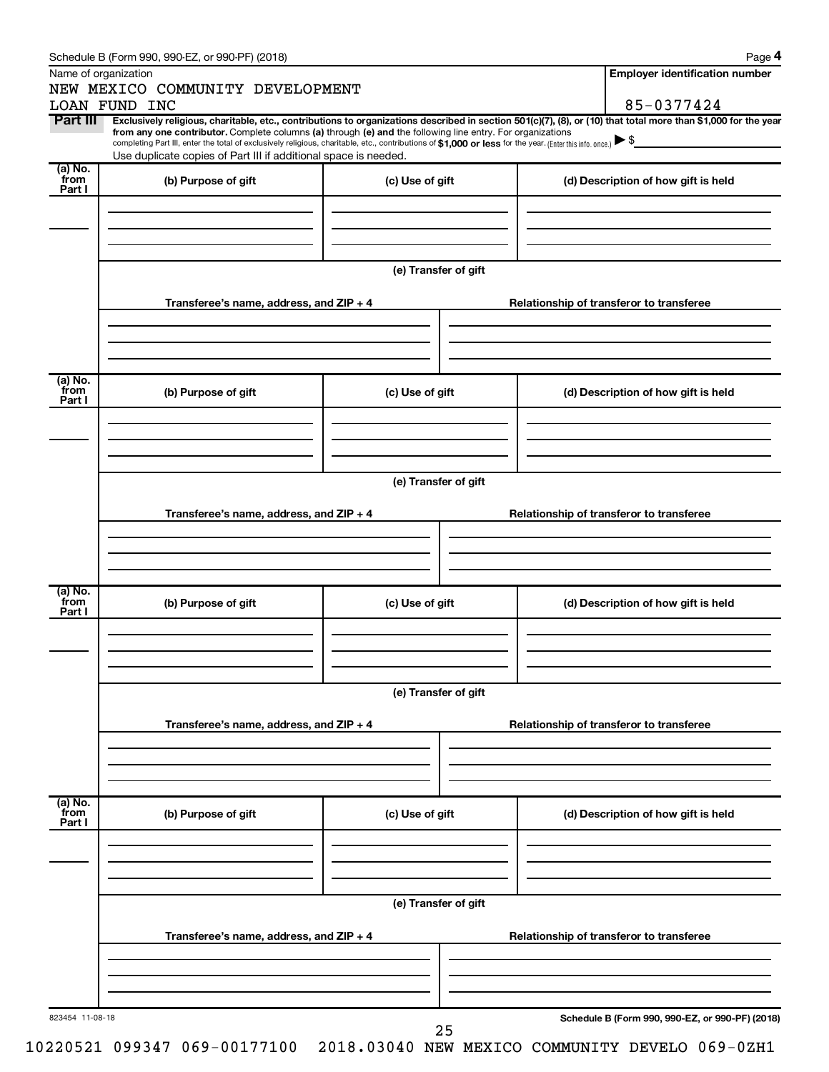| Name of organization<br>NEW MEXICO COMMUNITY DEVELOPMENT<br>85-0377424<br>LOAN FUND INC<br>Part III<br>Exclusively religious, charitable, etc., contributions to organizations described in section 501(c)(7), (8), or (10) that total more than \$1,000 for the year<br>from any one contributor. Complete columns (a) through (e) and the following line entry. For organizations<br>completing Part III, enter the total of exclusively religious, charitable, etc., contributions of \$1,000 or less for the year. (Enter this info. once.)<br>Use duplicate copies of Part III if additional space is needed.<br>$(a)$ No.<br>from<br>(b) Purpose of gift<br>(c) Use of gift<br>(d) Description of how gift is held<br>Part I<br>(e) Transfer of gift<br>Transferee's name, address, and ZIP + 4<br>Relationship of transferor to transferee<br>(a) No.<br>from<br>(b) Purpose of gift<br>(c) Use of gift<br>(d) Description of how gift is held<br>Part I<br>(e) Transfer of gift<br>Transferee's name, address, and ZIP + 4<br>Relationship of transferor to transferee<br>(a) No.<br>from<br>(b) Purpose of gift<br>(c) Use of gift<br>(d) Description of how gift is held<br>Part I<br>(e) Transfer of gift<br>Transferee's name, address, and ZIP + 4<br>Relationship of transferor to transferee<br>(a) No.<br>from<br>(b) Purpose of gift<br>(c) Use of gift<br>(d) Description of how gift is held<br>Part I<br>(e) Transfer of gift<br>Transferee's name, address, and ZIP + 4<br>Relationship of transferor to transferee<br>Schedule B (Form 990, 990-EZ, or 990-PF) (2018)<br>823454 11-08-18<br>25 | Schedule B (Form 990, 990-EZ, or 990-PF) (2018) |  |                                       | Page 4 |  |  |
|----------------------------------------------------------------------------------------------------------------------------------------------------------------------------------------------------------------------------------------------------------------------------------------------------------------------------------------------------------------------------------------------------------------------------------------------------------------------------------------------------------------------------------------------------------------------------------------------------------------------------------------------------------------------------------------------------------------------------------------------------------------------------------------------------------------------------------------------------------------------------------------------------------------------------------------------------------------------------------------------------------------------------------------------------------------------------------------------------------------------------------------------------------------------------------------------------------------------------------------------------------------------------------------------------------------------------------------------------------------------------------------------------------------------------------------------------------------------------------------------------------------------------------------------------------------------------------------------------------------------|-------------------------------------------------|--|---------------------------------------|--------|--|--|
|                                                                                                                                                                                                                                                                                                                                                                                                                                                                                                                                                                                                                                                                                                                                                                                                                                                                                                                                                                                                                                                                                                                                                                                                                                                                                                                                                                                                                                                                                                                                                                                                                      |                                                 |  | <b>Employer identification number</b> |        |  |  |
|                                                                                                                                                                                                                                                                                                                                                                                                                                                                                                                                                                                                                                                                                                                                                                                                                                                                                                                                                                                                                                                                                                                                                                                                                                                                                                                                                                                                                                                                                                                                                                                                                      |                                                 |  |                                       |        |  |  |
|                                                                                                                                                                                                                                                                                                                                                                                                                                                                                                                                                                                                                                                                                                                                                                                                                                                                                                                                                                                                                                                                                                                                                                                                                                                                                                                                                                                                                                                                                                                                                                                                                      |                                                 |  |                                       |        |  |  |
|                                                                                                                                                                                                                                                                                                                                                                                                                                                                                                                                                                                                                                                                                                                                                                                                                                                                                                                                                                                                                                                                                                                                                                                                                                                                                                                                                                                                                                                                                                                                                                                                                      |                                                 |  |                                       |        |  |  |
|                                                                                                                                                                                                                                                                                                                                                                                                                                                                                                                                                                                                                                                                                                                                                                                                                                                                                                                                                                                                                                                                                                                                                                                                                                                                                                                                                                                                                                                                                                                                                                                                                      |                                                 |  |                                       |        |  |  |
|                                                                                                                                                                                                                                                                                                                                                                                                                                                                                                                                                                                                                                                                                                                                                                                                                                                                                                                                                                                                                                                                                                                                                                                                                                                                                                                                                                                                                                                                                                                                                                                                                      |                                                 |  |                                       |        |  |  |
|                                                                                                                                                                                                                                                                                                                                                                                                                                                                                                                                                                                                                                                                                                                                                                                                                                                                                                                                                                                                                                                                                                                                                                                                                                                                                                                                                                                                                                                                                                                                                                                                                      |                                                 |  |                                       |        |  |  |
|                                                                                                                                                                                                                                                                                                                                                                                                                                                                                                                                                                                                                                                                                                                                                                                                                                                                                                                                                                                                                                                                                                                                                                                                                                                                                                                                                                                                                                                                                                                                                                                                                      |                                                 |  |                                       |        |  |  |
|                                                                                                                                                                                                                                                                                                                                                                                                                                                                                                                                                                                                                                                                                                                                                                                                                                                                                                                                                                                                                                                                                                                                                                                                                                                                                                                                                                                                                                                                                                                                                                                                                      |                                                 |  |                                       |        |  |  |
|                                                                                                                                                                                                                                                                                                                                                                                                                                                                                                                                                                                                                                                                                                                                                                                                                                                                                                                                                                                                                                                                                                                                                                                                                                                                                                                                                                                                                                                                                                                                                                                                                      |                                                 |  |                                       |        |  |  |
|                                                                                                                                                                                                                                                                                                                                                                                                                                                                                                                                                                                                                                                                                                                                                                                                                                                                                                                                                                                                                                                                                                                                                                                                                                                                                                                                                                                                                                                                                                                                                                                                                      |                                                 |  |                                       |        |  |  |
|                                                                                                                                                                                                                                                                                                                                                                                                                                                                                                                                                                                                                                                                                                                                                                                                                                                                                                                                                                                                                                                                                                                                                                                                                                                                                                                                                                                                                                                                                                                                                                                                                      |                                                 |  |                                       |        |  |  |
|                                                                                                                                                                                                                                                                                                                                                                                                                                                                                                                                                                                                                                                                                                                                                                                                                                                                                                                                                                                                                                                                                                                                                                                                                                                                                                                                                                                                                                                                                                                                                                                                                      |                                                 |  |                                       |        |  |  |
|                                                                                                                                                                                                                                                                                                                                                                                                                                                                                                                                                                                                                                                                                                                                                                                                                                                                                                                                                                                                                                                                                                                                                                                                                                                                                                                                                                                                                                                                                                                                                                                                                      |                                                 |  |                                       |        |  |  |
|                                                                                                                                                                                                                                                                                                                                                                                                                                                                                                                                                                                                                                                                                                                                                                                                                                                                                                                                                                                                                                                                                                                                                                                                                                                                                                                                                                                                                                                                                                                                                                                                                      |                                                 |  |                                       |        |  |  |
|                                                                                                                                                                                                                                                                                                                                                                                                                                                                                                                                                                                                                                                                                                                                                                                                                                                                                                                                                                                                                                                                                                                                                                                                                                                                                                                                                                                                                                                                                                                                                                                                                      |                                                 |  |                                       |        |  |  |
|                                                                                                                                                                                                                                                                                                                                                                                                                                                                                                                                                                                                                                                                                                                                                                                                                                                                                                                                                                                                                                                                                                                                                                                                                                                                                                                                                                                                                                                                                                                                                                                                                      |                                                 |  |                                       |        |  |  |
|                                                                                                                                                                                                                                                                                                                                                                                                                                                                                                                                                                                                                                                                                                                                                                                                                                                                                                                                                                                                                                                                                                                                                                                                                                                                                                                                                                                                                                                                                                                                                                                                                      |                                                 |  |                                       |        |  |  |
|                                                                                                                                                                                                                                                                                                                                                                                                                                                                                                                                                                                                                                                                                                                                                                                                                                                                                                                                                                                                                                                                                                                                                                                                                                                                                                                                                                                                                                                                                                                                                                                                                      |                                                 |  |                                       |        |  |  |
|                                                                                                                                                                                                                                                                                                                                                                                                                                                                                                                                                                                                                                                                                                                                                                                                                                                                                                                                                                                                                                                                                                                                                                                                                                                                                                                                                                                                                                                                                                                                                                                                                      |                                                 |  |                                       |        |  |  |
|                                                                                                                                                                                                                                                                                                                                                                                                                                                                                                                                                                                                                                                                                                                                                                                                                                                                                                                                                                                                                                                                                                                                                                                                                                                                                                                                                                                                                                                                                                                                                                                                                      |                                                 |  |                                       |        |  |  |
|                                                                                                                                                                                                                                                                                                                                                                                                                                                                                                                                                                                                                                                                                                                                                                                                                                                                                                                                                                                                                                                                                                                                                                                                                                                                                                                                                                                                                                                                                                                                                                                                                      |                                                 |  |                                       |        |  |  |
|                                                                                                                                                                                                                                                                                                                                                                                                                                                                                                                                                                                                                                                                                                                                                                                                                                                                                                                                                                                                                                                                                                                                                                                                                                                                                                                                                                                                                                                                                                                                                                                                                      |                                                 |  |                                       |        |  |  |
|                                                                                                                                                                                                                                                                                                                                                                                                                                                                                                                                                                                                                                                                                                                                                                                                                                                                                                                                                                                                                                                                                                                                                                                                                                                                                                                                                                                                                                                                                                                                                                                                                      |                                                 |  |                                       |        |  |  |
|                                                                                                                                                                                                                                                                                                                                                                                                                                                                                                                                                                                                                                                                                                                                                                                                                                                                                                                                                                                                                                                                                                                                                                                                                                                                                                                                                                                                                                                                                                                                                                                                                      |                                                 |  |                                       |        |  |  |
|                                                                                                                                                                                                                                                                                                                                                                                                                                                                                                                                                                                                                                                                                                                                                                                                                                                                                                                                                                                                                                                                                                                                                                                                                                                                                                                                                                                                                                                                                                                                                                                                                      |                                                 |  |                                       |        |  |  |
|                                                                                                                                                                                                                                                                                                                                                                                                                                                                                                                                                                                                                                                                                                                                                                                                                                                                                                                                                                                                                                                                                                                                                                                                                                                                                                                                                                                                                                                                                                                                                                                                                      |                                                 |  |                                       |        |  |  |
|                                                                                                                                                                                                                                                                                                                                                                                                                                                                                                                                                                                                                                                                                                                                                                                                                                                                                                                                                                                                                                                                                                                                                                                                                                                                                                                                                                                                                                                                                                                                                                                                                      |                                                 |  |                                       |        |  |  |
|                                                                                                                                                                                                                                                                                                                                                                                                                                                                                                                                                                                                                                                                                                                                                                                                                                                                                                                                                                                                                                                                                                                                                                                                                                                                                                                                                                                                                                                                                                                                                                                                                      |                                                 |  |                                       |        |  |  |
|                                                                                                                                                                                                                                                                                                                                                                                                                                                                                                                                                                                                                                                                                                                                                                                                                                                                                                                                                                                                                                                                                                                                                                                                                                                                                                                                                                                                                                                                                                                                                                                                                      |                                                 |  |                                       |        |  |  |
|                                                                                                                                                                                                                                                                                                                                                                                                                                                                                                                                                                                                                                                                                                                                                                                                                                                                                                                                                                                                                                                                                                                                                                                                                                                                                                                                                                                                                                                                                                                                                                                                                      |                                                 |  |                                       |        |  |  |
|                                                                                                                                                                                                                                                                                                                                                                                                                                                                                                                                                                                                                                                                                                                                                                                                                                                                                                                                                                                                                                                                                                                                                                                                                                                                                                                                                                                                                                                                                                                                                                                                                      |                                                 |  |                                       |        |  |  |
|                                                                                                                                                                                                                                                                                                                                                                                                                                                                                                                                                                                                                                                                                                                                                                                                                                                                                                                                                                                                                                                                                                                                                                                                                                                                                                                                                                                                                                                                                                                                                                                                                      |                                                 |  |                                       |        |  |  |
|                                                                                                                                                                                                                                                                                                                                                                                                                                                                                                                                                                                                                                                                                                                                                                                                                                                                                                                                                                                                                                                                                                                                                                                                                                                                                                                                                                                                                                                                                                                                                                                                                      |                                                 |  |                                       |        |  |  |
|                                                                                                                                                                                                                                                                                                                                                                                                                                                                                                                                                                                                                                                                                                                                                                                                                                                                                                                                                                                                                                                                                                                                                                                                                                                                                                                                                                                                                                                                                                                                                                                                                      |                                                 |  |                                       |        |  |  |
|                                                                                                                                                                                                                                                                                                                                                                                                                                                                                                                                                                                                                                                                                                                                                                                                                                                                                                                                                                                                                                                                                                                                                                                                                                                                                                                                                                                                                                                                                                                                                                                                                      |                                                 |  |                                       |        |  |  |
|                                                                                                                                                                                                                                                                                                                                                                                                                                                                                                                                                                                                                                                                                                                                                                                                                                                                                                                                                                                                                                                                                                                                                                                                                                                                                                                                                                                                                                                                                                                                                                                                                      |                                                 |  |                                       |        |  |  |
|                                                                                                                                                                                                                                                                                                                                                                                                                                                                                                                                                                                                                                                                                                                                                                                                                                                                                                                                                                                                                                                                                                                                                                                                                                                                                                                                                                                                                                                                                                                                                                                                                      |                                                 |  |                                       |        |  |  |
|                                                                                                                                                                                                                                                                                                                                                                                                                                                                                                                                                                                                                                                                                                                                                                                                                                                                                                                                                                                                                                                                                                                                                                                                                                                                                                                                                                                                                                                                                                                                                                                                                      |                                                 |  |                                       |        |  |  |
|                                                                                                                                                                                                                                                                                                                                                                                                                                                                                                                                                                                                                                                                                                                                                                                                                                                                                                                                                                                                                                                                                                                                                                                                                                                                                                                                                                                                                                                                                                                                                                                                                      |                                                 |  |                                       |        |  |  |
|                                                                                                                                                                                                                                                                                                                                                                                                                                                                                                                                                                                                                                                                                                                                                                                                                                                                                                                                                                                                                                                                                                                                                                                                                                                                                                                                                                                                                                                                                                                                                                                                                      |                                                 |  |                                       |        |  |  |
|                                                                                                                                                                                                                                                                                                                                                                                                                                                                                                                                                                                                                                                                                                                                                                                                                                                                                                                                                                                                                                                                                                                                                                                                                                                                                                                                                                                                                                                                                                                                                                                                                      |                                                 |  |                                       |        |  |  |
|                                                                                                                                                                                                                                                                                                                                                                                                                                                                                                                                                                                                                                                                                                                                                                                                                                                                                                                                                                                                                                                                                                                                                                                                                                                                                                                                                                                                                                                                                                                                                                                                                      |                                                 |  |                                       |        |  |  |
|                                                                                                                                                                                                                                                                                                                                                                                                                                                                                                                                                                                                                                                                                                                                                                                                                                                                                                                                                                                                                                                                                                                                                                                                                                                                                                                                                                                                                                                                                                                                                                                                                      |                                                 |  |                                       |        |  |  |
|                                                                                                                                                                                                                                                                                                                                                                                                                                                                                                                                                                                                                                                                                                                                                                                                                                                                                                                                                                                                                                                                                                                                                                                                                                                                                                                                                                                                                                                                                                                                                                                                                      |                                                 |  |                                       |        |  |  |
|                                                                                                                                                                                                                                                                                                                                                                                                                                                                                                                                                                                                                                                                                                                                                                                                                                                                                                                                                                                                                                                                                                                                                                                                                                                                                                                                                                                                                                                                                                                                                                                                                      |                                                 |  |                                       |        |  |  |
|                                                                                                                                                                                                                                                                                                                                                                                                                                                                                                                                                                                                                                                                                                                                                                                                                                                                                                                                                                                                                                                                                                                                                                                                                                                                                                                                                                                                                                                                                                                                                                                                                      |                                                 |  |                                       |        |  |  |
|                                                                                                                                                                                                                                                                                                                                                                                                                                                                                                                                                                                                                                                                                                                                                                                                                                                                                                                                                                                                                                                                                                                                                                                                                                                                                                                                                                                                                                                                                                                                                                                                                      |                                                 |  |                                       |        |  |  |
|                                                                                                                                                                                                                                                                                                                                                                                                                                                                                                                                                                                                                                                                                                                                                                                                                                                                                                                                                                                                                                                                                                                                                                                                                                                                                                                                                                                                                                                                                                                                                                                                                      |                                                 |  |                                       |        |  |  |
|                                                                                                                                                                                                                                                                                                                                                                                                                                                                                                                                                                                                                                                                                                                                                                                                                                                                                                                                                                                                                                                                                                                                                                                                                                                                                                                                                                                                                                                                                                                                                                                                                      |                                                 |  |                                       |        |  |  |

| 10220521 099347 069-00177100 2018.03040 NEW MEXICO COMMUNITY DEVELO 069-0ZH1 |
|------------------------------------------------------------------------------|
|------------------------------------------------------------------------------|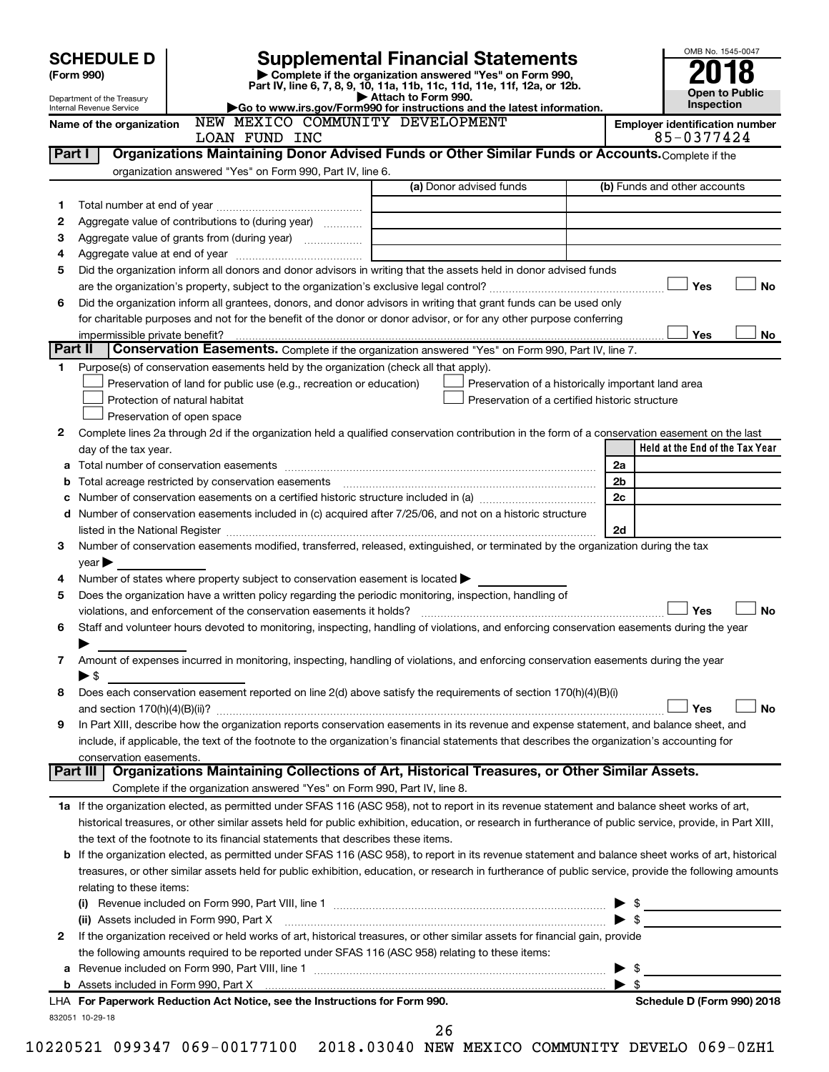|                                                                                                                                         |                                                        |                                                                                                                                                                                                                                                                                                            |                         | OMB No. 1545-0047                                   |  |  |  |
|-----------------------------------------------------------------------------------------------------------------------------------------|--------------------------------------------------------|------------------------------------------------------------------------------------------------------------------------------------------------------------------------------------------------------------------------------------------------------------------------------------------------------------|-------------------------|-----------------------------------------------------|--|--|--|
| <b>Supplemental Financial Statements</b><br><b>SCHEDULE D</b><br>Complete if the organization answered "Yes" on Form 990,<br>(Form 990) |                                                        |                                                                                                                                                                                                                                                                                                            |                         |                                                     |  |  |  |
|                                                                                                                                         |                                                        |                                                                                                                                                                                                                                                                                                            | <b>Open to Public</b>   |                                                     |  |  |  |
|                                                                                                                                         | Department of the Treasury<br>Internal Revenue Service | Attach to Form 990.<br>Go to www.irs.gov/Form990 for instructions and the latest information.                                                                                                                                                                                                              |                         | <b>Inspection</b>                                   |  |  |  |
|                                                                                                                                         | Name of the organization                               | NEW MEXICO COMMUNITY DEVELOPMENT<br>LOAN FUND INC                                                                                                                                                                                                                                                          |                         | <b>Employer identification number</b><br>85-0377424 |  |  |  |
| Part I                                                                                                                                  |                                                        | Organizations Maintaining Donor Advised Funds or Other Similar Funds or Accounts. Complete if the                                                                                                                                                                                                          |                         |                                                     |  |  |  |
|                                                                                                                                         |                                                        | organization answered "Yes" on Form 990, Part IV, line 6.                                                                                                                                                                                                                                                  |                         |                                                     |  |  |  |
|                                                                                                                                         |                                                        | (a) Donor advised funds                                                                                                                                                                                                                                                                                    |                         | (b) Funds and other accounts                        |  |  |  |
| 1                                                                                                                                       |                                                        |                                                                                                                                                                                                                                                                                                            |                         |                                                     |  |  |  |
| 2                                                                                                                                       |                                                        | Aggregate value of contributions to (during year) <i>mimima</i>                                                                                                                                                                                                                                            |                         |                                                     |  |  |  |
| 3<br>4                                                                                                                                  |                                                        | the control of the control of the control of the control of the control of                                                                                                                                                                                                                                 |                         |                                                     |  |  |  |
| 5                                                                                                                                       |                                                        | Did the organization inform all donors and donor advisors in writing that the assets held in donor advised funds                                                                                                                                                                                           |                         |                                                     |  |  |  |
|                                                                                                                                         |                                                        |                                                                                                                                                                                                                                                                                                            |                         | Yes<br><b>No</b>                                    |  |  |  |
| 6                                                                                                                                       |                                                        | Did the organization inform all grantees, donors, and donor advisors in writing that grant funds can be used only                                                                                                                                                                                          |                         |                                                     |  |  |  |
|                                                                                                                                         |                                                        | for charitable purposes and not for the benefit of the donor or donor advisor, or for any other purpose conferring                                                                                                                                                                                         |                         |                                                     |  |  |  |
|                                                                                                                                         | impermissible private benefit?                         |                                                                                                                                                                                                                                                                                                            |                         | Yes<br>No                                           |  |  |  |
|                                                                                                                                         | Part II                                                | Conservation Easements. Complete if the organization answered "Yes" on Form 990, Part IV, line 7.                                                                                                                                                                                                          |                         |                                                     |  |  |  |
| 1.                                                                                                                                      |                                                        | Purpose(s) of conservation easements held by the organization (check all that apply).                                                                                                                                                                                                                      |                         |                                                     |  |  |  |
|                                                                                                                                         |                                                        | Preservation of land for public use (e.g., recreation or education)<br>Preservation of a historically important land area                                                                                                                                                                                  |                         |                                                     |  |  |  |
|                                                                                                                                         |                                                        | Protection of natural habitat<br>Preservation of a certified historic structure                                                                                                                                                                                                                            |                         |                                                     |  |  |  |
|                                                                                                                                         |                                                        | Preservation of open space                                                                                                                                                                                                                                                                                 |                         |                                                     |  |  |  |
| 2                                                                                                                                       |                                                        | Complete lines 2a through 2d if the organization held a qualified conservation contribution in the form of a conservation easement on the last                                                                                                                                                             |                         |                                                     |  |  |  |
|                                                                                                                                         | day of the tax year.                                   |                                                                                                                                                                                                                                                                                                            | 2a                      | Held at the End of the Tax Year                     |  |  |  |
| а<br>b                                                                                                                                  |                                                        | Total acreage restricted by conservation easements                                                                                                                                                                                                                                                         | 2 <sub>b</sub>          |                                                     |  |  |  |
| с                                                                                                                                       |                                                        |                                                                                                                                                                                                                                                                                                            | 2c                      |                                                     |  |  |  |
|                                                                                                                                         |                                                        | d Number of conservation easements included in (c) acquired after 7/25/06, and not on a historic structure                                                                                                                                                                                                 |                         |                                                     |  |  |  |
|                                                                                                                                         |                                                        |                                                                                                                                                                                                                                                                                                            | 2d                      |                                                     |  |  |  |
| 3                                                                                                                                       |                                                        | Number of conservation easements modified, transferred, released, extinguished, or terminated by the organization during the tax                                                                                                                                                                           |                         |                                                     |  |  |  |
|                                                                                                                                         | $\gamma$ ear                                           |                                                                                                                                                                                                                                                                                                            |                         |                                                     |  |  |  |
| 4                                                                                                                                       |                                                        | Number of states where property subject to conservation easement is located >                                                                                                                                                                                                                              |                         |                                                     |  |  |  |
| 5                                                                                                                                       |                                                        | Does the organization have a written policy regarding the periodic monitoring, inspection, handling of                                                                                                                                                                                                     |                         |                                                     |  |  |  |
|                                                                                                                                         |                                                        | violations, and enforcement of the conservation easements it holds?                                                                                                                                                                                                                                        |                         | Yes<br><b>No</b>                                    |  |  |  |
| 6                                                                                                                                       |                                                        | Staff and volunteer hours devoted to monitoring, inspecting, handling of violations, and enforcing conservation easements during the year                                                                                                                                                                  |                         |                                                     |  |  |  |
|                                                                                                                                         | ▶                                                      |                                                                                                                                                                                                                                                                                                            |                         |                                                     |  |  |  |
| 7                                                                                                                                       | $\blacktriangleright$ \$                               | Amount of expenses incurred in monitoring, inspecting, handling of violations, and enforcing conservation easements during the year                                                                                                                                                                        |                         |                                                     |  |  |  |
| 8                                                                                                                                       |                                                        | Does each conservation easement reported on line 2(d) above satisfy the requirements of section 170(h)(4)(B)(i)                                                                                                                                                                                            |                         |                                                     |  |  |  |
|                                                                                                                                         |                                                        |                                                                                                                                                                                                                                                                                                            |                         | Yes<br>No                                           |  |  |  |
| 9                                                                                                                                       |                                                        | In Part XIII, describe how the organization reports conservation easements in its revenue and expense statement, and balance sheet, and                                                                                                                                                                    |                         |                                                     |  |  |  |
|                                                                                                                                         |                                                        | include, if applicable, the text of the footnote to the organization's financial statements that describes the organization's accounting for                                                                                                                                                               |                         |                                                     |  |  |  |
|                                                                                                                                         | conservation easements.                                |                                                                                                                                                                                                                                                                                                            |                         |                                                     |  |  |  |
|                                                                                                                                         |                                                        | Part III   Organizations Maintaining Collections of Art, Historical Treasures, or Other Similar Assets.                                                                                                                                                                                                    |                         |                                                     |  |  |  |
|                                                                                                                                         |                                                        | Complete if the organization answered "Yes" on Form 990, Part IV, line 8.                                                                                                                                                                                                                                  |                         |                                                     |  |  |  |
|                                                                                                                                         |                                                        | 1a If the organization elected, as permitted under SFAS 116 (ASC 958), not to report in its revenue statement and balance sheet works of art,                                                                                                                                                              |                         |                                                     |  |  |  |
|                                                                                                                                         |                                                        | historical treasures, or other similar assets held for public exhibition, education, or research in furtherance of public service, provide, in Part XIII,                                                                                                                                                  |                         |                                                     |  |  |  |
|                                                                                                                                         |                                                        | the text of the footnote to its financial statements that describes these items.                                                                                                                                                                                                                           |                         |                                                     |  |  |  |
| b                                                                                                                                       |                                                        | If the organization elected, as permitted under SFAS 116 (ASC 958), to report in its revenue statement and balance sheet works of art, historical<br>treasures, or other similar assets held for public exhibition, education, or research in furtherance of public service, provide the following amounts |                         |                                                     |  |  |  |
|                                                                                                                                         | relating to these items:                               |                                                                                                                                                                                                                                                                                                            |                         |                                                     |  |  |  |
|                                                                                                                                         |                                                        |                                                                                                                                                                                                                                                                                                            |                         | $\triangleright$ \$                                 |  |  |  |
|                                                                                                                                         |                                                        | (ii) Assets included in Form 990, Part X [11] Marson Martin Marson Marson Marson Marson Marson Marson Marson M                                                                                                                                                                                             |                         | $\blacktriangleright$ s                             |  |  |  |
| 2                                                                                                                                       |                                                        | If the organization received or held works of art, historical treasures, or other similar assets for financial gain, provide                                                                                                                                                                               |                         |                                                     |  |  |  |
|                                                                                                                                         |                                                        | the following amounts required to be reported under SFAS 116 (ASC 958) relating to these items:                                                                                                                                                                                                            |                         |                                                     |  |  |  |
|                                                                                                                                         | $\blacktriangleright$ \$                               |                                                                                                                                                                                                                                                                                                            |                         |                                                     |  |  |  |
|                                                                                                                                         |                                                        |                                                                                                                                                                                                                                                                                                            | $\blacktriangleright$ s |                                                     |  |  |  |
|                                                                                                                                         |                                                        | LHA For Paperwork Reduction Act Notice, see the Instructions for Form 990.                                                                                                                                                                                                                                 |                         | Schedule D (Form 990) 2018                          |  |  |  |
|                                                                                                                                         | 832051 10-29-18                                        |                                                                                                                                                                                                                                                                                                            |                         |                                                     |  |  |  |

26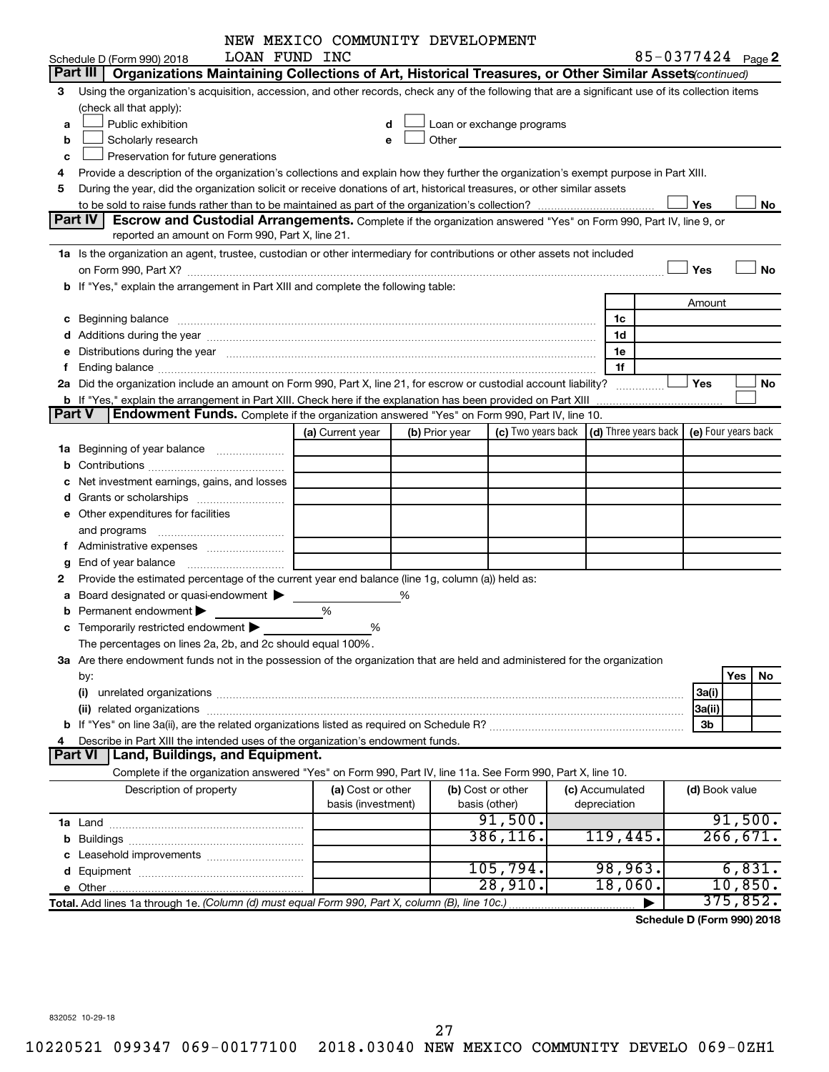|   |                                                                                                                                                                                                                                | NEW MEXICO COMMUNITY DEVELOPMENT |   |                |                            |                                                                             |                                |     |          |
|---|--------------------------------------------------------------------------------------------------------------------------------------------------------------------------------------------------------------------------------|----------------------------------|---|----------------|----------------------------|-----------------------------------------------------------------------------|--------------------------------|-----|----------|
|   | LOAN FUND INC<br>Schedule D (Form 990) 2018                                                                                                                                                                                    |                                  |   |                |                            |                                                                             | 85-0377424 Page 2              |     |          |
|   | Part III  <br>Organizations Maintaining Collections of Art, Historical Treasures, or Other Similar Assets (continued)                                                                                                          |                                  |   |                |                            |                                                                             |                                |     |          |
| 3 | Using the organization's acquisition, accession, and other records, check any of the following that are a significant use of its collection items                                                                              |                                  |   |                |                            |                                                                             |                                |     |          |
|   | (check all that apply):                                                                                                                                                                                                        |                                  |   |                |                            |                                                                             |                                |     |          |
| a | Public exhibition                                                                                                                                                                                                              |                                  |   |                | Loan or exchange programs  |                                                                             |                                |     |          |
| b | Scholarly research                                                                                                                                                                                                             |                                  |   |                | Other <b>Communication</b> |                                                                             |                                |     |          |
| c | Preservation for future generations                                                                                                                                                                                            |                                  |   |                |                            |                                                                             |                                |     |          |
| 4 | Provide a description of the organization's collections and explain how they further the organization's exempt purpose in Part XIII.                                                                                           |                                  |   |                |                            |                                                                             |                                |     |          |
| 5 | During the year, did the organization solicit or receive donations of art, historical treasures, or other similar assets                                                                                                       |                                  |   |                |                            |                                                                             |                                |     |          |
|   |                                                                                                                                                                                                                                |                                  |   |                |                            |                                                                             | Yes                            |     | No       |
|   | Part IV<br><b>Escrow and Custodial Arrangements.</b> Complete if the organization answered "Yes" on Form 990, Part IV, line 9, or                                                                                              |                                  |   |                |                            |                                                                             |                                |     |          |
|   | reported an amount on Form 990, Part X, line 21.                                                                                                                                                                               |                                  |   |                |                            |                                                                             |                                |     |          |
|   | 1a Is the organization an agent, trustee, custodian or other intermediary for contributions or other assets not included                                                                                                       |                                  |   |                |                            |                                                                             |                                |     |          |
|   | on Form 990, Part X? <b>Process Constitution Construction Construction</b> Construction Construction Construction Cons                                                                                                         |                                  |   |                |                            |                                                                             | Yes                            |     | No       |
|   | b If "Yes," explain the arrangement in Part XIII and complete the following table:                                                                                                                                             |                                  |   |                |                            |                                                                             |                                |     |          |
|   |                                                                                                                                                                                                                                |                                  |   |                |                            |                                                                             | Amount                         |     |          |
| c | Beginning balance manufactured and contract the contract of the contract of the contract of the contract of the contract of the contract of the contract of the contract of the contract of the contract of the contract of th |                                  |   |                |                            | 1c                                                                          |                                |     |          |
|   |                                                                                                                                                                                                                                |                                  |   |                |                            | 1d                                                                          |                                |     |          |
|   | e Distributions during the year measurement contracts and the year measurement of the state of the state of th                                                                                                                 |                                  |   |                |                            | 1e                                                                          |                                |     |          |
|   |                                                                                                                                                                                                                                |                                  |   |                |                            | 1f                                                                          |                                |     |          |
|   | 2a Did the organization include an amount on Form 990, Part X, line 21, for escrow or custodial account liability?                                                                                                             |                                  |   |                |                            |                                                                             | Yes                            |     | No       |
|   |                                                                                                                                                                                                                                |                                  |   |                |                            |                                                                             |                                |     |          |
|   | Endowment Funds. Complete if the organization answered "Yes" on Form 990, Part IV, line 10.<br>Part V                                                                                                                          |                                  |   |                |                            |                                                                             |                                |     |          |
|   |                                                                                                                                                                                                                                | (a) Current year                 |   | (b) Prior year |                            | (c) Two years back $\vert$ (d) Three years back $\vert$ (e) Four years back |                                |     |          |
|   | <b>1a</b> Beginning of year balance                                                                                                                                                                                            |                                  |   |                |                            |                                                                             |                                |     |          |
|   |                                                                                                                                                                                                                                |                                  |   |                |                            |                                                                             |                                |     |          |
|   | Net investment earnings, gains, and losses                                                                                                                                                                                     |                                  |   |                |                            |                                                                             |                                |     |          |
|   |                                                                                                                                                                                                                                |                                  |   |                |                            |                                                                             |                                |     |          |
|   | e Other expenditures for facilities                                                                                                                                                                                            |                                  |   |                |                            |                                                                             |                                |     |          |
|   | and programs                                                                                                                                                                                                                   |                                  |   |                |                            |                                                                             |                                |     |          |
|   |                                                                                                                                                                                                                                |                                  |   |                |                            |                                                                             |                                |     |          |
| g |                                                                                                                                                                                                                                |                                  |   |                |                            |                                                                             |                                |     |          |
|   | Provide the estimated percentage of the current year end balance (line 1g, column (a)) held as:                                                                                                                                |                                  |   |                |                            |                                                                             |                                |     |          |
| а | Board designated or quasi-endowment                                                                                                                                                                                            |                                  | ℅ |                |                            |                                                                             |                                |     |          |
|   | Permanent endowment                                                                                                                                                                                                            | %                                |   |                |                            |                                                                             |                                |     |          |
|   | c Temporarily restricted endowment $\blacktriangleright$                                                                                                                                                                       | ℅                                |   |                |                            |                                                                             |                                |     |          |
|   | The percentages on lines 2a, 2b, and 2c should equal 100%.                                                                                                                                                                     |                                  |   |                |                            |                                                                             |                                |     |          |
|   | 3a Are there endowment funds not in the possession of the organization that are held and administered for the organization                                                                                                     |                                  |   |                |                            |                                                                             |                                |     |          |
|   | by:                                                                                                                                                                                                                            |                                  |   |                |                            |                                                                             |                                | Yes | No.      |
|   | (i)                                                                                                                                                                                                                            |                                  |   |                |                            |                                                                             | 3a(i)                          |     |          |
|   |                                                                                                                                                                                                                                |                                  |   |                |                            |                                                                             | 3a(ii)                         |     |          |
|   |                                                                                                                                                                                                                                |                                  |   |                |                            |                                                                             | 3b                             |     |          |
|   | Describe in Part XIII the intended uses of the organization's endowment funds.                                                                                                                                                 |                                  |   |                |                            |                                                                             |                                |     |          |
|   | <b>Part VI</b><br>Land, Buildings, and Equipment.                                                                                                                                                                              |                                  |   |                |                            |                                                                             |                                |     |          |
|   | Complete if the organization answered "Yes" on Form 990, Part IV, line 11a. See Form 990, Part X, line 10.                                                                                                                     |                                  |   |                |                            |                                                                             |                                |     |          |
|   | Description of property                                                                                                                                                                                                        | (a) Cost or other                |   |                | (b) Cost or other          | (c) Accumulated                                                             | (d) Book value                 |     |          |
|   |                                                                                                                                                                                                                                | basis (investment)               |   |                | basis (other)              | depreciation                                                                |                                |     |          |
|   |                                                                                                                                                                                                                                |                                  |   |                | 91,500.                    |                                                                             |                                |     | 91,500.  |
| b |                                                                                                                                                                                                                                |                                  |   |                | 386, 116.                  | 119,445.                                                                    |                                |     | 266,671. |
|   | Leasehold improvements                                                                                                                                                                                                         |                                  |   |                |                            |                                                                             |                                |     |          |
|   |                                                                                                                                                                                                                                |                                  |   |                | 105,794.                   | 98,963.                                                                     |                                |     | 6,831.   |
|   |                                                                                                                                                                                                                                |                                  |   |                | 28,910.                    | 18,060.                                                                     |                                |     | 10,850.  |
|   | Total. Add lines 1a through 1e. (Column (d) must equal Form 990, Part X, column (B), line 10c.)                                                                                                                                |                                  |   |                |                            |                                                                             |                                |     | 375,852. |
|   |                                                                                                                                                                                                                                |                                  |   |                |                            |                                                                             | $div16$ D $(T_{num}$ 000) 0040 |     |          |

**Schedule D (Form 990) 2018**

832052 10-29-18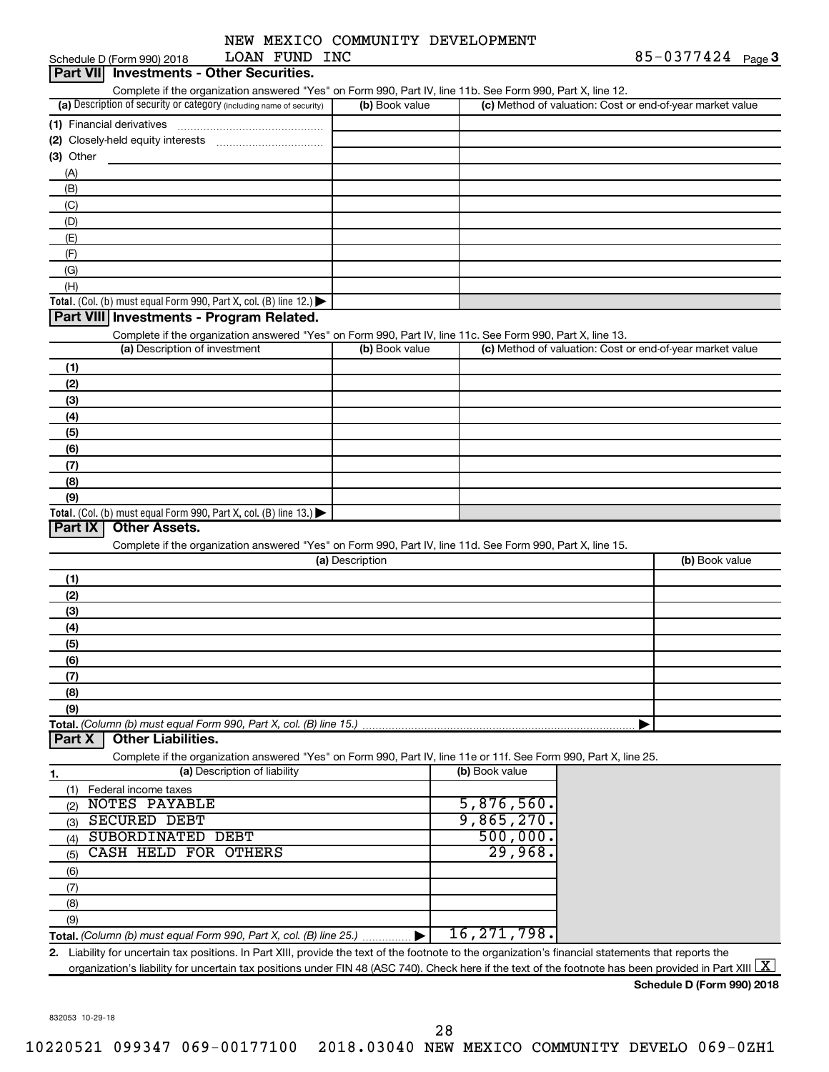|                 | NEW MEXICO COMMUNITY DEVELOPMENT |
|-----------------|----------------------------------|
| חות התווח הממח. |                                  |

| LOAN FUND INC<br>Schedule D (Form 990) 2018                                                                                                                                                                                                                                                                                                |                 |                     | 85-0377424 $_{Page}$ 3                                    |
|--------------------------------------------------------------------------------------------------------------------------------------------------------------------------------------------------------------------------------------------------------------------------------------------------------------------------------------------|-----------------|---------------------|-----------------------------------------------------------|
| <b>Investments - Other Securities.</b><br><b>Part VIII</b>                                                                                                                                                                                                                                                                                 |                 |                     |                                                           |
| Complete if the organization answered "Yes" on Form 990, Part IV, line 11b. See Form 990, Part X, line 12.                                                                                                                                                                                                                                 |                 |                     |                                                           |
| (a) Description of security or category (including name of security)                                                                                                                                                                                                                                                                       | (b) Book value  |                     | (c) Method of valuation: Cost or end-of-year market value |
|                                                                                                                                                                                                                                                                                                                                            |                 |                     |                                                           |
|                                                                                                                                                                                                                                                                                                                                            |                 |                     |                                                           |
| $(3)$ Other                                                                                                                                                                                                                                                                                                                                |                 |                     |                                                           |
| (A)                                                                                                                                                                                                                                                                                                                                        |                 |                     |                                                           |
| (B)                                                                                                                                                                                                                                                                                                                                        |                 |                     |                                                           |
| (C)                                                                                                                                                                                                                                                                                                                                        |                 |                     |                                                           |
| (D)<br>(E)                                                                                                                                                                                                                                                                                                                                 |                 |                     |                                                           |
| (F)                                                                                                                                                                                                                                                                                                                                        |                 |                     |                                                           |
| (G)                                                                                                                                                                                                                                                                                                                                        |                 |                     |                                                           |
| (H)                                                                                                                                                                                                                                                                                                                                        |                 |                     |                                                           |
| Total. (Col. (b) must equal Form 990, Part X, col. (B) line 12.) $\blacktriangleright$                                                                                                                                                                                                                                                     |                 |                     |                                                           |
| Part VIII Investments - Program Related.                                                                                                                                                                                                                                                                                                   |                 |                     |                                                           |
| Complete if the organization answered "Yes" on Form 990, Part IV, line 11c. See Form 990, Part X, line 13.                                                                                                                                                                                                                                 |                 |                     |                                                           |
| (a) Description of investment                                                                                                                                                                                                                                                                                                              | (b) Book value  |                     | (c) Method of valuation: Cost or end-of-year market value |
| (1)                                                                                                                                                                                                                                                                                                                                        |                 |                     |                                                           |
| (2)                                                                                                                                                                                                                                                                                                                                        |                 |                     |                                                           |
| (3)                                                                                                                                                                                                                                                                                                                                        |                 |                     |                                                           |
| (4)                                                                                                                                                                                                                                                                                                                                        |                 |                     |                                                           |
| (5)                                                                                                                                                                                                                                                                                                                                        |                 |                     |                                                           |
| (6)                                                                                                                                                                                                                                                                                                                                        |                 |                     |                                                           |
| (7)                                                                                                                                                                                                                                                                                                                                        |                 |                     |                                                           |
| (8)                                                                                                                                                                                                                                                                                                                                        |                 |                     |                                                           |
| (9)                                                                                                                                                                                                                                                                                                                                        |                 |                     |                                                           |
| Total. (Col. (b) must equal Form 990, Part X, col. (B) line 13.) $\blacktriangleright$                                                                                                                                                                                                                                                     |                 |                     |                                                           |
| Part IX<br><b>Other Assets.</b>                                                                                                                                                                                                                                                                                                            |                 |                     |                                                           |
| Complete if the organization answered "Yes" on Form 990, Part IV, line 11d. See Form 990, Part X, line 15.                                                                                                                                                                                                                                 |                 |                     |                                                           |
|                                                                                                                                                                                                                                                                                                                                            | (a) Description |                     | (b) Book value                                            |
| (1)                                                                                                                                                                                                                                                                                                                                        |                 |                     |                                                           |
| (2)                                                                                                                                                                                                                                                                                                                                        |                 |                     |                                                           |
| (3)                                                                                                                                                                                                                                                                                                                                        |                 |                     |                                                           |
| (4)                                                                                                                                                                                                                                                                                                                                        |                 |                     |                                                           |
| (5)                                                                                                                                                                                                                                                                                                                                        |                 |                     |                                                           |
| (6)                                                                                                                                                                                                                                                                                                                                        |                 |                     |                                                           |
| (7)                                                                                                                                                                                                                                                                                                                                        |                 |                     |                                                           |
| (8)                                                                                                                                                                                                                                                                                                                                        |                 |                     |                                                           |
| (9)                                                                                                                                                                                                                                                                                                                                        |                 |                     |                                                           |
| Total. (Column (b) must equal Form 990, Part X, col. (B) line 15.)                                                                                                                                                                                                                                                                         |                 |                     |                                                           |
| <b>Other Liabilities.</b><br>Part X                                                                                                                                                                                                                                                                                                        |                 |                     |                                                           |
| Complete if the organization answered "Yes" on Form 990, Part IV, line 11e or 11f. See Form 990, Part X, line 25.                                                                                                                                                                                                                          |                 |                     |                                                           |
| (a) Description of liability<br>1.                                                                                                                                                                                                                                                                                                         |                 | (b) Book value      |                                                           |
| Federal income taxes<br>(1)                                                                                                                                                                                                                                                                                                                |                 |                     |                                                           |
| <b>NOTES PAYABLE</b><br>(2)                                                                                                                                                                                                                                                                                                                |                 | 5,876,560.          |                                                           |
| <b>SECURED DEBT</b><br>(3)                                                                                                                                                                                                                                                                                                                 |                 | 9,865,270.          |                                                           |
| SUBORDINATED DEBT<br>(4)<br>CASH HELD FOR OTHERS                                                                                                                                                                                                                                                                                           |                 | 500,000.<br>29,968. |                                                           |
| (5)                                                                                                                                                                                                                                                                                                                                        |                 |                     |                                                           |
| (6)                                                                                                                                                                                                                                                                                                                                        |                 |                     |                                                           |
| (7)                                                                                                                                                                                                                                                                                                                                        |                 |                     |                                                           |
| (8)                                                                                                                                                                                                                                                                                                                                        |                 |                     |                                                           |
| (9)                                                                                                                                                                                                                                                                                                                                        |                 | 16, 271, 798.       |                                                           |
|                                                                                                                                                                                                                                                                                                                                            |                 |                     |                                                           |
| 2. Liability for uncertain tax positions. In Part XIII, provide the text of the footnote to the organization's financial statements that reports the<br>organization's liability for uncertain tax positions under FIN 48 (ASC 740). Check here if the text of the footnote has been provided in Part XIII $\lfloor \underline{X} \rfloor$ |                 |                     |                                                           |
|                                                                                                                                                                                                                                                                                                                                            |                 |                     |                                                           |

**Schedule D (Form 990) 2018**

832053 10-29-18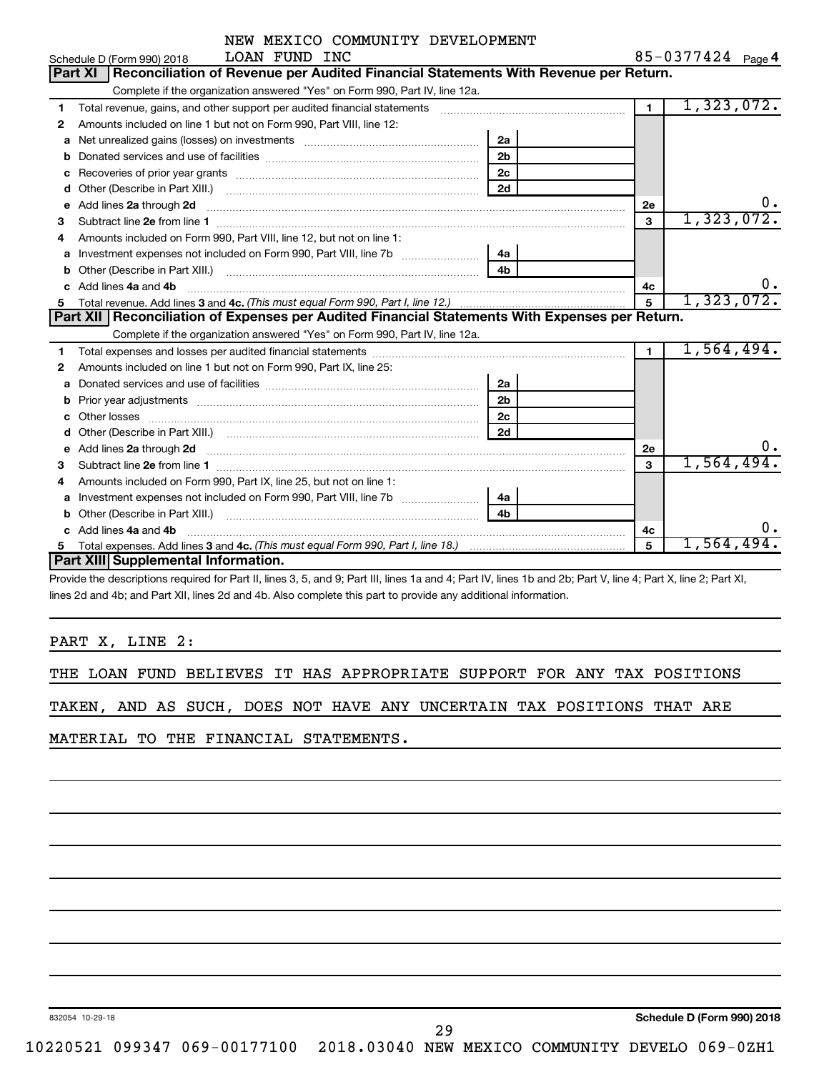|              | NEW MEXICO COMMUNITY DEVELOPMENT                                                                                                                                                                                                    |                |                |                   |
|--------------|-------------------------------------------------------------------------------------------------------------------------------------------------------------------------------------------------------------------------------------|----------------|----------------|-------------------|
|              | LOAN FUND INC<br>Schedule D (Form 990) 2018                                                                                                                                                                                         |                |                | 85-0377424 Page 4 |
|              | Reconciliation of Revenue per Audited Financial Statements With Revenue per Return.<br>Part XI                                                                                                                                      |                |                |                   |
|              | Complete if the organization answered "Yes" on Form 990, Part IV, line 12a.                                                                                                                                                         |                |                |                   |
| 1            | Total revenue, gains, and other support per audited financial statements                                                                                                                                                            |                | $\overline{1}$ | 1,323,072.        |
| 2            | Amounts included on line 1 but not on Form 990, Part VIII, line 12:                                                                                                                                                                 |                |                |                   |
| a            |                                                                                                                                                                                                                                     | 2a             |                |                   |
| b            |                                                                                                                                                                                                                                     | 2 <sub>b</sub> |                |                   |
| c            |                                                                                                                                                                                                                                     | 2c             |                |                   |
|              |                                                                                                                                                                                                                                     | 2d             |                |                   |
| $\mathbf{e}$ | Add lines 2a through 2d                                                                                                                                                                                                             |                | 2е             |                   |
| З            |                                                                                                                                                                                                                                     |                | 3              | 1,323,072.        |
| 4            | Amounts included on Form 990, Part VIII, line 12, but not on line 1:                                                                                                                                                                |                |                |                   |
| a            | Investment expenses not included on Form 990, Part VIII, line 7b [[[[[[[[[[[[[[[[[[[[[[]]]]]]]]                                                                                                                                     | 4a l           |                |                   |
| b            |                                                                                                                                                                                                                                     | 4 <sub>b</sub> |                |                   |
|              | Add lines 4a and 4b                                                                                                                                                                                                                 |                | 4с             | υ.                |
|              |                                                                                                                                                                                                                                     |                | 5              | 1,323,072.        |
|              | Part XII   Reconciliation of Expenses per Audited Financial Statements With Expenses per Return.                                                                                                                                    |                |                |                   |
|              | Complete if the organization answered "Yes" on Form 990, Part IV, line 12a.                                                                                                                                                         |                |                |                   |
| 1            |                                                                                                                                                                                                                                     |                |                | 1,564,494.        |
| 2            | Amounts included on line 1 but not on Form 990, Part IX, line 25:                                                                                                                                                                   |                |                |                   |
| a            |                                                                                                                                                                                                                                     | 2a             |                |                   |
| b            |                                                                                                                                                                                                                                     | 2 <sub>b</sub> |                |                   |
| c            |                                                                                                                                                                                                                                     | 2 <sub>c</sub> |                |                   |
|              |                                                                                                                                                                                                                                     | 2d             |                |                   |
| е            | Add lines 2a through 2d <b>contained a contained a contained a contained a</b> contained a contained a contained a contained a contained a contained a contained a contained a contained a contained a contained a contained a cont |                | 2e             |                   |
| 3            |                                                                                                                                                                                                                                     |                | 3              | 1,564,494.        |
| 4            | Amounts included on Form 990, Part IX, line 25, but not on line 1:                                                                                                                                                                  |                |                |                   |
| a            |                                                                                                                                                                                                                                     | 4a l           |                |                   |
| b            |                                                                                                                                                                                                                                     | 4b             |                |                   |
|              | c Add lines 4a and 4b                                                                                                                                                                                                               |                | 4с             |                   |
| 5            |                                                                                                                                                                                                                                     |                | 5              | 1,564,494         |
|              | Part XIII Supplemental Information.                                                                                                                                                                                                 |                |                |                   |
|              |                                                                                                                                                                                                                                     |                |                |                   |

Provide the descriptions required for Part II, lines 3, 5, and 9; Part III, lines 1a and 4; Part IV, lines 1b and 2b; Part V, line 4; Part X, line 2; Part XI, lines 2d and 4b; and Part XII, lines 2d and 4b. Also complete this part to provide any additional information.

PART X, LINE 2:

THE LOAN FUND BELIEVES IT HAS APPROPRIATE SUPPORT FOR ANY TAX POSITIONS

TAKEN, AND AS SUCH, DOES NOT HAVE ANY UNCERTAIN TAX POSITIONS THAT ARE

MATERIAL TO THE FINANCIAL STATEMENTS.

832054 10-29-18

**Schedule D (Form 990) 2018**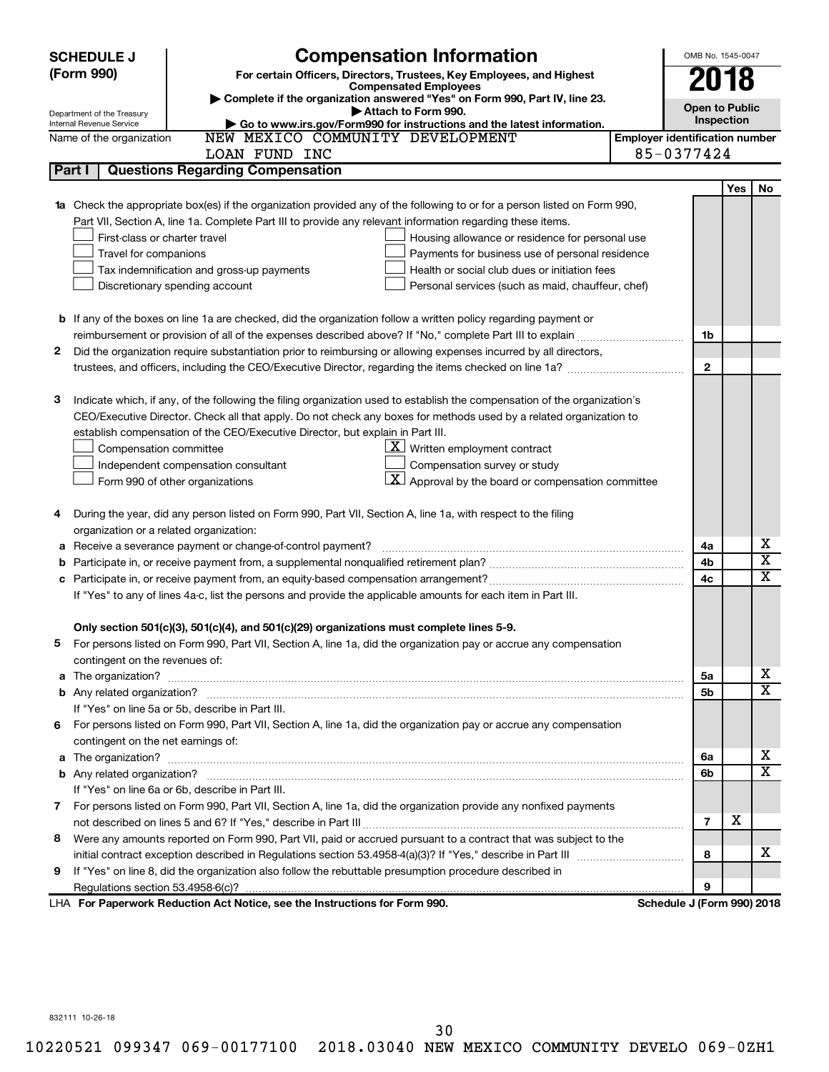|        | <b>SCHEDULE J</b>                                      | <b>Compensation Information</b>                                                                                                  |                                       | OMB No. 1545-0047          |            |                              |
|--------|--------------------------------------------------------|----------------------------------------------------------------------------------------------------------------------------------|---------------------------------------|----------------------------|------------|------------------------------|
|        | (Form 990)                                             | For certain Officers, Directors, Trustees, Key Employees, and Highest                                                            |                                       | 2018                       |            |                              |
|        |                                                        | <b>Compensated Employees</b>                                                                                                     |                                       |                            |            |                              |
|        |                                                        | Complete if the organization answered "Yes" on Form 990, Part IV, line 23.<br>Attach to Form 990.                                |                                       | <b>Open to Public</b>      |            |                              |
|        | Department of the Treasury<br>Internal Revenue Service | Go to www.irs.gov/Form990 for instructions and the latest information.                                                           |                                       | Inspection                 |            |                              |
|        | Name of the organization                               | NEW MEXICO COMMUNITY DEVELOPMENT                                                                                                 | <b>Employer identification number</b> |                            |            |                              |
|        |                                                        | LOAN FUND INC                                                                                                                    |                                       | 85-0377424                 |            |                              |
| Part I |                                                        | <b>Questions Regarding Compensation</b>                                                                                          |                                       |                            |            |                              |
|        |                                                        |                                                                                                                                  |                                       |                            | <b>Yes</b> | No                           |
|        |                                                        | <b>1a</b> Check the appropriate box(es) if the organization provided any of the following to or for a person listed on Form 990, |                                       |                            |            |                              |
|        |                                                        | Part VII, Section A, line 1a. Complete Part III to provide any relevant information regarding these items.                       |                                       |                            |            |                              |
|        | First-class or charter travel                          | Housing allowance or residence for personal use                                                                                  |                                       |                            |            |                              |
|        | Travel for companions                                  | Payments for business use of personal residence                                                                                  |                                       |                            |            |                              |
|        |                                                        | Health or social club dues or initiation fees<br>Tax indemnification and gross-up payments                                       |                                       |                            |            |                              |
|        |                                                        | Discretionary spending account<br>Personal services (such as maid, chauffeur, chef)                                              |                                       |                            |            |                              |
|        |                                                        |                                                                                                                                  |                                       |                            |            |                              |
|        |                                                        | <b>b</b> If any of the boxes on line 1a are checked, did the organization follow a written policy regarding payment or           |                                       |                            |            |                              |
|        |                                                        |                                                                                                                                  |                                       | 1b                         |            |                              |
| 2      |                                                        | Did the organization require substantiation prior to reimbursing or allowing expenses incurred by all directors,                 |                                       |                            |            |                              |
|        |                                                        | trustees, and officers, including the CEO/Executive Director, regarding the items checked on line 1a?                            |                                       | $\mathbf{2}$               |            |                              |
|        |                                                        |                                                                                                                                  |                                       |                            |            |                              |
| з      |                                                        | Indicate which, if any, of the following the filing organization used to establish the compensation of the organization's        |                                       |                            |            |                              |
|        |                                                        | CEO/Executive Director. Check all that apply. Do not check any boxes for methods used by a related organization to               |                                       |                            |            |                              |
|        |                                                        | establish compensation of the CEO/Executive Director, but explain in Part III.                                                   |                                       |                            |            |                              |
|        | Compensation committee                                 | $\underline{\mathbf{X}}$ Written employment contract                                                                             |                                       |                            |            |                              |
|        |                                                        | Compensation survey or study<br>Independent compensation consultant                                                              |                                       |                            |            |                              |
|        |                                                        | $\lfloor \underline{X} \rfloor$ Approval by the board or compensation committee<br>Form 990 of other organizations               |                                       |                            |            |                              |
|        |                                                        |                                                                                                                                  |                                       |                            |            |                              |
| 4      |                                                        | During the year, did any person listed on Form 990, Part VII, Section A, line 1a, with respect to the filing                     |                                       |                            |            |                              |
|        | organization or a related organization:                |                                                                                                                                  |                                       |                            |            |                              |
| а      |                                                        | Receive a severance payment or change-of-control payment?                                                                        |                                       | 4a                         |            | х<br>$\overline{\mathbf{X}}$ |
| b      |                                                        |                                                                                                                                  |                                       | 4b                         |            | X                            |
| c      |                                                        |                                                                                                                                  |                                       | 4c                         |            |                              |
|        |                                                        | If "Yes" to any of lines 4a-c, list the persons and provide the applicable amounts for each item in Part III.                    |                                       |                            |            |                              |
|        |                                                        |                                                                                                                                  |                                       |                            |            |                              |
|        |                                                        | Only section 501(c)(3), 501(c)(4), and 501(c)(29) organizations must complete lines 5-9.                                         |                                       |                            |            |                              |
|        |                                                        | For persons listed on Form 990, Part VII, Section A, line 1a, did the organization pay or accrue any compensation                |                                       |                            |            |                              |
|        | contingent on the revenues of:                         |                                                                                                                                  |                                       |                            |            | х                            |
|        |                                                        |                                                                                                                                  |                                       | 5a                         |            | X                            |
|        |                                                        | If "Yes" on line 5a or 5b, describe in Part III.                                                                                 |                                       | 5b                         |            |                              |
|        |                                                        |                                                                                                                                  |                                       |                            |            |                              |
| 6.     | contingent on the net earnings of:                     | For persons listed on Form 990, Part VII, Section A, line 1a, did the organization pay or accrue any compensation                |                                       |                            |            |                              |
|        |                                                        |                                                                                                                                  |                                       |                            |            | х                            |
|        |                                                        |                                                                                                                                  |                                       | 6a<br>6b                   |            | X                            |
|        |                                                        | If "Yes" on line 6a or 6b, describe in Part III.                                                                                 |                                       |                            |            |                              |
|        |                                                        | 7 For persons listed on Form 990, Part VII, Section A, line 1a, did the organization provide any nonfixed payments               |                                       |                            |            |                              |
|        |                                                        |                                                                                                                                  |                                       | $\overline{7}$             | X          |                              |
| 8      |                                                        | Were any amounts reported on Form 990, Part VII, paid or accrued pursuant to a contract that was subject to the                  |                                       |                            |            |                              |
|        |                                                        |                                                                                                                                  |                                       | 8                          |            | x                            |
| 9      |                                                        | If "Yes" on line 8, did the organization also follow the rebuttable presumption procedure described in                           |                                       |                            |            |                              |
|        |                                                        |                                                                                                                                  |                                       | 9                          |            |                              |
|        |                                                        | LHA For Paperwork Reduction Act Notice, see the Instructions for Form 990.                                                       |                                       | Schedule J (Form 990) 2018 |            |                              |

832111 10-26-18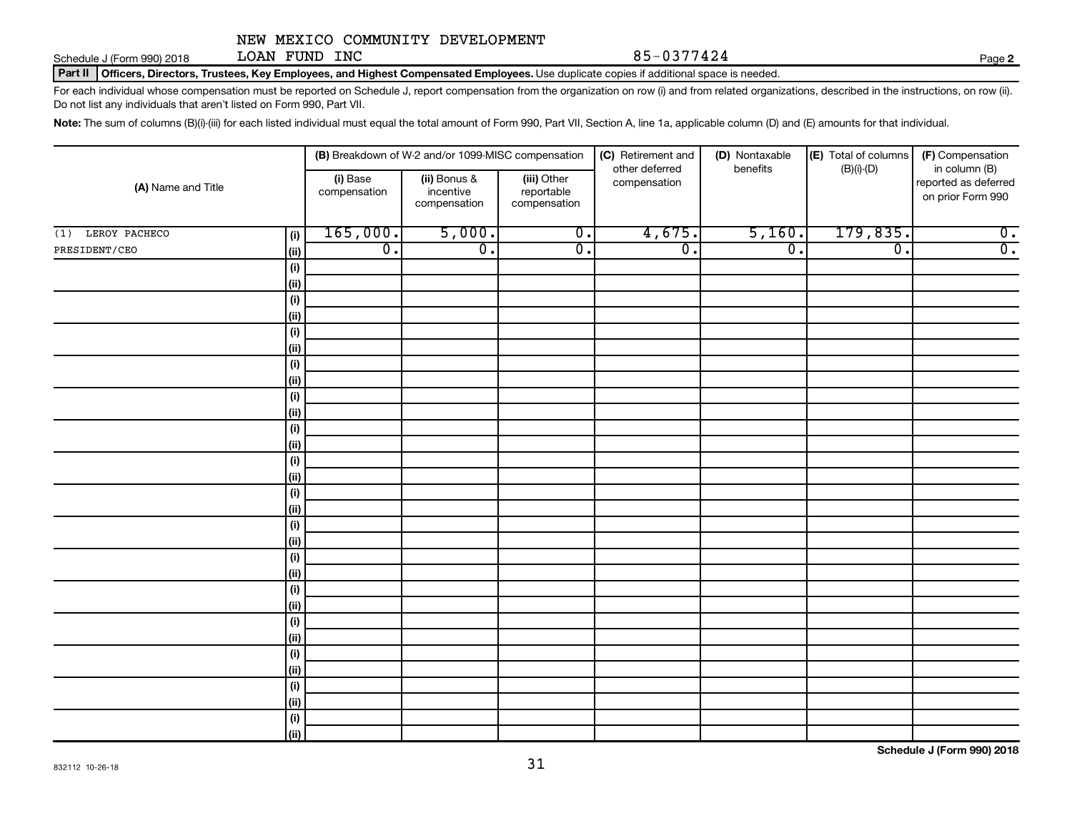Schedule J (Form 990) 2018 LOAN FUND INC  $85-0377424$ LOAN FUND INC

**2**

Part II | Officers, Directors, Trustees, Key Employees, and Highest Compensated Employees. Use duplicate copies if additional space is needed.

For each individual whose compensation must be reported on Schedule J, report compensation from the organization on row (i) and from related organizations, described in the instructions, on row (ii). Do not list any individuals that aren't listed on Form 990, Part VII.

Note: The sum of columns (B)(i)-(iii) for each listed individual must equal the total amount of Form 990, Part VII, Section A, line 1a, applicable column (D) and (E) amounts for that individual.

|                             |                          | (B) Breakdown of W-2 and/or 1099-MISC compensation |                                           | (C) Retirement and<br>(D) Nontaxable |                  | (E) Total of columns | (F) Compensation                                           |
|-----------------------------|--------------------------|----------------------------------------------------|-------------------------------------------|--------------------------------------|------------------|----------------------|------------------------------------------------------------|
| (A) Name and Title          | (i) Base<br>compensation | (ii) Bonus &<br>incentive<br>compensation          | (iii) Other<br>reportable<br>compensation | other deferred<br>compensation       | benefits         | $(B)(i)-(D)$         | in column (B)<br>reported as deferred<br>on prior Form 990 |
| LEROY PACHECO<br>(1)<br>(i) | 165,000.                 | 5,000.                                             | $\overline{0}$ .                          | 4,675.                               | 5,160.           | 179,835.             | $\overline{0}$ .                                           |
| PRESIDENT/CEO<br>(ii)       | $\overline{0}$ .         | $\overline{0}$ .                                   | $\overline{0}$ .                          | $\overline{0}$ .                     | $\overline{0}$ . | $\overline{0}$ .     | $\overline{0}$ .                                           |
| (i)                         |                          |                                                    |                                           |                                      |                  |                      |                                                            |
| (ii)                        |                          |                                                    |                                           |                                      |                  |                      |                                                            |
| (i)                         |                          |                                                    |                                           |                                      |                  |                      |                                                            |
| (ii)                        |                          |                                                    |                                           |                                      |                  |                      |                                                            |
| (i)                         |                          |                                                    |                                           |                                      |                  |                      |                                                            |
| (ii)                        |                          |                                                    |                                           |                                      |                  |                      |                                                            |
| (i)                         |                          |                                                    |                                           |                                      |                  |                      |                                                            |
| (ii)                        |                          |                                                    |                                           |                                      |                  |                      |                                                            |
| (i)                         |                          |                                                    |                                           |                                      |                  |                      |                                                            |
| (ii)                        |                          |                                                    |                                           |                                      |                  |                      |                                                            |
| (i)                         |                          |                                                    |                                           |                                      |                  |                      |                                                            |
| (ii)                        |                          |                                                    |                                           |                                      |                  |                      |                                                            |
| (i)                         |                          |                                                    |                                           |                                      |                  |                      |                                                            |
| (ii)                        |                          |                                                    |                                           |                                      |                  |                      |                                                            |
| (i)                         |                          |                                                    |                                           |                                      |                  |                      |                                                            |
| (ii)                        |                          |                                                    |                                           |                                      |                  |                      |                                                            |
| (i)                         |                          |                                                    |                                           |                                      |                  |                      |                                                            |
| (ii)                        |                          |                                                    |                                           |                                      |                  |                      |                                                            |
| (i)                         |                          |                                                    |                                           |                                      |                  |                      |                                                            |
| (ii)                        |                          |                                                    |                                           |                                      |                  |                      |                                                            |
| (i)<br>(ii)                 |                          |                                                    |                                           |                                      |                  |                      |                                                            |
| (i)                         |                          |                                                    |                                           |                                      |                  |                      |                                                            |
| (ii)                        |                          |                                                    |                                           |                                      |                  |                      |                                                            |
| (i)                         |                          |                                                    |                                           |                                      |                  |                      |                                                            |
| (ii)                        |                          |                                                    |                                           |                                      |                  |                      |                                                            |
| (i)                         |                          |                                                    |                                           |                                      |                  |                      |                                                            |
| (ii)                        |                          |                                                    |                                           |                                      |                  |                      |                                                            |
| (i)                         |                          |                                                    |                                           |                                      |                  |                      |                                                            |
| (ii)                        |                          |                                                    |                                           |                                      |                  |                      |                                                            |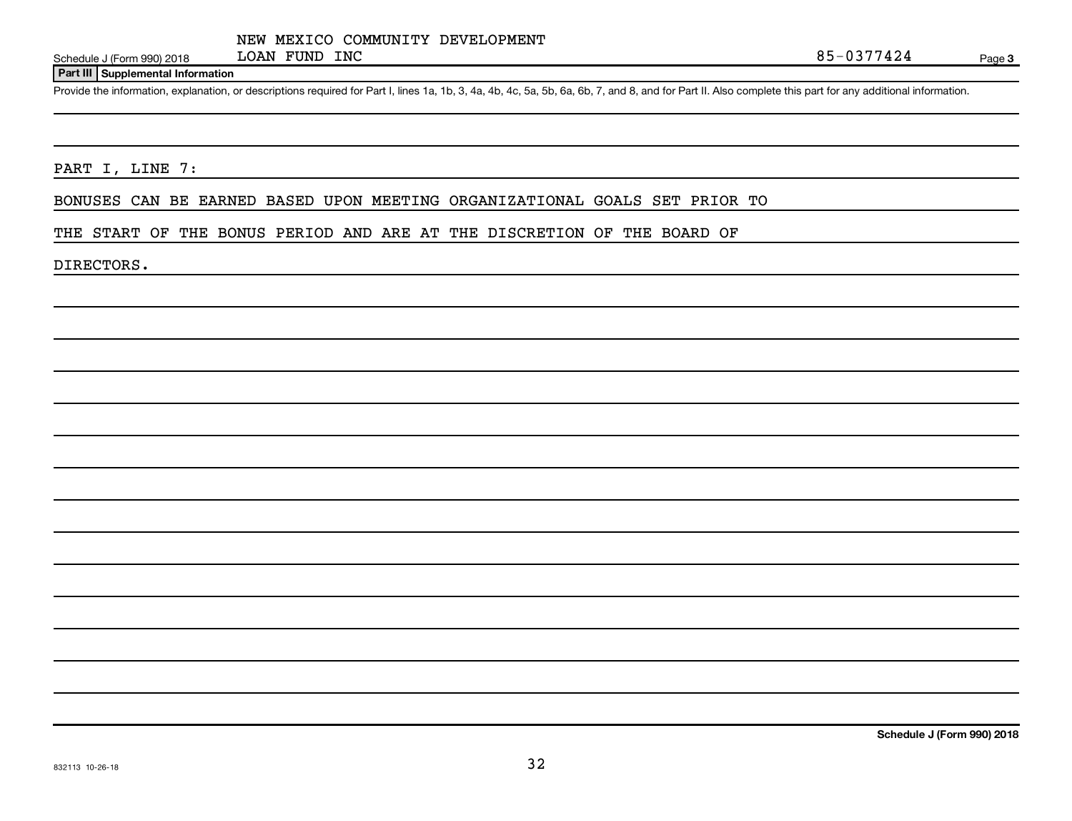#### **Part III Supplemental Information**

Provide the information, explanation, or descriptions required for Part I, lines 1a, 1b, 3, 4a, 4b, 4c, 5a, 5b, 6a, 6b, 7, and 8, and for Part II. Also complete this part for any additional information.

PART I, LINE 7:

BONUSES CAN BE EARNED BASED UPON MEETING ORGANIZATIONAL GOALS SET PRIOR TO

THE START OF THE BONUS PERIOD AND ARE AT THE DISCRETION OF THE BOARD OF

DIRECTORS.

**Schedule J (Form 990) 2018**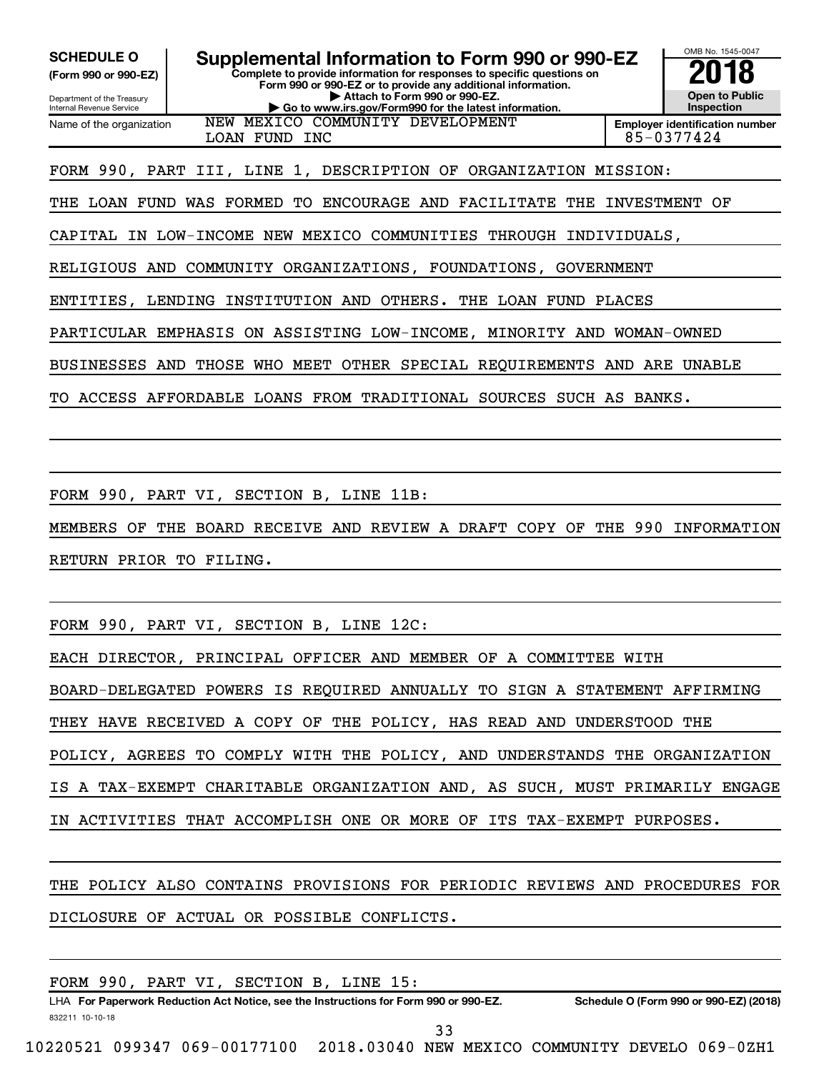**(Form 990 or 990-EZ)**

Department of the Treasury Internal Revenue Service Name of the organization

**Complete to provide information for responses to specific questions on Form 990 or 990-EZ or to provide any additional information. | Attach to Form 990 or 990-EZ. | Go to www.irs.gov/Form990 for the latest information.** SCHEDULE O **Supplemental Information to Form 990 or 990-EZ 2018**<br>(Form 990 or 990-EZ) Complete to provide information for responses to specific questions on



**Employer identification number** LOAN FUND INC 85-0377424

FORM 990, PART III, LINE 1, DESCRIPTION OF ORGANIZATION MISSION:

NEW MEXICO COMMUNITY DEVELOPMENT

THE LOAN FUND WAS FORMED TO ENCOURAGE AND FACILITATE THE INVESTMENT OF

CAPITAL IN LOW-INCOME NEW MEXICO COMMUNITIES THROUGH INDIVIDUALS,

RELIGIOUS AND COMMUNITY ORGANIZATIONS, FOUNDATIONS, GOVERNMENT

ENTITIES, LENDING INSTITUTION AND OTHERS. THE LOAN FUND PLACES

PARTICULAR EMPHASIS ON ASSISTING LOW-INCOME, MINORITY AND WOMAN-OWNED

BUSINESSES AND THOSE WHO MEET OTHER SPECIAL REQUIREMENTS AND ARE UNABLE

TO ACCESS AFFORDABLE LOANS FROM TRADITIONAL SOURCES SUCH AS BANKS.

FORM 990, PART VI, SECTION B, LINE 11B:

MEMBERS OF THE BOARD RECEIVE AND REVIEW A DRAFT COPY OF THE 990 INFORMATION RETURN PRIOR TO FILING.

FORM 990, PART VI, SECTION B, LINE 12C:

EACH DIRECTOR, PRINCIPAL OFFICER AND MEMBER OF A COMMITTEE WITH

BOARD-DELEGATED POWERS IS REQUIRED ANNUALLY TO SIGN A STATEMENT AFFIRMING

THEY HAVE RECEIVED A COPY OF THE POLICY, HAS READ AND UNDERSTOOD THE

POLICY, AGREES TO COMPLY WITH THE POLICY, AND UNDERSTANDS THE ORGANIZATION

IS A TAX-EXEMPT CHARITABLE ORGANIZATION AND, AS SUCH, MUST PRIMARILY ENGAGE

IN ACTIVITIES THAT ACCOMPLISH ONE OR MORE OF ITS TAX-EXEMPT PURPOSES.

THE POLICY ALSO CONTAINS PROVISIONS FOR PERIODIC REVIEWS AND PROCEDURES FOR DICLOSURE OF ACTUAL OR POSSIBLE CONFLICTS.

|                 |  | FORM 990, PART VI, SECTION B, LINE 15:                                               |  |    |                                                 |                                        |
|-----------------|--|--------------------------------------------------------------------------------------|--|----|-------------------------------------------------|----------------------------------------|
|                 |  | LHA For Paperwork Reduction Act Notice, see the Instructions for Form 990 or 990-EZ. |  |    |                                                 | Schedule O (Form 990 or 990-EZ) (2018) |
| 832211 10-10-18 |  |                                                                                      |  | 33 |                                                 |                                        |
|                 |  |                                                                                      |  |    |                                                 |                                        |
|                 |  | 10220521 099347 069-00177100                                                         |  |    | 2018.03040 NEW MEXICO COMMUNITY DEVELO 069-0ZH1 |                                        |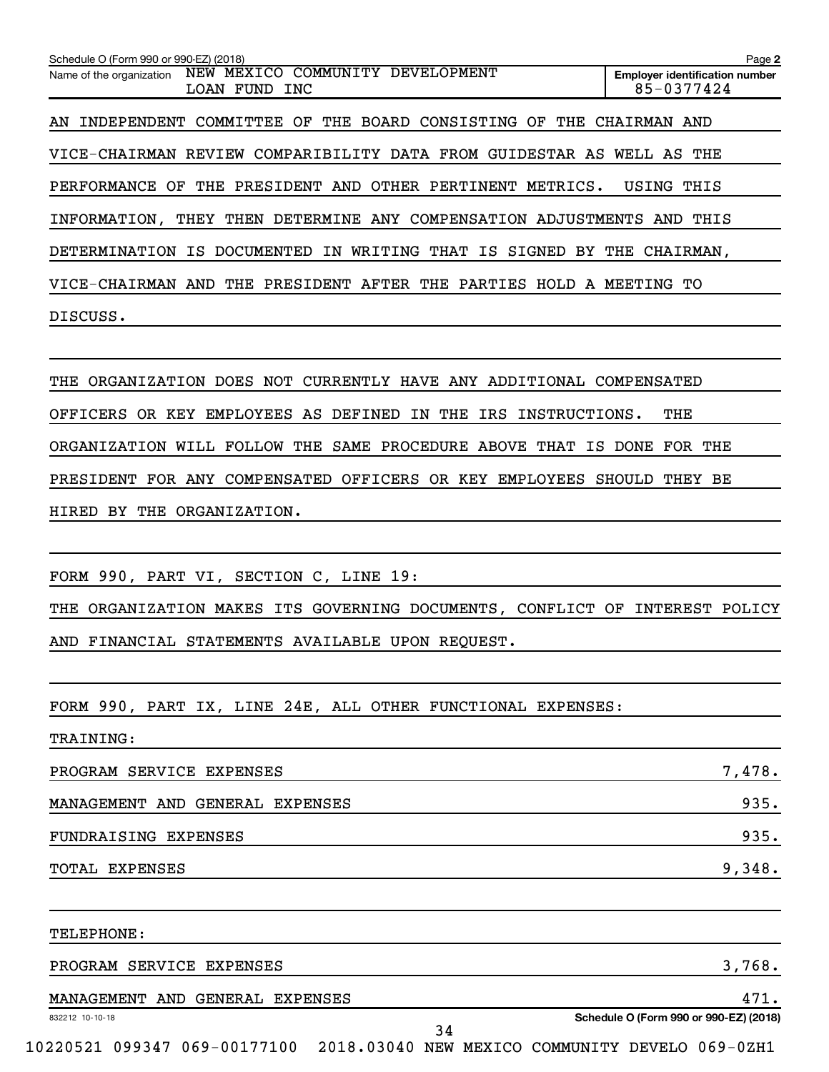| Schedule O (Form 990 or 990-EZ) (2018)                                           | Page 2                                              |
|----------------------------------------------------------------------------------|-----------------------------------------------------|
| NEW MEXICO COMMUNITY DEVELOPMENT<br>Name of the organization<br>LOAN FUND<br>INC | <b>Employer identification number</b><br>85-0377424 |
| THE BOARD CONSISTING OF THE<br>COMMITTEE OF<br>AN INDEPENDENT                    | CHAIRMAN AND                                        |
| VICE-CHAIRMAN REVIEW COMPARIBILITY DATA FROM GUIDESTAR AS WELL AS THE            |                                                     |
| PERFORMANCE OF THE PRESIDENT AND<br>OTHER PERTINENT METRICS.                     | USING<br>THIS                                       |
| INFORMATION, THEY THEN DETERMINE ANY COMPENSATION ADJUSTMENTS                    | THIS<br>AND                                         |
| DETERMINATION IS DOCUMENTED IN WRITING THAT IS SIGNED BY THE CHAIRMAN,           |                                                     |
| THE PRESIDENT AFTER THE PARTIES HOLD A MEETING TO<br>VICE-CHAIRMAN AND           |                                                     |
| DISCUSS.                                                                         |                                                     |
|                                                                                  |                                                     |
| 8228 ABA11228182012 BABA 12AB AUBBRULEU UIUR 1132 1132 114562011 AAVBRULAIRB     |                                                     |

THE ORGANIZATION DOES NOT CURRENTLY HAVE ANY ADDITIONAL COMPENSATED OFFICERS OR KEY EMPLOYEES AS DEFINED IN THE IRS INSTRUCTIONS. THE ORGANIZATION WILL FOLLOW THE SAME PROCEDURE ABOVE THAT IS DONE FOR THE PRESIDENT FOR ANY COMPENSATED OFFICERS OR KEY EMPLOYEES SHOULD THEY BE HIRED BY THE ORGANIZATION.

FORM 990, PART VI, SECTION C, LINE 19:

THE ORGANIZATION MAKES ITS GOVERNING DOCUMENTS, CONFLICT OF INTEREST POLICY AND FINANCIAL STATEMENTS AVAILABLE UPON REQUEST.

FORM 990, PART IX, LINE 24E, ALL OTHER FUNCTIONAL EXPENSES:

| <b>TRAINING:</b>                |        |
|---------------------------------|--------|
| PROGRAM SERVICE EXPENSES        | 7,478. |
| MANAGEMENT AND GENERAL EXPENSES | 935.   |
| FUNDRAISING EXPENSES            | 935.   |
| TOTAL EXPENSES                  | 9,348. |
|                                 |        |

TELEPHONE:

| PROGRAM SERVICE EXPENSES        | 3,768.                                 |
|---------------------------------|----------------------------------------|
| MANAGEMENT AND GENERAL EXPENSES |                                        |
| 832212 10-10-18                 | Schedule O (Form 990 or 990-EZ) (2018) |